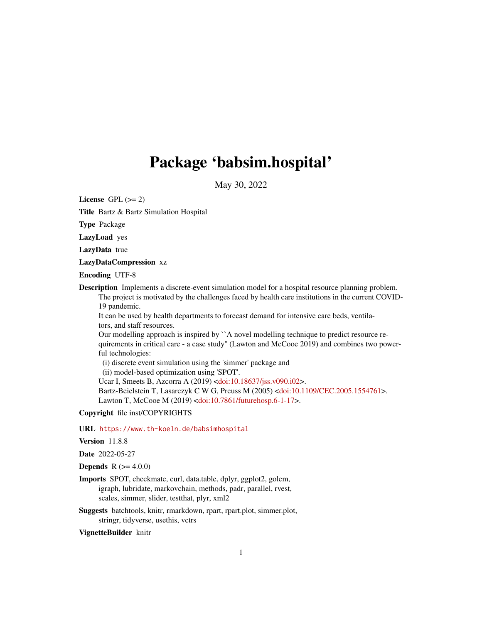# Package 'babsim.hospital'

May 30, 2022

<span id="page-0-0"></span>License GPL  $(>= 2)$ 

Title Bartz & Bartz Simulation Hospital

Type Package

LazyLoad yes

LazyData true

LazyDataCompression xz

Encoding UTF-8

Description Implements a discrete-event simulation model for a hospital resource planning problem. The project is motivated by the challenges faced by health care institutions in the current COVID-19 pandemic.

It can be used by health departments to forecast demand for intensive care beds, ventilators, and staff resources.

Our modelling approach is inspired by ``A novel modelling technique to predict resource requirements in critical care - a case study'' (Lawton and McCooe 2019) and combines two powerful technologies:

(i) discrete event simulation using the 'simmer' package and

(ii) model-based optimization using 'SPOT'.

Ucar I, Smeets B, Azcorra A (2019) [<doi:10.18637/jss.v090.i02>](https://doi.org/10.18637/jss.v090.i02).

Bartz-Beielstein T, Lasarczyk C W G, Preuss M (2005) [<doi:10.1109/CEC.2005.1554761>](https://doi.org/10.1109/CEC.2005.1554761).

Lawton T, McCooe M (2019) [<doi:10.7861/futurehosp.6-1-17>](https://doi.org/10.7861/futurehosp.6-1-17).

Copyright file inst/COPYRIGHTS

URL <https://www.th-koeln.de/babsimhospital>

Version 11.8.8

Date 2022-05-27

**Depends** R  $(>= 4.0.0)$ 

Imports SPOT, checkmate, curl, data.table, dplyr, ggplot2, golem, igraph, lubridate, markovchain, methods, padr, parallel, rvest, scales, simmer, slider, testthat, plyr, xml2

Suggests batchtools, knitr, rmarkdown, rpart, rpart.plot, simmer.plot, stringr, tidyverse, usethis, vctrs

VignetteBuilder knitr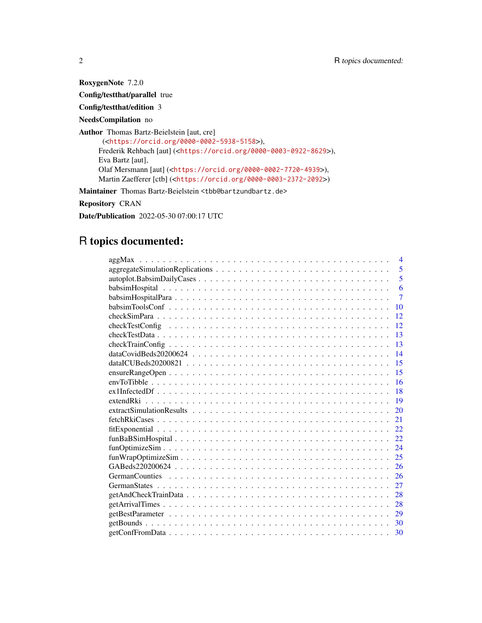RoxygenNote 7.2.0

Config/testthat/parallel true

Config/testthat/edition 3

NeedsCompilation no

Author Thomas Bartz-Beielstein [aut, cre]

(<<https://orcid.org/0000-0002-5938-5158>>), Frederik Rehbach [aut] (<<https://orcid.org/0000-0003-0922-8629>>), Eva Bartz [aut], Olaf Mersmann [aut] (<<https://orcid.org/0000-0002-7720-4939>>), Martin Zaefferer [ctb] (<<https://orcid.org/0000-0003-2372-2092>>)

Maintainer Thomas Bartz-Beielstein <tbb@bartzundbartz.de>

Repository CRAN

Date/Publication 2022-05-30 07:00:17 UTC

# R topics documented:

| $\overline{4}$<br>aggMax                                                                                              |
|-----------------------------------------------------------------------------------------------------------------------|
| 5                                                                                                                     |
| 5                                                                                                                     |
| 6                                                                                                                     |
| $\overline{7}$                                                                                                        |
| 10                                                                                                                    |
| 12                                                                                                                    |
| 12                                                                                                                    |
| 13                                                                                                                    |
| 13                                                                                                                    |
| 14                                                                                                                    |
| 15                                                                                                                    |
| 15                                                                                                                    |
| 16                                                                                                                    |
| 18                                                                                                                    |
| 19                                                                                                                    |
| 20                                                                                                                    |
| 21                                                                                                                    |
| 22                                                                                                                    |
| 22                                                                                                                    |
| 24                                                                                                                    |
| $funWrapOptimize Sim \dots \dots \dots \dots \dots \dots \dots \dots \dots \dots \dots \dots \dots \dots \dots$<br>25 |
| 26                                                                                                                    |
| 26                                                                                                                    |
| 27                                                                                                                    |
| 28                                                                                                                    |
| 28                                                                                                                    |
| 29                                                                                                                    |
| 30                                                                                                                    |
| 30                                                                                                                    |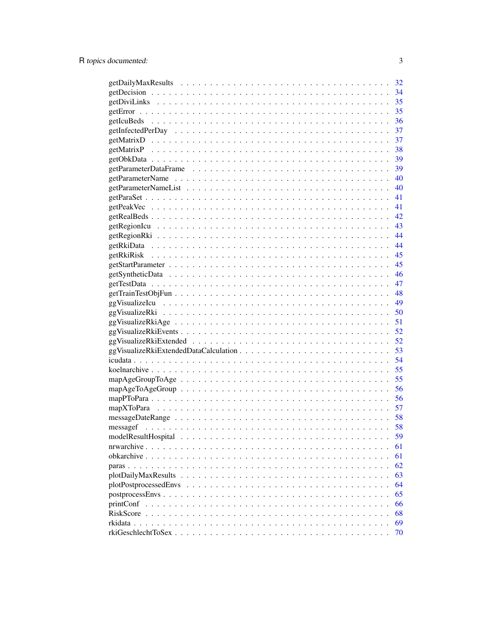|                       | 32 |
|-----------------------|----|
|                       | 34 |
|                       | 35 |
|                       | 35 |
|                       | 36 |
|                       | 37 |
|                       | 37 |
|                       | 38 |
|                       |    |
|                       | 39 |
|                       | 40 |
|                       | 40 |
|                       | 41 |
|                       | 41 |
|                       | 42 |
|                       |    |
|                       | 44 |
|                       | 44 |
|                       | 45 |
|                       | 45 |
|                       | 46 |
|                       | 47 |
|                       | 48 |
|                       | 49 |
|                       | 50 |
|                       |    |
|                       | 52 |
|                       | 52 |
|                       | 53 |
|                       | 54 |
|                       | 55 |
|                       | 55 |
|                       | 56 |
|                       | 56 |
|                       | 57 |
|                       | 58 |
|                       | 58 |
|                       | 59 |
| nrwarchive            | 61 |
|                       | 61 |
|                       | 62 |
|                       | 63 |
| plotPostprocessedEnvs | 64 |
|                       | 65 |
| printConf             | 66 |
| RiskScore             | 68 |
| rkidata               | 69 |
|                       | 70 |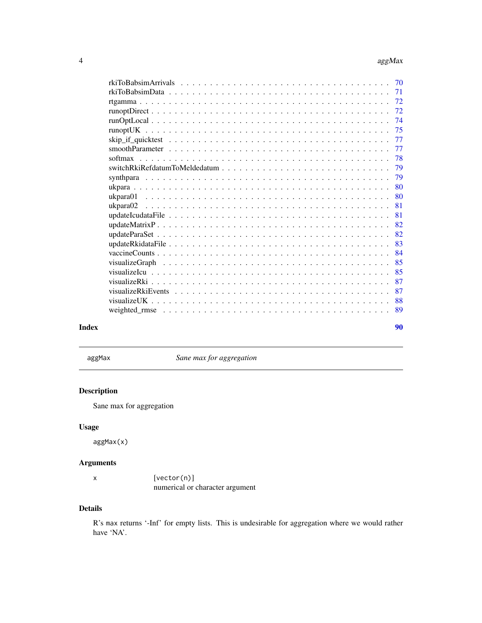<span id="page-3-0"></span>

|         | 72 |
|---------|----|
|         | 72 |
|         | 74 |
|         |    |
|         | 77 |
|         | 77 |
| softmax | 78 |
|         | 79 |
|         | 79 |
|         | 80 |
|         | 80 |
|         | 81 |
|         | 81 |
|         | 82 |
|         | 82 |
|         | 83 |
|         | 84 |
|         | 85 |
|         | 85 |
|         | 87 |
|         | 87 |
|         | 88 |
|         | 89 |
|         |    |

#### **Index [90](#page-89-0)**

aggMax *Sane max for aggregation*

# Description

Sane max for aggregation

# Usage

aggMax(x)

# Arguments

| x | [vector(n)]                     |
|---|---------------------------------|
|   | numerical or character argument |

# Details

R's max returns '-Inf' for empty lists. This is undesirable for aggregation where we would rather have 'NA'.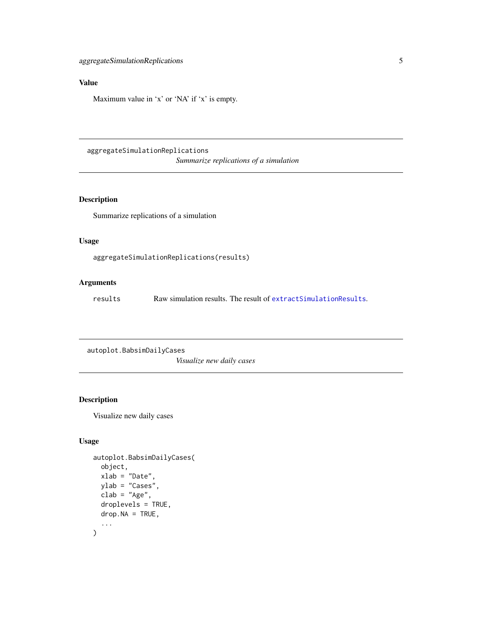# <span id="page-4-0"></span>Value

Maximum value in 'x' or 'NA' if 'x' is empty.

aggregateSimulationReplications *Summarize replications of a simulation*

# Description

Summarize replications of a simulation

#### Usage

aggregateSimulationReplications(results)

# Arguments

results Raw simulation results. The result of [extractSimulationResults](#page-19-1).

autoplot.BabsimDailyCases

*Visualize new daily cases*

# Description

Visualize new daily cases

# Usage

```
autoplot.BabsimDailyCases(
  object,
  xlab = "Date",
 vlab = "Cases",
  clab = "Age",droplevels = TRUE,
  drop.NA = TRUE,...
\mathcal{E}
```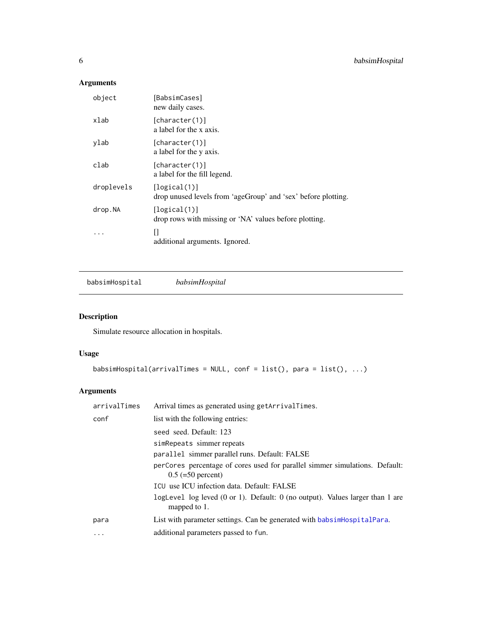# <span id="page-5-0"></span>Arguments

| object     | [BabsimCases]<br>new daily cases.                                             |
|------------|-------------------------------------------------------------------------------|
| xlab       | [character(1)]<br>a label for the x axis.                                     |
| ylab       | [character(1)]<br>a label for the y axis.                                     |
| clab       | [character(1)]<br>a label for the fill legend.                                |
| droplevels | [logical(1)]<br>drop unused levels from 'ageGroup' and 'sex' before plotting. |
| drop.NA    | [logical(1)]<br>drop rows with missing or 'NA' values before plotting.        |
|            | П<br>additional arguments. Ignored.                                           |

<span id="page-5-1"></span>babsimHospital *babsimHospital*

# Description

Simulate resource allocation in hospitals.

# Usage

babsimHospital(arrivalTimes = NULL, conf = list(), para = list(), ...)

# Arguments

| arrivalTimes | Arrival times as generated using getArrivalTimes.                                                           |
|--------------|-------------------------------------------------------------------------------------------------------------|
| conf         | list with the following entries:                                                                            |
|              | seed seed. Default: 123                                                                                     |
|              | sim Repeats simmer repeats                                                                                  |
|              | parallel simmer parallel runs. Default: FALSE                                                               |
|              | perCores percentage of cores used for parallel simmer simulations. Default:<br>$0.5 (=50$ percent)          |
|              | ICU use ICU infection data. Default: FALSE                                                                  |
|              | logLevel log leved $(0 \text{ or } 1)$ . Default: $0$ (no output). Values larger than 1 are<br>mapped to 1. |
| para         | List with parameter settings. Can be generated with babsime Hospital Para.                                  |
| $\cdots$     | additional parameters passed to fun.                                                                        |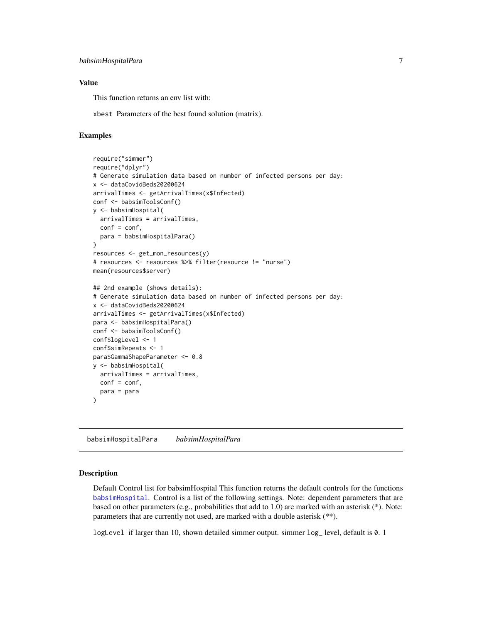### <span id="page-6-0"></span>Value

This function returns an env list with:

xbest Parameters of the best found solution (matrix).

#### Examples

```
require("simmer")
require("dplyr")
# Generate simulation data based on number of infected persons per day:
x <- dataCovidBeds20200624
arrivalTimes <- getArrivalTimes(x$Infected)
conf <- babsimToolsConf()
y <- babsimHospital(
  arrivalTimes = arrivalTimes,
  conf = conf,para = babsimHospitalPara()
)
resources <- get_mon_resources(y)
# resources <- resources %>% filter(resource != "nurse")
mean(resources$server)
## 2nd example (shows details):
# Generate simulation data based on number of infected persons per day:
x <- dataCovidBeds20200624
arrivalTimes <- getArrivalTimes(x$Infected)
para <- babsimHospitalPara()
conf <- babsimToolsConf()
conf$logLevel <- 1
conf$simRepeats <- 1
para$GammaShapeParameter <- 0.8
y <- babsimHospital(
  arrivalTimes = arrivalTimes,
  conf = conf,para = para
)
```
<span id="page-6-1"></span>babsimHospitalPara *babsimHospitalPara*

#### **Description**

Default Control list for babsimHospital This function returns the default controls for the functions [babsimHospital](#page-5-1). Control is a list of the following settings. Note: dependent parameters that are based on other parameters (e.g., probabilities that add to 1.0) are marked with an asterisk (\*). Note: parameters that are currently not used, are marked with a double asterisk (\*\*).

logLevel if larger than 10, shown detailed simmer output. simmer log\_ level, default is 0. 1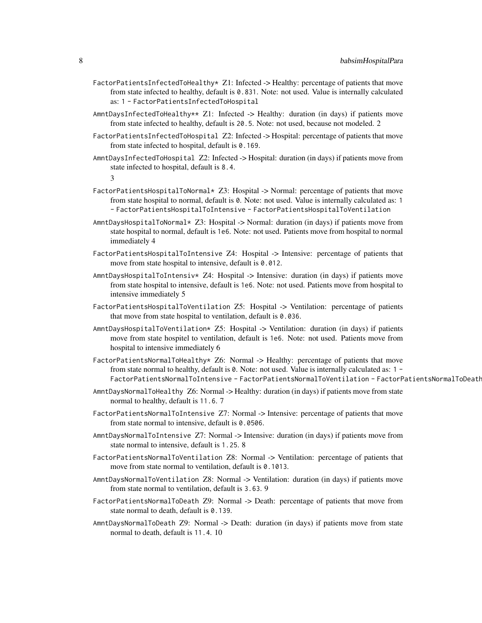- FactorPatientsInfectedToHealthy\* Z1: Infected -> Healthy: percentage of patients that move from state infected to healthy, default is 0.831. Note: not used. Value is internally calculated as: 1 - FactorPatientsInfectedToHospital
- AmntDaysInfectedToHealthy\*\* Z1: Infected -> Healthy: duration (in days) if patients move from state infected to healthy, default is 20.5. Note: not used, because not modeled. 2
- FactorPatientsInfectedToHospital Z2: Infected -> Hospital: percentage of patients that move from state infected to hospital, default is 0.169.
- AmntDaysInfectedToHospital Z2: Infected -> Hospital: duration (in days) if patients move from state infected to hospital, default is 8.4.

3

- FactorPatientsHospitalToNormal\* Z3: Hospital -> Normal: percentage of patients that move from state hospital to normal, default is 0. Note: not used. Value is internally calculated as: 1 - FactorPatientsHospitalToIntensive - FactorPatientsHospitalToVentilation
- AmntDaysHospitalToNormal $*$  Z3: Hospital -> Normal: duration (in days) if patients move from state hospital to normal, default is 1e6. Note: not used. Patients move from hospital to normal immediately 4
- FactorPatientsHospitalToIntensive Z4: Hospital -> Intensive: percentage of patients that move from state hospital to intensive, default is 0.012.
- AmntDaysHospitalToIntensiv\* Z4: Hospital -> Intensive: duration (in days) if patients move from state hospital to intensive, default is 1e6. Note: not used. Patients move from hospital to intensive immediately 5
- FactorPatientsHospitalToVentilation Z5: Hospital -> Ventilation: percentage of patients that move from state hospital to ventilation, default is 0.036.
- AmntDaysHospitalToVentilation\* Z5: Hospital -> Ventilation: duration (in days) if patients move from state hospitel to ventilation, default is 1e6. Note: not used. Patients move from hospital to intensive immediately 6
- FactorPatientsNormalToHealthy\* Z6: Normal -> Healthy: percentage of patients that move from state normal to healthy, default is 0. Note: not used. Value is internally calculated as: 1 - FactorPatientsNormalToIntensive - FactorPatientsNormalToVentilation - FactorPatientsNormalToDeath
- AmntDaysNormalToHealthy Z6: Normal -> Healthy: duration (in days) if patients move from state normal to healthy, default is 11.6. 7
- FactorPatientsNormalToIntensive Z7: Normal -> Intensive: percentage of patients that move from state normal to intensive, default is 0.0506.
- AmntDaysNormalToIntensive Z7: Normal -> Intensive: duration (in days) if patients move from state normal to intensive, default is 1.25. 8
- FactorPatientsNormalToVentilation Z8: Normal -> Ventilation: percentage of patients that move from state normal to ventilation, default is 0.1013.
- AmntDaysNormalToVentilation Z8: Normal -> Ventilation: duration (in days) if patients move from state normal to ventilation, default is 3.63. 9
- FactorPatientsNormalToDeath Z9: Normal -> Death: percentage of patients that move from state normal to death, default is 0.139.
- AmntDaysNormalToDeath Z9: Normal -> Death: duration (in days) if patients move from state normal to death, default is 11.4. 10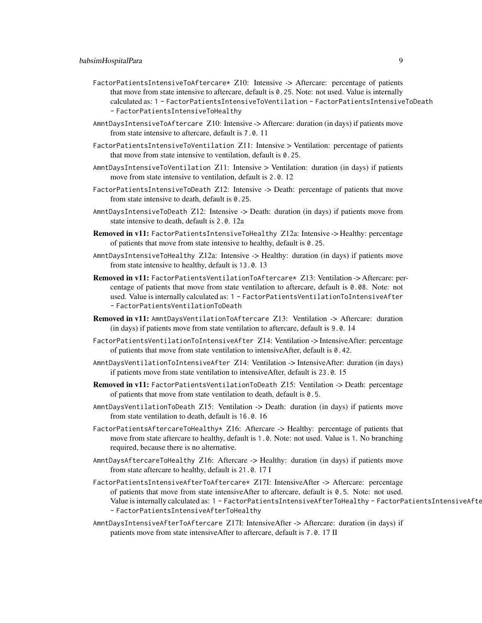- FactorPatientsIntensiveToAftercare\* Z10: Intensive -> Aftercare: percentage of patients that move from state intensive to aftercare, default is 0.25. Note: not used. Value is internally calculated as: 1 - FactorPatientsIntensiveToVentilation - FactorPatientsIntensiveToDeath - FactorPatientsIntensiveToHealthy
- AmntDaysIntensiveToAftercare Z10: Intensive -> Aftercare: duration (in days) if patients move from state intensive to aftercare, default is 7.0. 11
- FactorPatientsIntensiveToVentilation Z11: Intensive > Ventilation: percentage of patients that move from state intensive to ventilation, default is 0.25.
- AmntDaysIntensiveToVentilation Z11: Intensive > Ventilation: duration (in days) if patients move from state intensive to ventilation, default is 2.0. 12
- FactorPatientsIntensiveToDeath Z12: Intensive -> Death: percentage of patients that move from state intensive to death, default is 0.25.
- AmntDaysIntensiveToDeath Z12: Intensive -> Death: duration (in days) if patients move from state intensive to death, default is 2.0. 12a
- Removed in v11: FactorPatientsIntensiveToHealthy Z12a: Intensive -> Healthy: percentage of patients that move from state intensive to healthy, default is 0.25.
- AmntDaysIntensiveToHealthy Z12a: Intensive -> Healthy: duration (in days) if patients move from state intensive to healthy, default is 13.0. 13
- Removed in v11: FactorPatientsVentilationToAftercare\* Z13: Ventilation -> Aftercare: percentage of patients that move from state ventilation to aftercare, default is 0.08. Note: not used. Value is internally calculated as: 1 - FactorPatientsVentilationToIntensiveAfter - FactorPatientsVentilationToDeath
- Removed in v11: AmntDaysVentilationToAftercare Z13: Ventilation -> Aftercare: duration (in days) if patients move from state ventilation to aftercare, default is 9.0. 14
- FactorPatientsVentilationToIntensiveAfter Z14: Ventilation -> IntensiveAfter: percentage of patients that move from state ventilation to intensiveAfter, default is 0.42.
- AmntDaysVentilationToIntensiveAfter Z14: Ventilation -> IntensiveAfter: duration (in days) if patients move from state ventilation to intensiveAfter, default is 23.0. 15
- Removed in v11: FactorPatientsVentilationToDeath Z15: Ventilation -> Death: percentage of patients that move from state ventilation to death, default is 0.5.
- AmntDaysVentilationToDeath Z15: Ventilation -> Death: duration (in days) if patients move from state ventilation to death, default is 16.0. 16
- FactorPatientsAftercareToHealthy\* Z16: Aftercare -> Healthy: percentage of patients that move from state aftercare to healthy, default is 1.0. Note: not used. Value is 1. No branching required, because there is no alternative.
- AmntDaysAftercareToHealthy Z16: Aftercare -> Healthy: duration (in days) if patients move from state aftercare to healthy, default is 21.0. 17 I
- FactorPatientsIntensiveAfterToAftercare\* Z17I: IntensiveAfter -> Aftercare: percentage of patients that move from state intensiveAfter to aftercare, default is 0.5. Note: not used. Value is internally calculated as: 1 - FactorPatientsIntensiveAfterToHealthy - FactorPatientsIntensiveAfte - FactorPatientsIntensiveAfterToHealthy
- AmntDaysIntensiveAfterToAftercare Z17I: IntensiveAfter -> Aftercare: duration (in days) if patients move from state intensiveAfter to aftercare, default is 7.0. 17 II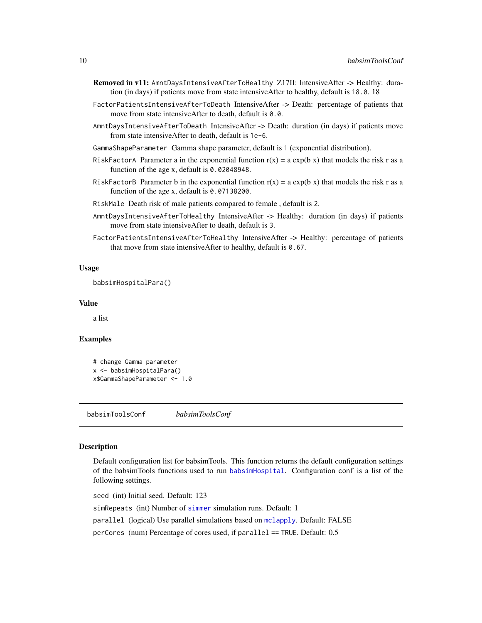- <span id="page-9-0"></span>Removed in v11: AmntDaysIntensiveAfterToHealthy Z17II: IntensiveAfter -> Healthy: duration (in days) if patients move from state intensiveAfter to healthy, default is 18.0. 18
- FactorPatientsIntensiveAfterToDeath IntensiveAfter -> Death: percentage of patients that move from state intensiveAfter to death, default is 0.0.
- AmntDaysIntensiveAfterToDeath IntensiveAfter -> Death: duration (in days) if patients move from state intensiveAfter to death, default is 1e-6.

GammaShapeParameter Gamma shape parameter, default is 1 (exponential distribution).

- RiskFactorA Parameter a in the exponential function  $r(x) = a \exp(b \, x)$  that models the risk r as a function of the age x, default is 0.02048948.
- RiskFactorB Parameter b in the exponential function  $r(x) = a \exp(b \, x)$  that models the risk r as a function of the age x, default is 0.07138200.

RiskMale Death risk of male patients compared to female , default is 2.

- AmntDaysIntensiveAfterToHealthy IntensiveAfter -> Healthy: duration (in days) if patients move from state intensiveAfter to death, default is 3.
- FactorPatientsIntensiveAfterToHealthy IntensiveAfter -> Healthy: percentage of patients that move from state intensiveAfter to healthy, default is 0.67.

#### Usage

babsimHospitalPara()

### Value

a list

#### Examples

```
# change Gamma parameter
x <- babsimHospitalPara()
x$GammaShapeParameter <- 1.0
```
<span id="page-9-1"></span>babsimToolsConf *babsimToolsConf*

#### **Description**

Default configuration list for babsimTools. This function returns the default configuration settings of the babsimTools functions used to run [babsimHospital](#page-5-1). Configuration conf is a list of the following settings.

seed (int) Initial seed. Default: 123 simRepeats (int) Number of [simmer](#page-0-0) simulation runs. Default: 1 parallel (logical) Use parallel simulations based on [mclapply](#page-0-0). Default: FALSE perCores (num) Percentage of cores used, if parallel == TRUE. Default: 0.5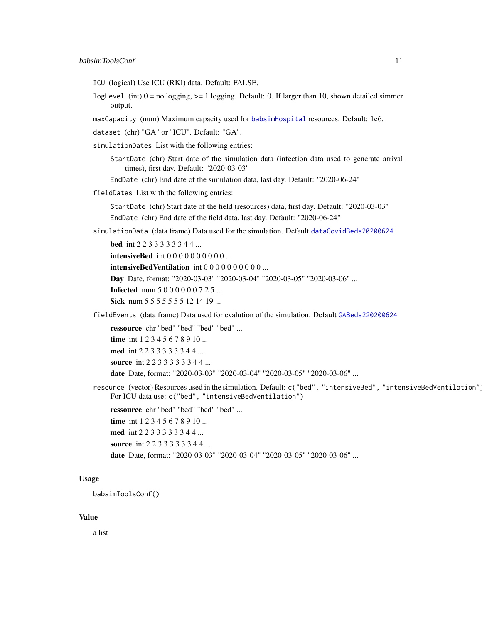- ICU (logical) Use ICU (RKI) data. Default: FALSE.
- logLevel (int)  $0 = no$  logging,  $>= 1$  logging. Default: 0. If larger than 10, shown detailed simmer output.
- maxCapacity (num) Maximum capacity used for [babsimHospital](#page-5-1) resources. Default: 1e6.

dataset (chr) "GA" or "ICU". Default: "GA".

- simulationDates List with the following entries:
	- StartDate (chr) Start date of the simulation data (infection data used to generate arrival times), first day. Default: "2020-03-03"

EndDate (chr) End date of the simulation data, last day. Default: "2020-06-24"

fieldDates List with the following entries:

StartDate (chr) Start date of the field (resources) data, first day. Default: "2020-03-03" EndDate (chr) End date of the field data, last day. Default: "2020-06-24"

simulationData (data frame) Data used for the simulation. Default [dataCovidBeds20200624](#page-13-1)

bed int 2 2 3 3 3 3 3 3 4 4 ...

**intensiveBed** int 0 0 0 0 0 0 0 0 0 0 ...

intensiveBedVentilation int 0 0 0 0 0 0 0 0 0 0 ...

- Day Date, format: "2020-03-03" "2020-03-04" "2020-03-05" "2020-03-06" ...
- **Infected** num 5 0 0 0 0 0 0 7 2 5 ...

Sick num 5 5 5 5 5 5 5 5 1 2 1 4 1 9 ...

fieldEvents (data frame) Data used for evalution of the simulation. Default [GABeds220200624](#page-25-1)

ressource chr "bed" "bed" "bed" "bed" ...

time int 1 2 3 4 5 6 7 8 9 10 ... med int 2 2 3 3 3 3 3 3 4 4 ...

source int 2 2 3 3 3 3 3 3 4 4 ...

date Date, format: "2020-03-03" "2020-03-04" "2020-03-05" "2020-03-06" ...

resource (vector) Resources used in the simulation. Default: c("bed", "intensiveBed", "intensiveBedVentilation" For ICU data use: c("bed", "intensiveBedVentilation")

ressource chr "bed" "bed" "bed" "bed" ...

time int 1 2 3 4 5 6 7 8 9 10 ...

med int 2 2 3 3 3 3 3 3 4 4 ...

source int 2 2 3 3 3 3 3 3 4 4 ...

date Date, format: "2020-03-03" "2020-03-04" "2020-03-05" "2020-03-06" ...

#### Usage

babsimToolsConf()

#### Value

a list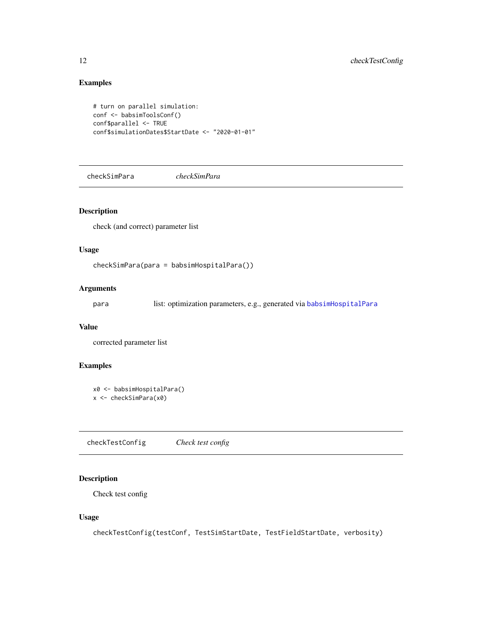# Examples

```
# turn on parallel simulation:
conf <- babsimToolsConf()
conf$parallel <- TRUE
conf$simulationDates$StartDate <- "2020-01-01"
```
checkSimPara *checkSimPara*

# Description

check (and correct) parameter list

#### Usage

checkSimPara(para = babsimHospitalPara())

#### Arguments

para list: optimization parameters, e.g., generated via [babsimHospitalPara](#page-6-1)

### Value

corrected parameter list

# Examples

```
x0 <- babsimHospitalPara()
x <- checkSimPara(x0)
```
checkTestConfig *Check test config*

# Description

Check test config

# Usage

checkTestConfig(testConf, TestSimStartDate, TestFieldStartDate, verbosity)

<span id="page-11-0"></span>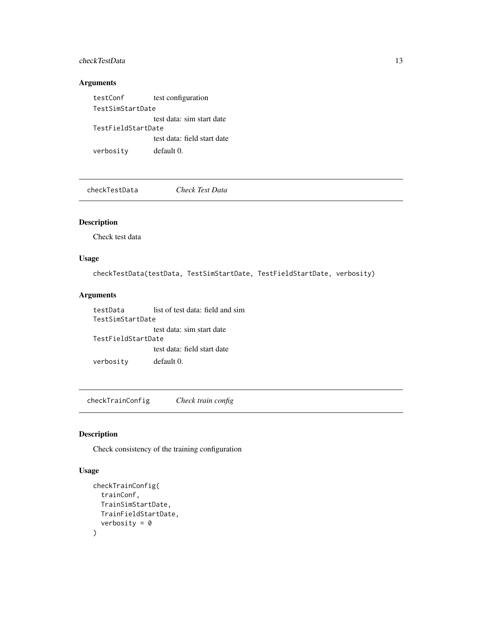## <span id="page-12-0"></span>checkTestData 13

## Arguments

testConf test configuration TestSimStartDate test data: sim start date TestFieldStartDate test data: field start date verbosity default 0.

checkTestData *Check Test Data*

### Description

Check test data

### Usage

checkTestData(testData, TestSimStartDate, TestFieldStartDate, verbosity)

### Arguments

testData list of test data: field and sim TestSimStartDate test data: sim start date TestFieldStartDate test data: field start date verbosity default 0.

checkTrainConfig *Check train config*

# Description

Check consistency of the training configuration

# Usage

```
checkTrainConfig(
  trainConf,
  TrainSimStartDate,
  TrainFieldStartDate,
  verbosity = 0\mathcal{L}
```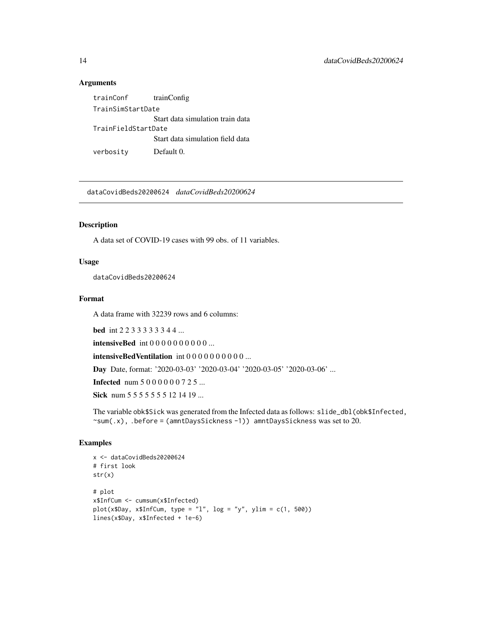#### Arguments

trainConf trainConfig TrainSimStartDate Start data simulation train data TrainFieldStartDate Start data simulation field data verbosity Default 0.

<span id="page-13-1"></span>dataCovidBeds20200624 *dataCovidBeds20200624*

# Description

A data set of COVID-19 cases with 99 obs. of 11 variables.

### Usage

dataCovidBeds20200624

### Format

A data frame with 32239 rows and 6 columns:

bed int 2 2 3 3 3 3 3 3 4 4 ...

**intensiveBed** int  $000000000...$ 

intensiveBedVentilation int 0 0 0 0 0 0 0 0 0 0 ...

Day Date, format: '2020-03-03' '2020-03-04' '2020-03-05' '2020-03-06' ...

**Infected** num 5 0 0 0 0 0 0 7 2 5 ...

Sick num 5 5 5 5 5 5 5 5 1 2 1 4 1 9 ...

The variable obk\$Sick was generated from the Infected data as follows: slide\_dbl(obk\$Infected,  $\text{sym}(.x)$ , .before = (amntDaysSickness -1)) amntDaysSickness was set to 20.

```
x <- dataCovidBeds20200624
# first look
str(x)
# plot
x$InfCum <- cumsum(x$Infected)
plot(x$Day, x$InfoUm, type = "l", log = "y", ylim = c(1, 500))lines(x$Day, x$Infected + 1e-6)
```
<span id="page-13-0"></span>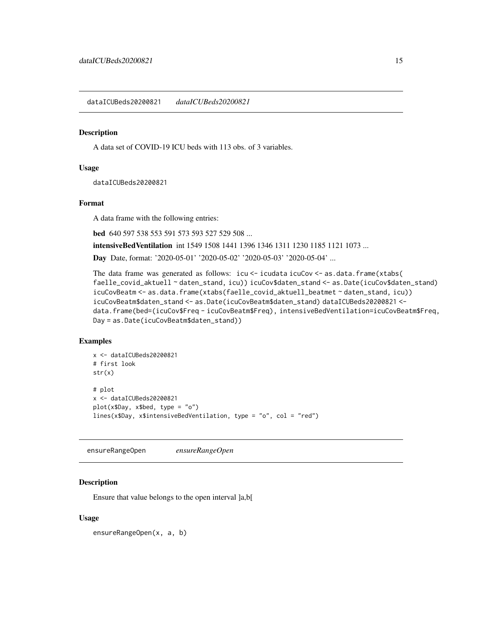<span id="page-14-0"></span>dataICUBeds20200821 *dataICUBeds20200821*

#### **Description**

A data set of COVID-19 ICU beds with 113 obs. of 3 variables.

#### Usage

dataICUBeds20200821

#### Format

A data frame with the following entries:

bed 640 597 538 553 591 573 593 527 529 508 ...

intensiveBedVentilation int 1549 1508 1441 1396 1346 1311 1230 1185 1121 1073 ...

Day Date, format: '2020-05-01' '2020-05-02' '2020-05-03' '2020-05-04' ...

The data frame was generated as follows: icu <- icudata icuCov <- as.data.frame(xtabs( faelle\_covid\_aktuell ~ daten\_stand, icu)) icuCov\$daten\_stand <- as.Date(icuCov\$daten\_stand) icuCovBeatm <- as.data.frame(xtabs(faelle\_covid\_aktuell\_beatmet ~ daten\_stand, icu)) icuCovBeatm\$daten\_stand <- as.Date(icuCovBeatm\$daten\_stand) dataICUBeds20200821 < data.frame(bed=(icuCov\$Freq - icuCovBeatm\$Freq), intensiveBedVentilation=icuCovBeatm\$Freq, Day = as.Date(icuCovBeatm\$daten\_stand))

### Examples

```
x <- dataICUBeds20200821
# first look
str(x)
# plot
x <- dataICUBeds20200821
plot(x$Day, x$bed, type = "o")
lines(x$Day, x$intensiveBedVentilation, type = "o", col = "red")
```
ensureRangeOpen *ensureRangeOpen*

#### Description

Ensure that value belongs to the open interval ]a,b[

#### Usage

ensureRangeOpen(x, a, b)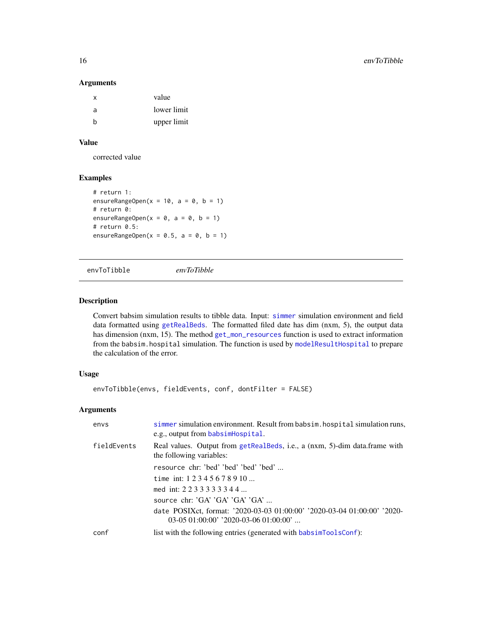#### Arguments

| х | value       |
|---|-------------|
| a | lower limit |
| h | upper limit |

# Value

corrected value

# Examples

```
# return 1:
ensureRangeOpen(x = 10, a = 0, b = 1)
# return 0:
ensureRangeOpen(x = 0, a = 0, b = 1)
# return 0.5:
ensureRangeOpen(x = 0.5, a = 0, b = 1)
```
envToTibble *envToTibble*

#### Description

Convert babsim simulation results to tibble data. Input: [simmer](#page-0-0) simulation environment and field data formatted using [getRealBeds](#page-41-1). The formatted filed date has dim (nxm, 5), the output data has dimension (nxm, 15). The method [get\\_mon\\_resources](#page-0-0) function is used to extract information from the babsim.hospital simulation. The function is used by [modelResultHospital](#page-58-1) to prepare the calculation of the error.

#### Usage

```
envToTibble(envs, fieldEvents, conf, dontFilter = FALSE)
```
# Arguments

| envs        | simmer simulation environment. Result from babsim. hospital simulation runs,<br>e.g., output from babsimHospital.   |
|-------------|---------------------------------------------------------------------------------------------------------------------|
| fieldEvents | Real values. Output from getRealBeds, i.e., a (nxm, 5)-dim data.frame with<br>the following variables:              |
|             | resource chr: 'bed' 'bed' 'bed' 'bed'                                                                               |
|             | time int: $12345678910$                                                                                             |
|             | med int: 2233333344                                                                                                 |
|             | source chr: $G A' G A' G A' G A' $                                                                                  |
|             | date POSIXct, format: '2020-03-03 01:00:00' '2020-03-04 01:00:00' '2020-<br>$03-0501:00:00$ ' '2020-03-06 01:00:00' |
| conf        | list with the following entries (generated with babsim ToolsConf):                                                  |

<span id="page-15-0"></span>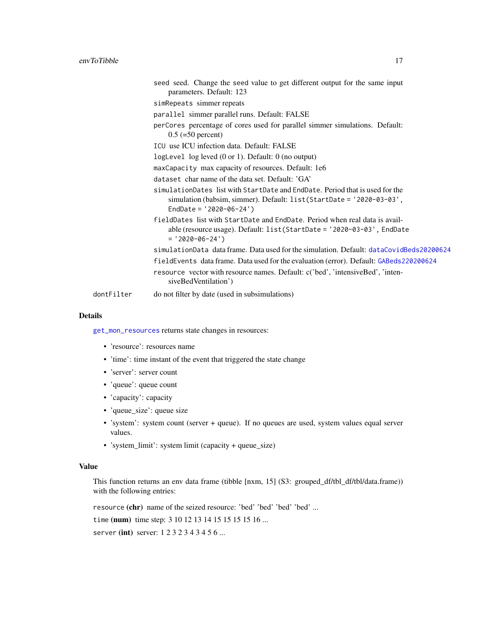|            | seed seed. Change the seed value to get different output for the same input<br>parameters. Default: 123                                                                           |
|------------|-----------------------------------------------------------------------------------------------------------------------------------------------------------------------------------|
|            | simRepeats simmer repeats                                                                                                                                                         |
|            | parallel simmer parallel runs. Default: FALSE                                                                                                                                     |
|            | perCores percentage of cores used for parallel simmer simulations. Default:<br>$0.5 (=50$ percent)                                                                                |
|            | ICU use ICU infection data. Default: FALSE                                                                                                                                        |
|            | logLevel $log$ leved $(0 or 1)$ . Default: $0$ (no output)                                                                                                                        |
|            | maxCapacity max capacity of resources. Default: 1e6                                                                                                                               |
|            | dataset char name of the data set. Default: 'GA'                                                                                                                                  |
|            | simulationDates list with StartDate and EndDate. Period that is used for the<br>simulation (babsim, simmer). Default: list (StartDate = '2020-03-03',<br>EndDate = $'2020-06-24'$ |
|            | fieldDates list with StartDate and EndDate. Period when real data is avail-<br>able (resource usage). Default: $list(StartDate = '2020-03-03', EndDate)$<br>$= '2020-06-24')$     |
|            | simulationData data frame. Data used for the simulation. Default: dataCovidBeds20200624                                                                                           |
|            | fieldEvents data frame. Data used for the evaluation (error). Default: GABeds220200624                                                                                            |
|            | resource vector with resource names. Default: c('bed', 'intensiveBed', 'inten-<br>siveBedVentilation')                                                                            |
| dontFilter | do not filter by date (used in subsimulations)                                                                                                                                    |

### Details

[get\\_mon\\_resources](#page-0-0) returns state changes in resources:

- 'resource': resources name
- 'time': time instant of the event that triggered the state change
- 'server': server count
- 'queue': queue count
- 'capacity': capacity
- 'queue\_size': queue size
- 'system': system count (server + queue). If no queues are used, system values equal server values.
- 'system\_limit': system limit (capacity + queue\_size)

#### Value

This function returns an env data frame (tibble [nxm, 15] (S3: grouped\_df/tbl\_df/tbl/data.frame)) with the following entries:

resource (chr) name of the seized resource: 'bed' 'bed' 'bed' 'bed' ...

time (num) time step: 3 10 12 13 14 15 15 15 15 16 ...

server (int) server: 1232343456...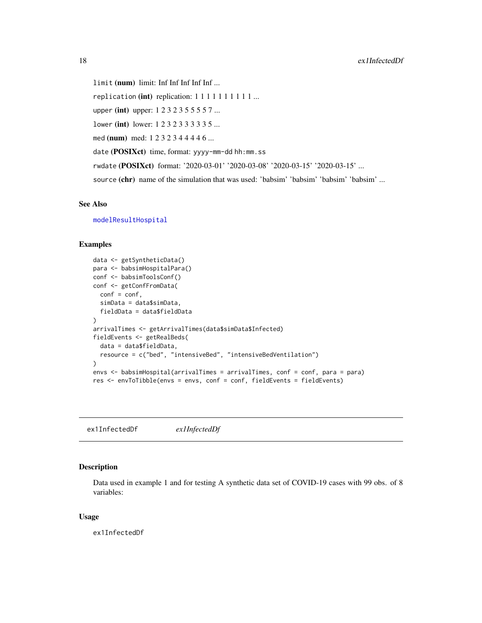<span id="page-17-0"></span>limit (num) limit: Inf Inf Inf Inf Inf ... replication (int) replication:  $1 1 1 1 1 1 1 1 1 ...$ upper (int) upper: 1 2 3 2 3 5 5 5 5 7 ... lower (int) lower: 1 2 3 2 3 3 3 3 3 5 ... med (num) med: 1 2 3 2 3 4 4 4 4 6 ... date (POSIXct) time, format: yyyy-mm-dd hh:mm.ss rwdate (POSIXct) format: '2020-03-01' '2020-03-08' '2020-03-15' '2020-03-15' ... source (chr) name of the simulation that was used: 'babsim' 'babsim' 'babsim' 'babsim' ...

# See Also

[modelResultHospital](#page-58-1)

#### Examples

```
data <- getSyntheticData()
para <- babsimHospitalPara()
conf <- babsimToolsConf()
conf <- getConfFromData(
  conf = conf,simData = data$simData,
  fieldData = data$fieldData
)
arrivalTimes <- getArrivalTimes(data$simData$Infected)
fieldEvents <- getRealBeds(
  data = data$fieldData,
  resource = c("bed", "intensiveBed", "intensiveBedVentilation")
\lambdaenvs <- babsimHospital(arrivalTimes = arrivalTimes, conf = conf, para = para)
res <- envToTibble(envs = envs, conf = conf, fieldEvents = fieldEvents)
```
ex1InfectedDf *ex1InfectedDf*

### Description

Data used in example 1 and for testing A synthetic data set of COVID-19 cases with 99 obs. of 8 variables:

#### Usage

ex1InfectedDf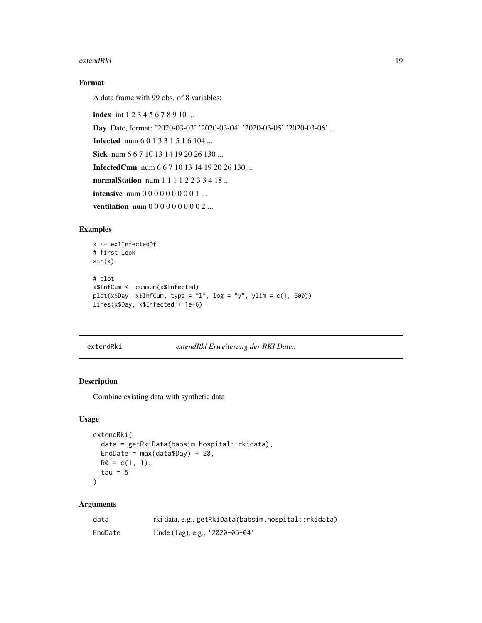#### <span id="page-18-0"></span>extendRki 19

# Format

A data frame with 99 obs. of 8 variables:

index int 1 2 3 4 5 6 7 8 9 10 ... Day Date, format: '2020-03-03' '2020-03-04' '2020-03-05' '2020-03-06' ... Infected num 6 0 1 3 3 1 5 1 6 104 ... Sick num 6 6 7 10 13 14 19 20 26 130 ... InfectedCum num 6 6 7 10 13 14 19 20 26 130 ... normalStation num 1 1 1 1 2 2 3 3 4 18 ... intensive num 0 0 0 0 0 0 0 0 0 1 ... ventilation num 0 0 0 0 0 0 0 0 0 2 ...

# Examples

```
x <- ex1InfectedDf
# first look
str(x)
# plot
x$InfCum <- cumsum(x$Infected)
plot(x$Day, x$InfCum, type = "l", log = "y", ylim = c(1, 500))
lines(x$Day, x$Infected + 1e-6)
```

```
extendRki extendRki Erweiterung der RKI Daten
```
# Description

Combine existing data with synthetic data

### Usage

```
extendRki(
  data = getRkiData(babsim.hospital::rkidata),
 EndDate = max(data$Day) + 28,
 R0 = c(1, 1),tau = 5\lambda
```
#### Arguments

| data    | rki data, e.g., getRkiData(babsim.hospital::rkidata) |
|---------|------------------------------------------------------|
| EndDate | Ende (Tag), e.g., $'2020-05-04'$                     |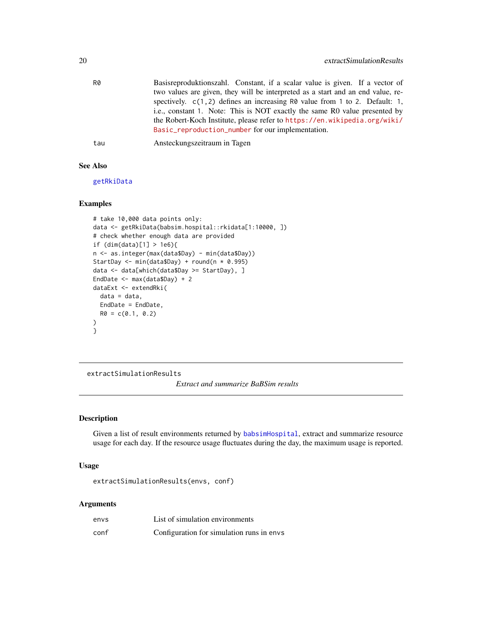<span id="page-19-0"></span>

| R0 | Basisreproduktionszahl. Constant, if a scalar value is given. If a vector of    |
|----|---------------------------------------------------------------------------------|
|    | two values are given, they will be interpreted as a start and an end value, re- |
|    | spectively. $c(1, 2)$ defines an increasing R0 value from 1 to 2. Default: 1,   |
|    | i.e., constant 1. Note: This is NOT exactly the same R0 value presented by      |
|    | the Robert-Koch Institute, please refer to https://en.wikipedia.org/wiki/       |
|    | Basic_reproduction_number for our implementation.                               |
|    |                                                                                 |

tau Ansteckungszeitraum in Tagen

# See Also

[getRkiData](#page-43-1)

### Examples

```
# take 10,000 data points only:
data <- getRkiData(babsim.hospital::rkidata[1:10000, ])
# check whether enough data are provided
if (dim(data)[1] > 1e6){
n <- as.integer(max(data$Day) - min(data$Day))
StartDay <- min(data$Day) + round(n * 0.995)
data <- data[which(data$Day >= StartDay), ]
EndDate <- max(data$Day) + 2
dataExt <- extendRki(
 data = data,
 EndDate = EndDate,
 R0 = c(0.1, 0.2))
}
```
<span id="page-19-1"></span>extractSimulationResults

*Extract and summarize BaBSim results*

### Description

Given a list of result environments returned by [babsimHospital](#page-5-1), extract and summarize resource usage for each day. If the resource usage fluctuates during the day, the maximum usage is reported.

#### Usage

extractSimulationResults(envs, conf)

#### Arguments

| envs | List of simulation environments           |
|------|-------------------------------------------|
| conf | Configuration for simulation runs in envs |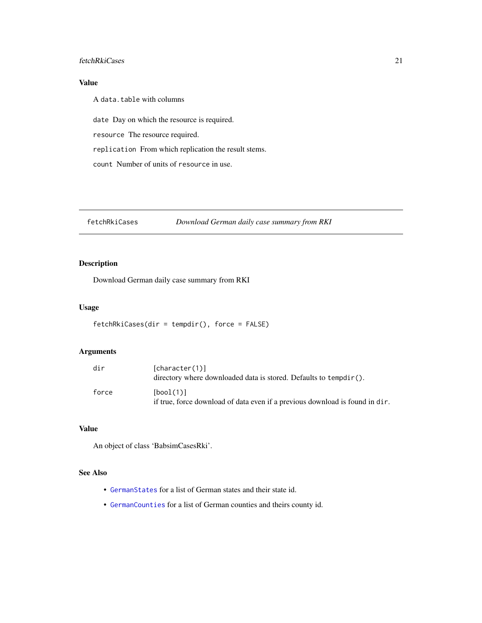#### <span id="page-20-0"></span>fetchRkiCases 21

# Value

A data.table with columns

date Day on which the resource is required. resource The resource required. replication From which replication the result stems.

count Number of units of resource in use.

fetchRkiCases *Download German daily case summary from RKI*

# Description

Download German daily case summary from RKI

### Usage

```
fetchRkiCases(dir = tempdir(), force = FALSE)
```
# Arguments

| dir   | [character(1)]<br>directory where downloaded data is stored. Defaults to tempdir().       |
|-------|-------------------------------------------------------------------------------------------|
| force | [bool(1)]<br>if true, force download of data even if a previous download is found in dir. |

## Value

An object of class 'BabsimCasesRki'.

# See Also

- [GermanStates](#page-26-1) for a list of German states and their state id.
- [GermanCounties](#page-25-2) for a list of German counties and theirs county id.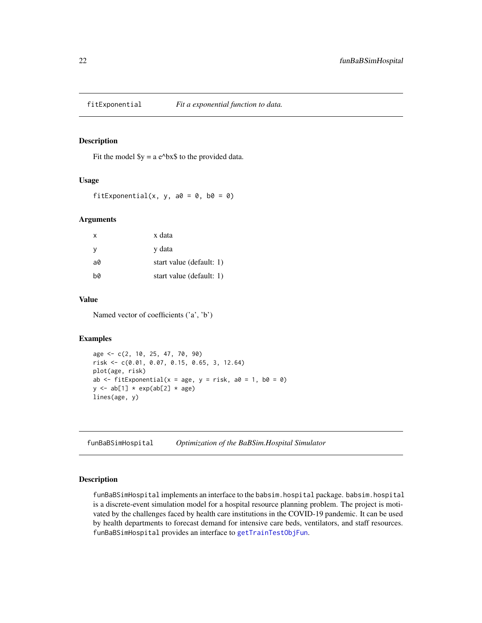<span id="page-21-0"></span>

#### Description

Fit the model  $y = a e^b$ x to the provided data.

#### Usage

fitExponential(x, y, a $\theta = \theta$ , b $\theta = \theta$ )

### Arguments

| X   | x data                   |
|-----|--------------------------|
| - y | y data                   |
| a0  | start value (default: 1) |
| b0  | start value (default: 1) |

### Value

Named vector of coefficients ('a', 'b')

#### Examples

```
age <- c(2, 10, 25, 47, 70, 90)
risk <- c(0.01, 0.07, 0.15, 0.65, 3, 12.64)
plot(age, risk)
ab \le fitExponential(x = age, y = risk, a0 = 1, b0 = 0)
y \leftarrow ab[1] * exp(ab[2] * age)lines(age, y)
```
funBaBSimHospital *Optimization of the BaBSim.Hospital Simulator*

# Description

funBaBSimHospital implements an interface to the babsim.hospital package. babsim.hospital is a discrete-event simulation model for a hospital resource planning problem. The project is motivated by the challenges faced by health care institutions in the COVID-19 pandemic. It can be used by health departments to forecast demand for intensive care beds, ventilators, and staff resources. funBaBSimHospital provides an interface to [getTrainTestObjFun](#page-47-1).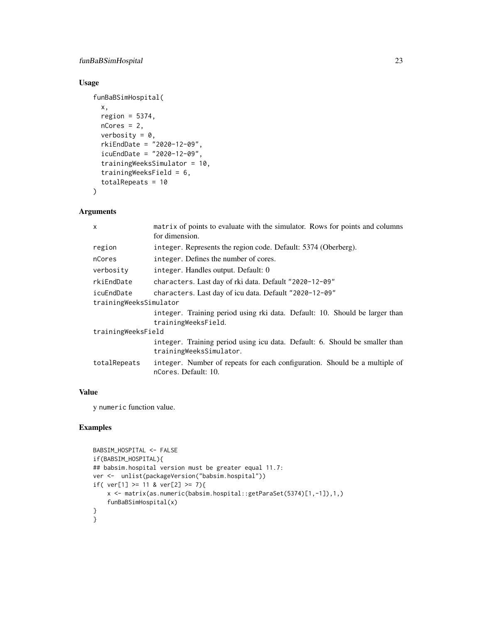# funBaBSimHospital 23

# Usage

```
funBaBSimHospital(
 x,
  region = 5374,
 nCores = 2,
 verbosity = 0,
  rkiEndDate = "2020-12-09",
  icuEndDate = "2020-12-09",
  trainingWeeksSimulator = 10,
  trainingWeeksField = 6,
  totalRepeats = 10
)
```
# Arguments

| $\mathsf{x}$           | matrix of points to evaluate with the simulator. Rows for points and columns<br>for dimension.         |
|------------------------|--------------------------------------------------------------------------------------------------------|
| region                 | integer. Represents the region code. Default: 5374 (Oberberg).                                         |
| nCores                 | integer. Defines the number of cores.                                                                  |
| verbosity              | integer. Handles output. Default: 0                                                                    |
| rkiEndDate             | characters. Last day of rki data. Default "2020-12-09"                                                 |
| icuEndDate             | characters. Last day of icu data. Default "2020-12-09"                                                 |
| trainingWeeksSimulator |                                                                                                        |
|                        | integer. Training period using rki data. Default: 10. Should be larger than<br>trainingWeeksField.     |
| trainingWeeksField     |                                                                                                        |
|                        | integer. Training period using icu data. Default: 6. Should be smaller than<br>trainingWeeksSimulator. |
| totalRepeats           | integer. Number of repeats for each configuration. Should be a multiple of<br>nCores. Default: 10.     |
|                        |                                                                                                        |

### Value

y numeric function value.

```
BABSIM_HOSPITAL <- FALSE
if(BABSIM_HOSPITAL){
## babsim.hospital version must be greater equal 11.7:
ver <- unlist(packageVersion("babsim.hospital"))
if( ver[1] \ge 11 & ver[2] \ge 7){
   x <- matrix(as.numeric(babsim.hospital::getParaSet(5374)[1,-1]),1,)
    funBaBSimHospital(x)
}
}
```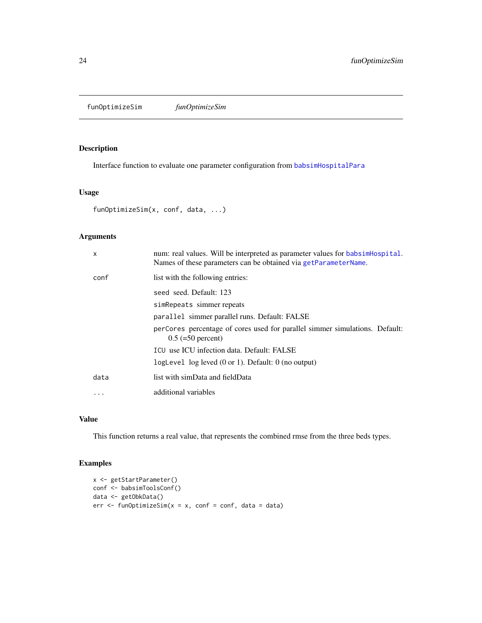<span id="page-23-0"></span>funOptimizeSim *funOptimizeSim*

### Description

Interface function to evaluate one parameter configuration from [babsimHospitalPara](#page-6-1)

# Usage

```
funOptimizeSim(x, conf, data, ...)
```
# Arguments

| X        | num: real values. Will be interpreted as parameter values for babsime lospital.<br>Names of these parameters can be obtained via getParameterName. |
|----------|----------------------------------------------------------------------------------------------------------------------------------------------------|
| conf     | list with the following entries:                                                                                                                   |
|          | seed seed. Default: 123                                                                                                                            |
|          | simRepeats simmer repeats                                                                                                                          |
|          | parallel simmer parallel runs. Default: FALSE                                                                                                      |
|          | perCores percentage of cores used for parallel simmer simulations. Default:<br>$0.5 (=50$ percent)                                                 |
|          | ICU use ICU infection data. Default: FALSE                                                                                                         |
|          | logLevel $log$ leved $(0 or 1)$ . Default: $0$ (no output)                                                                                         |
| data     | list with simData and fieldData                                                                                                                    |
| $\cdots$ | additional variables                                                                                                                               |

# Value

This function returns a real value, that represents the combined rmse from the three beds types.

```
x <- getStartParameter()
conf <- babsimToolsConf()
data <- getObkData()
err <- funOptimizeSim(x = x, conf = conf, data = data)
```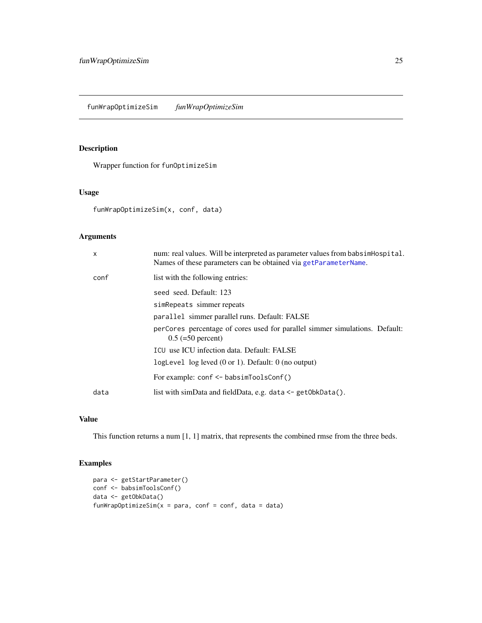# <span id="page-24-0"></span>Description

Wrapper function for funOptimizeSim

# Usage

funWrapOptimizeSim(x, conf, data)

# Arguments

| X    | num: real values. Will be interpreted as parameter values from babsimentospital.<br>Names of these parameters can be obtained via getParameterName. |
|------|-----------------------------------------------------------------------------------------------------------------------------------------------------|
| conf | list with the following entries:                                                                                                                    |
|      | seed seed. Default: 123                                                                                                                             |
|      | simRepeats simmer repeats                                                                                                                           |
|      | parallel simmer parallel runs. Default: FALSE                                                                                                       |
|      | perCores percentage of cores used for parallel simmer simulations. Default:<br>$0.5 (=50$ percent)                                                  |
|      | ICU use ICU infection data. Default: FALSE                                                                                                          |
|      | logLevel $log$ leved $(0 \text{ or } 1)$ . Default: $0$ (no output)                                                                                 |
|      | For example: $conf \leftarrow babsimToolsConf()$                                                                                                    |
| data | list with simData and fieldData, e.g. data $\leq$ getObkData().                                                                                     |
|      |                                                                                                                                                     |

# Value

This function returns a num [1, 1] matrix, that represents the combined rmse from the three beds.

```
para <- getStartParameter()
conf <- babsimToolsConf()
data <- getObkData()
funWrapOptimizeSim(x = para, conf = conf, data = data)
```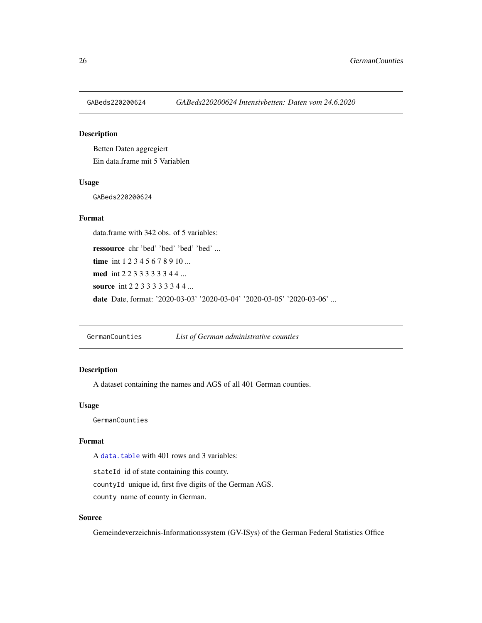<span id="page-25-1"></span><span id="page-25-0"></span>

# Description

Betten Daten aggregiert Ein data.frame mit 5 Variablen

#### Usage

GABeds220200624

#### Format

data.frame with 342 obs. of 5 variables:

ressource chr 'bed' 'bed' 'bed' 'bed' ... time int 1 2 3 4 5 6 7 8 9 10 ... med int 2 2 3 3 3 3 3 3 4 4 ... source int 2 2 3 3 3 3 3 3 4 4 ... date Date, format: '2020-03-03' '2020-03-04' '2020-03-05' '2020-03-06' ...

<span id="page-25-2"></span>GermanCounties *List of German administrative counties*

# Description

A dataset containing the names and AGS of all 401 German counties.

#### Usage

GermanCounties

# Format

A [data.table](#page-0-0) with 401 rows and 3 variables:

stateId id of state containing this county. countyId unique id, first five digits of the German AGS. county name of county in German.

### Source

Gemeindeverzeichnis-Informationssystem (GV-ISys) of the German Federal Statistics Office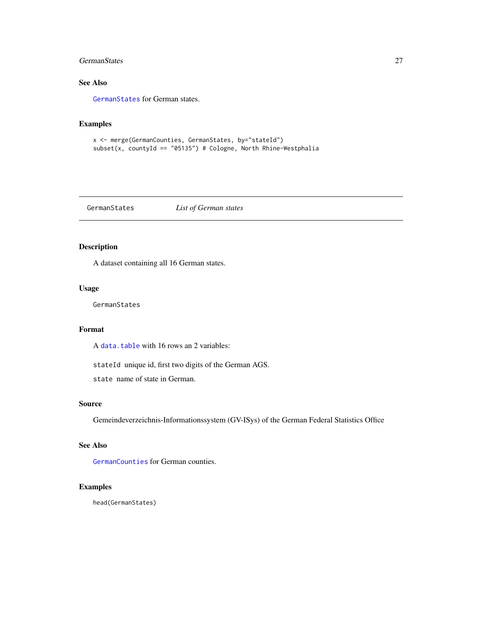### <span id="page-26-0"></span>GermanStates 27

# See Also

[GermanStates](#page-26-1) for German states.

#### Examples

```
x <- merge(GermanCounties, GermanStates, by="stateId")
subset(x, countyId == "05135") # Cologne, North Rhine-Westphalia
```
<span id="page-26-1"></span>GermanStates *List of German states*

# Description

A dataset containing all 16 German states.

#### Usage

GermanStates

# Format

A [data.table](#page-0-0) with 16 rows an 2 variables:

stateId unique id, first two digits of the German AGS.

state name of state in German.

# Source

Gemeindeverzeichnis-Informationssystem (GV-ISys) of the German Federal Statistics Office

# See Also

[GermanCounties](#page-25-2) for German counties.

# Examples

head(GermanStates)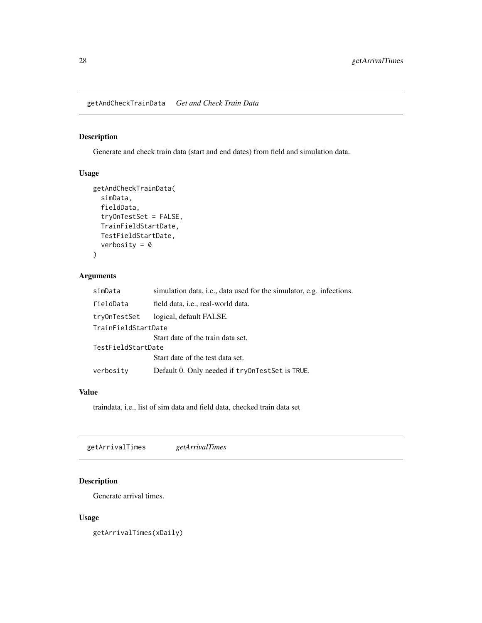<span id="page-27-0"></span>getAndCheckTrainData *Get and Check Train Data*

# Description

Generate and check train data (start and end dates) from field and simulation data.

# Usage

```
getAndCheckTrainData(
  simData,
  fieldData,
  tryOnTestSet = FALSE,
  TrainFieldStartDate,
 TestFieldStartDate,
  verbosity = 0)
```
#### Arguments

| simData             | simulation data, <i>i.e.</i> , data used for the simulator, <i>e.g.</i> infections. |
|---------------------|-------------------------------------------------------------------------------------|
| fieldData           | field data, i.e., real-world data.                                                  |
| tryOnTestSet        | logical, default FALSE.                                                             |
| TrainFieldStartDate |                                                                                     |
|                     | Start date of the train data set.                                                   |
| TestFieldStartDate  |                                                                                     |
|                     | Start date of the test data set.                                                    |
| verbosity           | Default 0. Only needed if tryonTestSet is TRUE.                                     |

#### Value

traindata, i.e., list of sim data and field data, checked train data set

getArrivalTimes *getArrivalTimes*

# Description

Generate arrival times.

# Usage

getArrivalTimes(xDaily)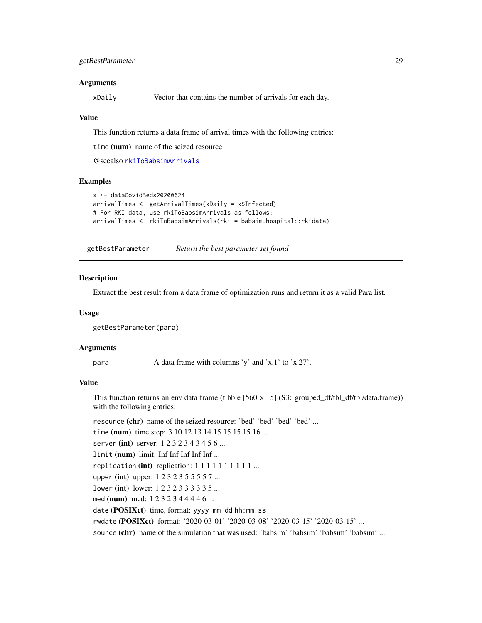#### <span id="page-28-0"></span>Arguments

xDaily Vector that contains the number of arrivals for each day.

#### Value

This function returns a data frame of arrival times with the following entries:

time (num) name of the seized resource

@seealso [rkiToBabsimArrivals](#page-69-1)

# Examples

```
x <- dataCovidBeds20200624
arrivalTimes <- getArrivalTimes(xDaily = x$Infected)
# For RKI data, use rkiToBabsimArrivals as follows:
arrivalTimes <- rkiToBabsimArrivals(rki = babsim.hospital::rkidata)
```
getBestParameter *Return the best parameter set found*

#### **Description**

Extract the best result from a data frame of optimization runs and return it as a valid Para list.

#### Usage

```
getBestParameter(para)
```
#### Arguments

para  $\alpha$  A data frame with columns 'y' and 'x.1' to 'x.27'.

# Value

This function returns an env data frame (tibble  $[560 \times 15]$  (S3: grouped\_df/tbl\_df/tbl/data.frame)) with the following entries:

resource (chr) name of the seized resource: 'bed' 'bed' 'bed' 'bed' ...

time (num) time step: 3 10 12 13 14 15 15 15 15 16 ...

server (int) server: 1232343456...

limit (num) limit: Inf Inf Inf Inf Inf ...

replication (int) replication:  $1 1 1 1 1 1 1 1 1 ...$ 

upper (int) upper: 1 2 3 2 3 5 5 5 5 7 ...

lower (int) lower: 1 2 3 2 3 3 3 3 3 5 ...

med (num) med: 1 2 3 2 3 4 4 4 4 6 ...

date (POSIXct) time, format: yyyy-mm-dd hh:mm.ss

rwdate (POSIXct) format: '2020-03-01' '2020-03-08' '2020-03-15' '2020-03-15' ...

source (chr) name of the simulation that was used: 'babsim' 'babsim' 'babsim' 'babsim' ...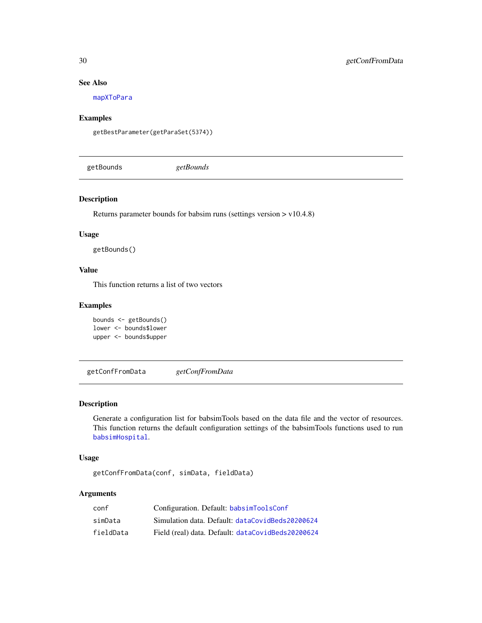# See Also

[mapXToPara](#page-56-1)

# Examples

getBestParameter(getParaSet(5374))

getBounds *getBounds*

### Description

Returns parameter bounds for babsim runs (settings version > v10.4.8)

#### Usage

getBounds()

### Value

This function returns a list of two vectors

### Examples

```
bounds <- getBounds()
lower <- bounds$lower
upper <- bounds$upper
```
getConfFromData *getConfFromData*

# Description

Generate a configuration list for babsimTools based on the data file and the vector of resources. This function returns the default configuration settings of the babsimTools functions used to run [babsimHospital](#page-5-1).

# Usage

getConfFromData(conf, simData, fieldData)

# Arguments

| conf      | Configuration. Default: babsimToolsConf           |
|-----------|---------------------------------------------------|
| simData   | Simulation data. Default: dataCovidBeds20200624   |
| fieldData | Field (real) data. Default: dataCovidBeds20200624 |

<span id="page-29-0"></span>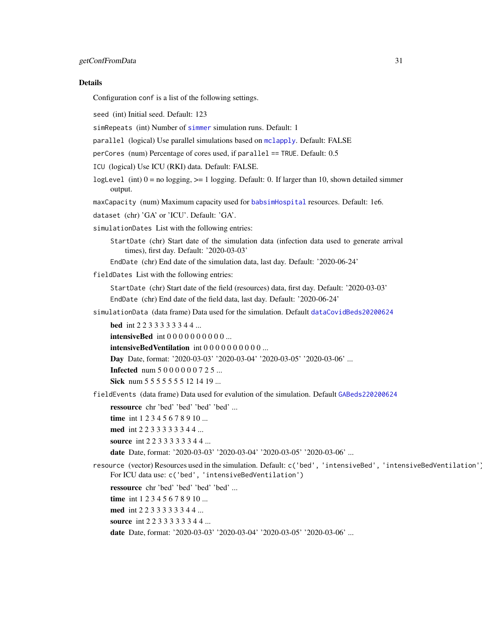#### Details

Configuration conf is a list of the following settings.

seed (int) Initial seed. Default: 123

simRepeats (int) Number of [simmer](#page-0-0) simulation runs. Default: 1

parallel (logical) Use parallel simulations based on [mclapply](#page-0-0). Default: FALSE

perCores (num) Percentage of cores used, if parallel == TRUE. Default: 0.5

ICU (logical) Use ICU (RKI) data. Default: FALSE.

logLevel (int)  $0 = no$  logging,  $>= 1$  logging. Default: 0. If larger than 10, shown detailed simmer output.

maxCapacity (num) Maximum capacity used for [babsimHospital](#page-5-1) resources. Default: 1e6.

dataset (chr) 'GA' or 'ICU'. Default: 'GA'.

simulationDates List with the following entries:

StartDate (chr) Start date of the simulation data (infection data used to generate arrival times), first day. Default: '2020-03-03'

EndDate (chr) End date of the simulation data, last day. Default: '2020-06-24'

fieldDates List with the following entries:

StartDate (chr) Start date of the field (resources) data, first day. Default: '2020-03-03' EndDate (chr) End date of the field data, last day. Default: '2020-06-24'

simulationData (data frame) Data used for the simulation. Default [dataCovidBeds20200624](#page-13-1)

bed int 2 2 3 3 3 3 3 3 4 4 ... **intensiveBed** int 0 0 0 0 0 0 0 0 0 0 ... intensiveBedVentilation int 0 0 0 0 0 0 0 0 0 0 ... Day Date, format: '2020-03-03' '2020-03-04' '2020-03-05' '2020-03-06' ... **Infected** num 5 0 0 0 0 0 0 7 2 5 ... Sick num 5 5 5 5 5 5 5 5 1 2 1 4 1 9 ...

fieldEvents (data frame) Data used for evalution of the simulation. Default [GABeds220200624](#page-25-1)

ressource chr 'bed' 'bed' 'bed' 'bed' ...

time int 1 2 3 4 5 6 7 8 9 10 ...

med int 2 2 3 3 3 3 3 3 4 4 ...

source int 2 2 3 3 3 3 3 3 4 4 ...

date Date, format: '2020-03-03' '2020-03-04' '2020-03-05' '2020-03-06' ...

resource (vector) Resources used in the simulation. Default: c('bed', 'intensiveBed', 'intensiveBedVentilation'). For ICU data use: c('bed', 'intensiveBedVentilation')

ressource chr 'bed' 'bed' 'bed' 'bed' ... time int 1 2 3 4 5 6 7 8 9 10 ... med int 2 2 3 3 3 3 3 3 4 4 ... source int 2 2 3 3 3 3 3 3 4 4 ...

date Date, format: '2020-03-03' '2020-03-04' '2020-03-05' '2020-03-06' ...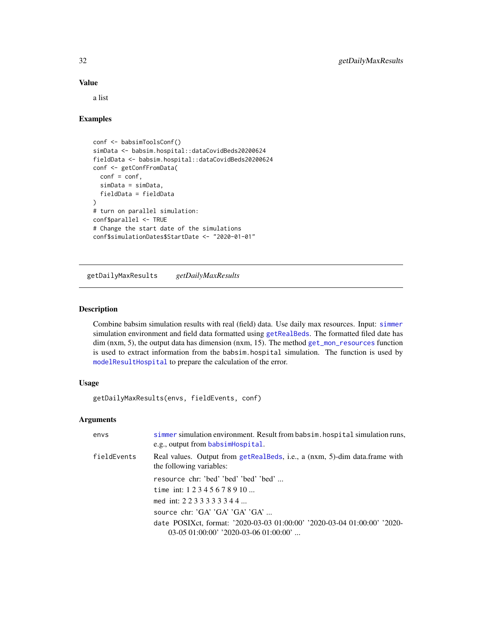### Value

a list

### Examples

```
conf <- babsimToolsConf()
simData <- babsim.hospital::dataCovidBeds20200624
fieldData <- babsim.hospital::dataCovidBeds20200624
conf <- getConfFromData(
  conf = conf,simData = simData,
  fieldData = fieldData
\mathcal{L}# turn on parallel simulation:
conf$parallel <- TRUE
# Change the start date of the simulations
conf$simulationDates$StartDate <- "2020-01-01"
```
getDailyMaxResults *getDailyMaxResults*

#### Description

Combine babsim simulation results with real (field) data. Use daily max resources. Input: [simmer](#page-0-0) simulation environment and field data formatted using [getRealBeds](#page-41-1). The formatted filed date has dim (nxm, 5), the output data has dimension (nxm, 15). The method [get\\_mon\\_resources](#page-0-0) function is used to extract information from the babsim.hospital simulation. The function is used by [modelResultHospital](#page-58-1) to prepare the calculation of the error.

### Usage

getDailyMaxResults(envs, fieldEvents, conf)

# Arguments

| envs        | simmer simulation environment. Result from babsim. hospital simulation runs,<br>e.g., output from babsimHospital. |
|-------------|-------------------------------------------------------------------------------------------------------------------|
| fieldEvents | Real values. Output from getRealBeds, i.e., a (nxm, 5)-dim data.frame with<br>the following variables:            |
|             | resource chr: 'bed' 'bed' 'bed' 'bed'                                                                             |
|             | time int: $12345678910$                                                                                           |
|             | med int: $2233333344$                                                                                             |
|             | source chr: $G A' G A' G A' G A' $                                                                                |
|             | date POSIXct, format: '2020-03-03 01:00:00' '2020-03-04 01:00:00' '2020-                                          |
|             | $03-0501:00:00'$ '2020-03-06 01:00:00'                                                                            |

<span id="page-31-0"></span>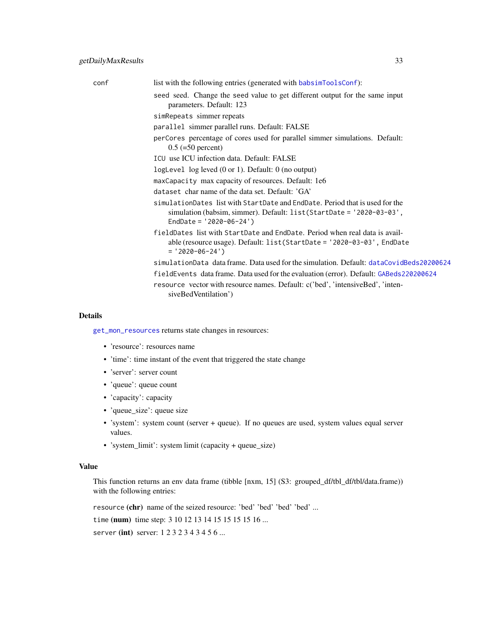list with the following entries (generated with [babsimToolsConf](#page-9-1)):

- seed seed. Change the seed value to get different output for the same input parameters. Default: 123
- simRepeats simmer repeats
- parallel simmer parallel runs. Default: FALSE
- perCores percentage of cores used for parallel simmer simulations. Default:  $0.5$  (=50 percent)
- ICU use ICU infection data. Default: FALSE
- logLevel log leved (0 or 1). Default: 0 (no output)
- maxCapacity max capacity of resources. Default: 1e6
- dataset char name of the data set. Default: 'GA'
- simulationDates list with StartDate and EndDate. Period that is used for the simulation (babsim, simmer). Default: list(StartDate = '2020-03-03', EndDate = '2020-06-24')
- fieldDates list with StartDate and EndDate. Period when real data is available (resource usage). Default: list(StartDate = '2020-03-03', EndDate  $= '2020-06-24')$
- simulationData data frame. Data used for the simulation. Default: [dataCovidBeds20200624](#page-13-1)
- fieldEvents data frame. Data used for the evaluation (error). Default: [GABeds220200624](#page-25-1)
- resource vector with resource names. Default: c('bed', 'intensiveBed', 'intensiveBedVentilation')

#### Details

[get\\_mon\\_resources](#page-0-0) returns state changes in resources:

- 'resource': resources name
- 'time': time instant of the event that triggered the state change
- 'server': server count
- 'queue': queue count
- 'capacity': capacity
- 'queue\_size': queue size
- 'system': system count (server + queue). If no queues are used, system values equal server values.
- 'system\_limit': system limit (capacity + queue\_size)

#### Value

This function returns an env data frame (tibble [nxm, 15] (S3: grouped\_df/tbl\_df/tbl/data.frame)) with the following entries:

resource (chr) name of the seized resource: 'bed' 'bed' 'bed' 'bed' ...

time (num) time step: 3 10 12 13 14 15 15 15 15 16 ...

server (int) server: 1232343456...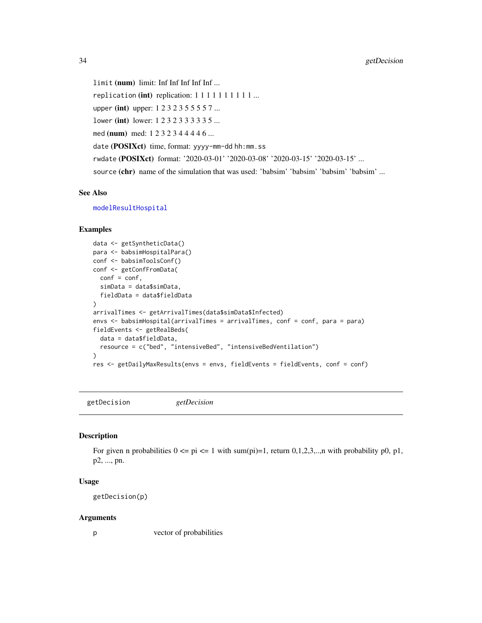limit (num) limit: Inf Inf Inf Inf Inf ... replication (int) replication:  $1 1 1 1 1 1 1 1 1 ...$ upper (int) upper: 1 2 3 2 3 5 5 5 5 7 ... lower (int) lower: 1 2 3 2 3 3 3 3 3 5 ... med (num) med: 1 2 3 2 3 4 4 4 4 6 ... date (POSIXct) time, format: yyyy-mm-dd hh:mm.ss rwdate (POSIXct) format: '2020-03-01' '2020-03-08' '2020-03-15' '2020-03-15' ... source (chr) name of the simulation that was used: 'babsim' 'babsim' 'babsim' 'babsim' ...

### See Also

[modelResultHospital](#page-58-1)

# Examples

```
data <- getSyntheticData()
para <- babsimHospitalPara()
conf <- babsimToolsConf()
conf <- getConfFromData(
  conf = conf,
  simData = data$simData,
  fieldData = data$fieldData
)
arrivalTimes <- getArrivalTimes(data$simData$Infected)
envs <- babsimHospital(arrivalTimes = arrivalTimes, conf = conf, para = para)
fieldEvents <- getRealBeds(
  data = data$fieldData,
  resource = c("bed", "intensiveBed", "intensiveBedVentilation")
)
res <- getDailyMaxResults(envs = envs, fieldEvents = fieldEvents, conf = conf)
```
getDecision *getDecision*

#### Description

For given n probabilities  $0 \leq p \leq 1$  with sum(pi)=1, return 0,1,2,3,.., n with probability p0, p1, p2, ..., pn.

#### Usage

getDecision(p)

#### Arguments

p vector of probabilities

<span id="page-33-0"></span>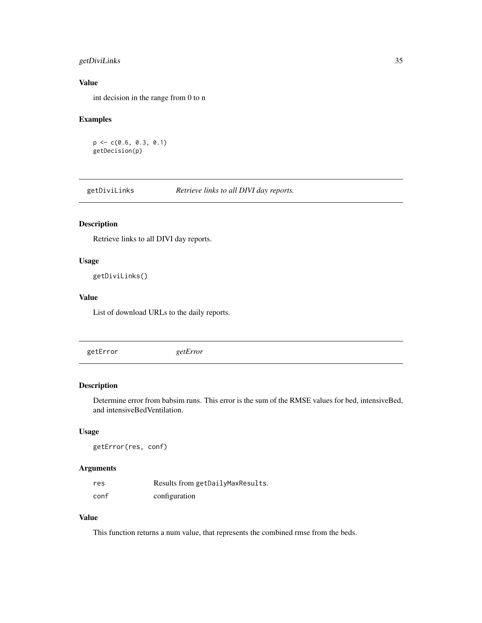# <span id="page-34-0"></span>getDiviLinks 35

# Value

int decision in the range from 0 to n

# Examples

```
p <- c(0.6, 0.3, 0.1)
getDecision(p)
```
getDiviLinks *Retrieve links to all DIVI day reports.*

# Description

Retrieve links to all DIVI day reports.

# Usage

getDiviLinks()

# Value

List of download URLs to the daily reports.

getError *getError*

# Description

Determine error from babsim runs. This error is the sum of the RMSE values for bed, intensiveBed, and intensiveBedVentilation.

### Usage

getError(res, conf)

### Arguments

| res  | Results from getDailyMaxResults. |
|------|----------------------------------|
| conf | configuration                    |

# Value

This function returns a num value, that represents the combined rmse from the beds.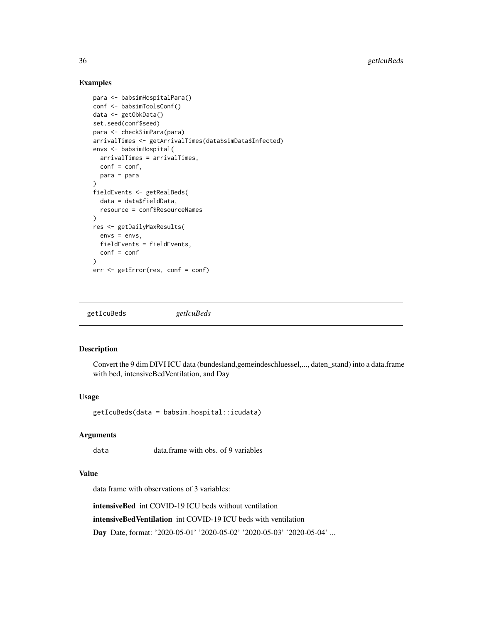### Examples

```
para <- babsimHospitalPara()
conf <- babsimToolsConf()
data <- getObkData()
set.seed(conf$seed)
para <- checkSimPara(para)
arrivalTimes <- getArrivalTimes(data$simData$Infected)
envs <- babsimHospital(
  arrivalTimes = arrivalTimes,
  conf = conf,para = para
)
fieldEvents <- getRealBeds(
  data = data$fieldData,
  resource = conf$ResourceNames
\lambdares <- getDailyMaxResults(
  envs = envs,fieldEvents = fieldEvents,
  conf = conf
)
err <- getError(res, conf = conf)
```
getIcuBeds *getIcuBeds*

### Description

Convert the 9 dim DIVI ICU data (bundesland,gemeindeschluessel,..., daten\_stand) into a data.frame with bed, intensiveBedVentilation, and Day

#### Usage

getIcuBeds(data = babsim.hospital::icudata)

#### Arguments

data data.frame with obs. of 9 variables

#### Value

data frame with observations of 3 variables:

intensiveBed int COVID-19 ICU beds without ventilation

intensiveBedVentilation int COVID-19 ICU beds with ventilation

Day Date, format: '2020-05-01' '2020-05-02' '2020-05-03' '2020-05-04' ...

<span id="page-35-0"></span>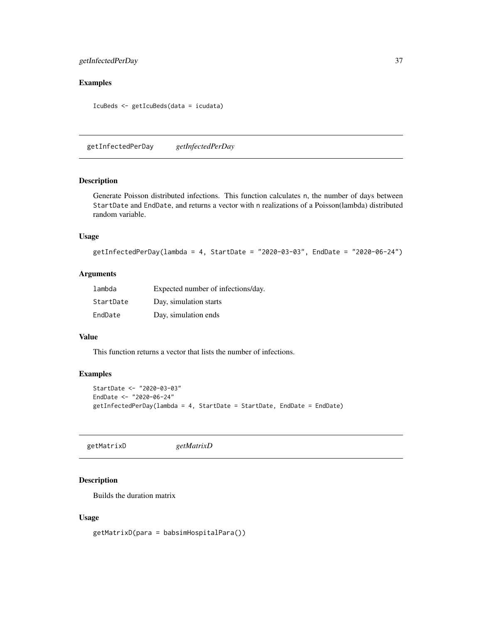# getInfectedPerDay 37

# Examples

IcuBeds <- getIcuBeds(data = icudata)

getInfectedPerDay *getInfectedPerDay*

#### Description

Generate Poisson distributed infections. This function calculates n, the number of days between StartDate and EndDate, and returns a vector with n realizations of a Poisson(lambda) distributed random variable.

#### Usage

```
getInfectedPerDay(lambda = 4, StartDate = "2020-03-03", EndDate = "2020-06-24")
```
# Arguments

| lambda    | Expected number of infections/day. |
|-----------|------------------------------------|
| StartDate | Day, simulation starts             |
| EndDate   | Day, simulation ends               |

#### Value

This function returns a vector that lists the number of infections.

## Examples

```
StartDate <- "2020-03-03"
EndDate <- "2020-06-24"
getInfectedPerDay(lambda = 4, StartDate = StartDate, EndDate = EndDate)
```
getMatrixD *getMatrixD*

## Description

Builds the duration matrix

#### Usage

getMatrixD(para = babsimHospitalPara())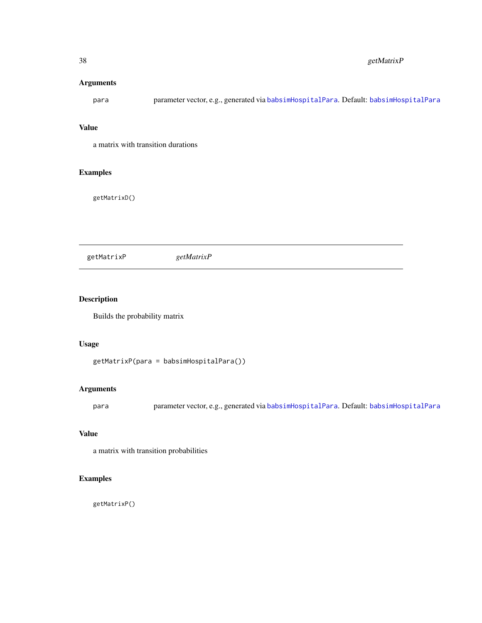# Arguments

para parameter vector, e.g., generated via [babsimHospitalPara](#page-6-0). Default: [babsimHospitalPara](#page-6-0)

# Value

a matrix with transition durations

# Examples

getMatrixD()

getMatrixP *getMatrixP*

# Description

Builds the probability matrix

#### Usage

getMatrixP(para = babsimHospitalPara())

# Arguments

para parameter vector, e.g., generated via [babsimHospitalPara](#page-6-0). Default: [babsimHospitalPara](#page-6-0)

# Value

a matrix with transition probabilities

# Examples

getMatrixP()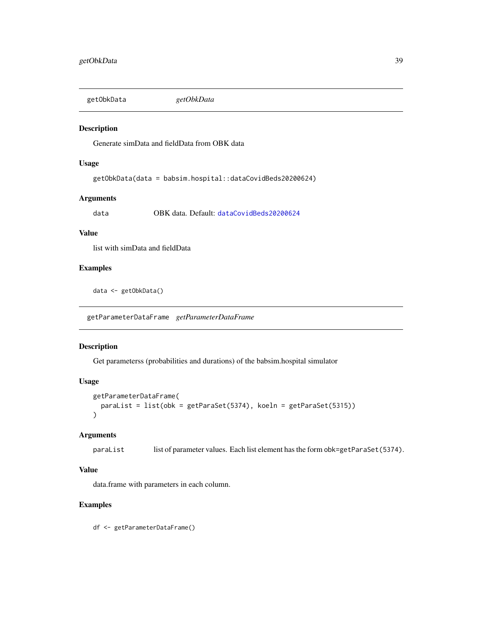getObkData *getObkData*

#### Description

Generate simData and fieldData from OBK data

#### Usage

```
getObkData(data = babsim.hospital::dataCovidBeds20200624)
```
# Arguments

data OBK data. Default: [dataCovidBeds20200624](#page-13-0)

# Value

list with simData and fieldData

# Examples

data <- getObkData()

getParameterDataFrame *getParameterDataFrame*

## Description

Get parameterss (probabilities and durations) of the babsim.hospital simulator

# Usage

```
getParameterDataFrame(
  paraList = list(obk = getParaSet(5374), koeln = getParaSet(5315))
\mathcal{L}
```
#### Arguments

paraList list of parameter values. Each list element has the form obk=getParaSet(5374).

# Value

data.frame with parameters in each column.

#### Examples

df <- getParameterDataFrame()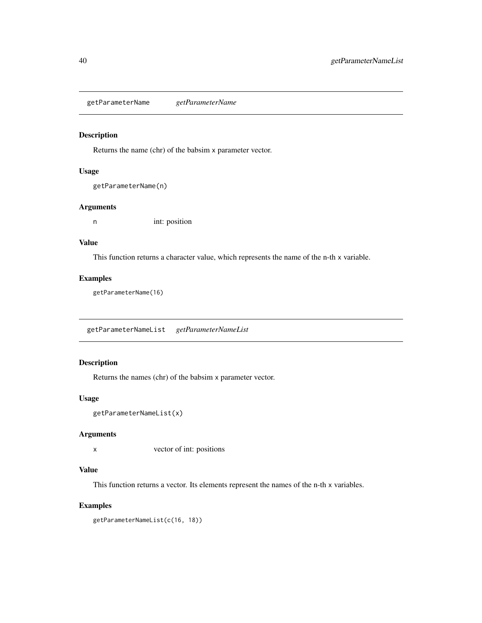<span id="page-39-0"></span>getParameterName *getParameterName*

# Description

Returns the name (chr) of the babsim x parameter vector.

#### Usage

```
getParameterName(n)
```
## Arguments

n int: position

# Value

This function returns a character value, which represents the name of the n-th x variable.

#### Examples

getParameterName(16)

getParameterNameList *getParameterNameList*

# Description

Returns the names (chr) of the babsim x parameter vector.

# Usage

```
getParameterNameList(x)
```
## Arguments

x vector of int: positions

# Value

This function returns a vector. Its elements represent the names of the n-th x variables.

# Examples

getParameterNameList(c(16, 18))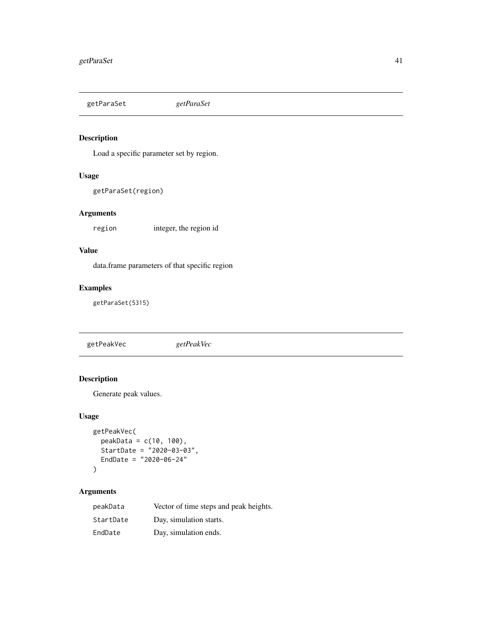getParaSet *getParaSet*

# Description

Load a specific parameter set by region.

# Usage

```
getParaSet(region)
```
# Arguments

region integer, the region id

# Value

data.frame parameters of that specific region

# Examples

getParaSet(5315)

getPeakVec *getPeakVec*

# Description

Generate peak values.

# Usage

```
getPeakVec(
 peakData = c(10, 100),
 StartDate = "2020-03-03",
 EndDate = "2020-06-24"
```
# $\mathcal{L}$

# Arguments

| peakData  | Vector of time steps and peak heights. |
|-----------|----------------------------------------|
| StartDate | Day, simulation starts.                |
| EndDate   | Day, simulation ends.                  |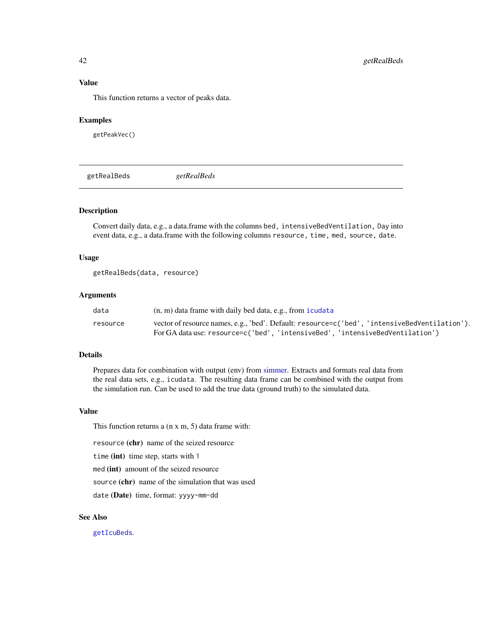#### Value

This function returns a vector of peaks data.

#### Examples

getPeakVec()

getRealBeds *getRealBeds*

#### Description

Convert daily data, e.g., a data.frame with the columns bed, intensiveBedVentilation, Day into event data, e.g., a data.frame with the following columns resource, time, med, source, date.

#### Usage

getRealBeds(data, resource)

#### **Arguments**

| data     | $(n, m)$ data frame with daily bed data, e.g., from icudata                                   |
|----------|-----------------------------------------------------------------------------------------------|
| resource | vector of resource names, e.g., 'bed'. Default: resource=c('bed', 'intensiveBedVentilation'). |
|          | For GA data use: resource=c('bed', 'intensiveBed', 'intensiveBedVentilation')                 |

# Details

Prepares data for combination with output (env) from [simmer.](#page-0-0) Extracts and formats real data from the real data sets, e.g., icudata. The resulting data frame can be combined with the output from the simulation run. Can be used to add the true data (ground truth) to the simulated data.

# Value

This function returns a (n x m, 5) data frame with:

resource (chr) name of the seized resource

time (int) time step, starts with 1

med (int) amount of the seized resource

source (chr) name of the simulation that was used

date (Date) time, format: yyyy-mm-dd

## See Also

[getIcuBeds](#page-35-0).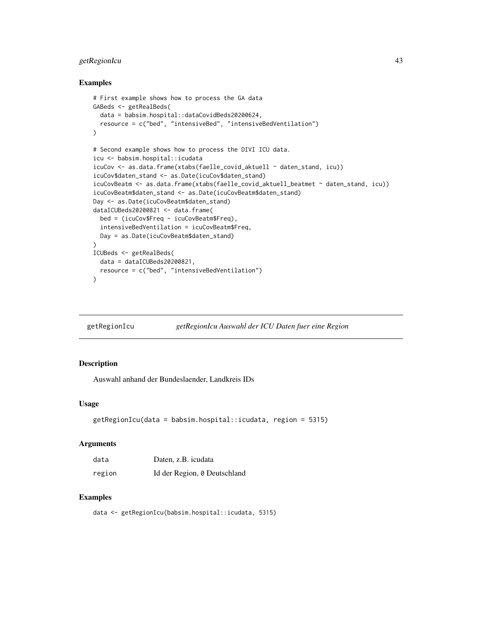# getRegionIcu 43

#### Examples

```
# First example shows how to process the GA data
GABeds <- getRealBeds(
  data = babsim.hospital::dataCovidBeds20200624,
  resource = c("bed", "intensiveBed", "intensiveBedVentilation")
)
# Second example shows how to process the DIVI ICU data.
icu <- babsim.hospital::icudata
icuCov <- as.data.frame(xtabs(faelle_covid_aktuell ~ daten_stand, icu))
icuCov$daten_stand <- as.Date(icuCov$daten_stand)
icuCovBeatm <- as.data.frame(xtabs(faelle_covid_aktuell_beatmet ~ daten_stand, icu))
icuCovBeatm$daten_stand <- as.Date(icuCovBeatm$daten_stand)
Day <- as.Date(icuCovBeatm$daten_stand)
dataICUBeds20200821 <- data.frame(
  bed = (icuCov$Freq - icuCovBeatm$Freq),
  intensiveBedVentilation = icuCovBeatm$Freq,
  Day = as.Date(icuCovBeatm$daten_stand)
\lambdaICUBeds <- getRealBeds(
  data = dataICUBeds20200821,
  resource = c("bed", "intensiveBedVentilation")
)
```

| getRegionIcu | getRegionIcu Auswahl der ICU Daten fuer eine Region |  |
|--------------|-----------------------------------------------------|--|
|              |                                                     |  |

# Description

Auswahl anhand der Bundeslaender, Landkreis IDs

# Usage

```
getRegionIcu(data = babsim.hospital::icudata, region = 5315)
```
#### Arguments

| data   | Daten, z.B. icudata          |
|--------|------------------------------|
| region | Id der Region, 0 Deutschland |

# Examples

```
data <- getRegionIcu(babsim.hospital::icudata, 5315)
```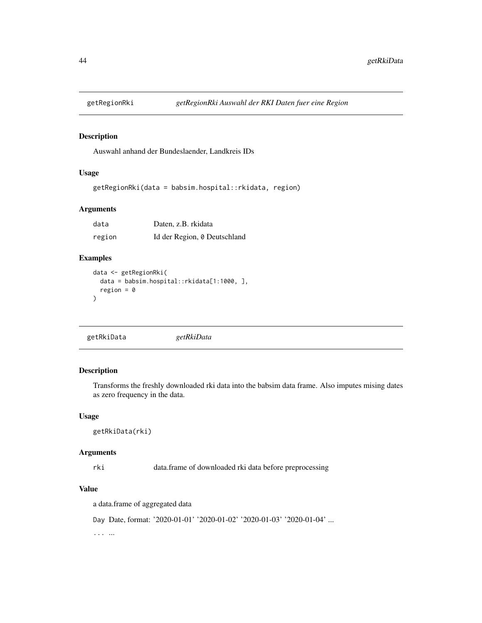#### Description

Auswahl anhand der Bundeslaender, Landkreis IDs

# Usage

```
getRegionRki(data = babsim.hospital::rkidata, region)
```
## Arguments

| data   | Daten, z.B. rkidata          |  |
|--------|------------------------------|--|
| region | Id der Region, 0 Deutschland |  |

# Examples

```
data <- getRegionRki(
  data = babsim.hospital::rkidata[1:1000, ],
  region = 0
)
```

```
getRkiData getRkiData
```
# Description

Transforms the freshly downloaded rki data into the babsim data frame. Also imputes mising dates as zero frequency in the data.

# Usage

```
getRkiData(rki)
```
#### Arguments

rki data.frame of downloaded rki data before preprocessing

# Value

a data.frame of aggregated data

Day Date, format: '2020-01-01' '2020-01-02' '2020-01-03' '2020-01-04' ...

... ...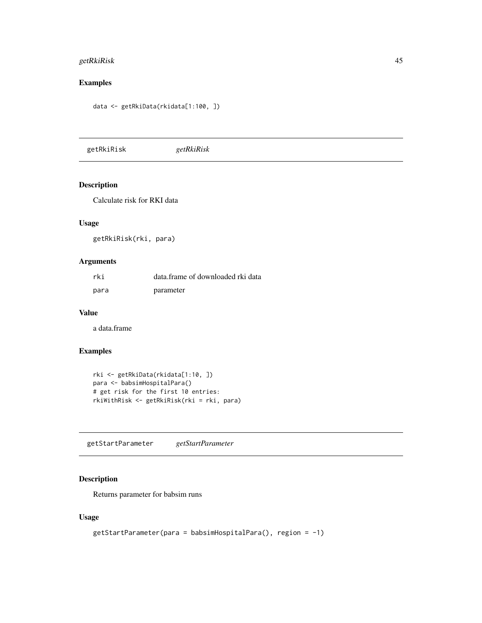# getRkiRisk 45

# Examples

data <- getRkiData(rkidata[1:100, ])

getRkiRisk *getRkiRisk*

# Description

Calculate risk for RKI data

# Usage

getRkiRisk(rki, para)

#### Arguments

| rki  | data.frame of downloaded rki data |
|------|-----------------------------------|
| para | parameter                         |

#### Value

a data.frame

# Examples

```
rki <- getRkiData(rkidata[1:10, ])
para <- babsimHospitalPara()
# get risk for the first 10 entries:
rkiWithRisk <- getRkiRisk(rki = rki, para)
```
getStartParameter *getStartParameter*

# Description

Returns parameter for babsim runs

# Usage

```
getStartParameter(para = babsimHospitalPara(), region = -1)
```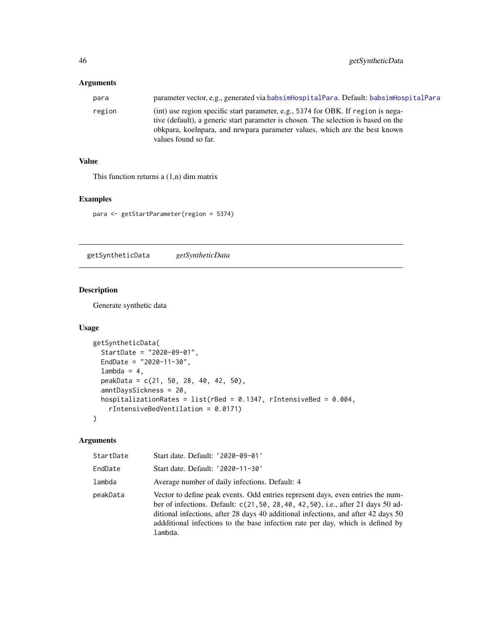# Arguments

| para   | parameter vector, e.g., generated via babsimHospitalPara. Default: babsimHospitalPara                                                                                                                                                                                         |
|--------|-------------------------------------------------------------------------------------------------------------------------------------------------------------------------------------------------------------------------------------------------------------------------------|
| region | (int) use region specific start parameter, e.g., 5374 for OBK. If region is nega-<br>tive (default), a generic start parameter is chosen. The selection is based on the<br>obkpara, koelnpara, and nrwpara parameter values, which are the best known<br>values found so far. |

# Value

This function returns a (1,n) dim matrix

# Examples

para <- getStartParameter(region = 5374)

getSyntheticData *getSyntheticData*

# Description

Generate synthetic data

#### Usage

```
getSyntheticData(
 StartDate = "2020-09-01",
 EndDate = "2020-11-30",
 lambda = 4,
 peakData = c(21, 50, 28, 40, 42, 50),
 amntDaysSickness = 20,
 hospitalizationRates = list(rBed = 0.1347, rIntensiveBed = 0.004,
   rIntensiveBedVentilation = 0.0171)
)
```
# Arguments

| StartDate | Start date. Default: '2020-09-01'                                                                                                                                                                                                                                                                                                                   |
|-----------|-----------------------------------------------------------------------------------------------------------------------------------------------------------------------------------------------------------------------------------------------------------------------------------------------------------------------------------------------------|
| EndDate   | Start date. Default: '2020-11-30'                                                                                                                                                                                                                                                                                                                   |
| lambda    | Average number of daily infections. Default: 4                                                                                                                                                                                                                                                                                                      |
| peakData  | Vector to define peak events. Odd entries represent days, even entries the num-<br>ber of infections. Default: c(21,50, 28,40, 42,50), i.e., after 21 days 50 ad-<br>ditional infections, after 28 days 40 additional infections, and after 42 days 50<br>addditional infections to the base infection rate per day, which is defined by<br>lambda. |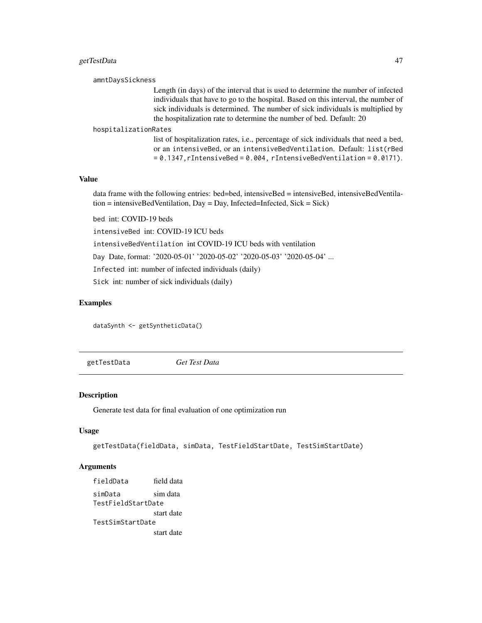# getTestData 47

```
amntDaysSickness
                   Length (in days) of the interval that is used to determine the number of infected
                   individuals that have to go to the hospital. Based on this interval, the number of
                   sick individuals is determined. The number of sick individuals is multiplied by
                   the hospitalization rate to determine the number of bed. Default: 20
```
#### hospitalizationRates

list of hospitalization rates, i.e., percentage of sick individuals that need a bed, or an intensiveBed, or an intensiveBedVentilation. Default: list(rBed  $= 0.1347$ , rIntensiveBed = 0.004, rIntensiveBedVentilation = 0.0171).

## Value

data frame with the following entries: bed=bed, intensiveBed = intensiveBed, intensiveBedVentila $t$ tion = intensiveBedVentilation, Day = Day, Infected=Infected, Sick = Sick)

bed int: COVID-19 beds

intensiveBed int: COVID-19 ICU beds

intensiveBedVentilation int COVID-19 ICU beds with ventilation

Day Date, format: '2020-05-01' '2020-05-02' '2020-05-03' '2020-05-04' ...

Infected int: number of infected individuals (daily)

Sick int: number of sick individuals (daily)

### Examples

dataSynth <- getSyntheticData()

getTestData *Get Test Data*

#### **Description**

Generate test data for final evaluation of one optimization run

#### Usage

```
getTestData(fieldData, simData, TestFieldStartDate, TestSimStartDate)
```
#### Arguments

fieldData field data simData sim data TestFieldStartDate start date TestSimStartDate start date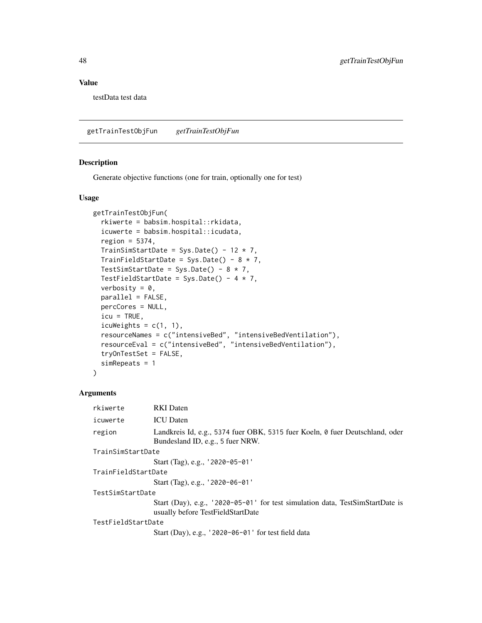## Value

testData test data

getTrainTestObjFun *getTrainTestObjFun*

# Description

Generate objective functions (one for train, optionally one for test)

#### Usage

```
getTrainTestObjFun(
  rkiwerte = babsim.hospital::rkidata,
  icuwerte = babsim.hospital::icudata,
  region = 5374,
  TrainSimStartDate = Sys.Date() - 12 * 7,
  TrainFieldStartDate = Sys.Date() - 8 * 7,
  TestSimStartDate = Sys.Date() - 8 * 7,
  TestFieldStartDate = Sys.Date() - 4 * 7,
  verbosity = 0,
  parallel = FALSE,
  percCores = NULL,
  icu = TRUE,icuWeights = c(1, 1),
  resourceNames = c("intensiveBed", "intensiveBedVentilation"),
  resourceEval = c("intensiveBed", "intensiveBedVentilation"),
  tryOnTestSet = FALSE,
  simRepeats = 1
\mathcal{E}
```
# Arguments

| rkiwerte            | <b>RKI</b> Daten                                                                                                   |  |
|---------------------|--------------------------------------------------------------------------------------------------------------------|--|
| icuwerte            | <b>ICU</b> Daten                                                                                                   |  |
| region              | Landkreis Id, e.g., 5374 fuer OBK, 5315 fuer Koeln, 0 fuer Deutschland, oder<br>Bundesland ID, e.g., 5 fuer NRW.   |  |
| TrainSimStartDate   |                                                                                                                    |  |
|                     | Start (Tag), e.g., '2020-05-01'                                                                                    |  |
| TrainFieldStartDate |                                                                                                                    |  |
|                     | Start (Tag), e.g., '2020-06-01'                                                                                    |  |
| TestSimStartDate    |                                                                                                                    |  |
|                     | Start (Day), e.g., '2020-05-01' for test simulation data, TestSimStartDate is<br>usually before TestFieldStartDate |  |
| TestFieldStartDate  |                                                                                                                    |  |
|                     | Start (Day), e.g., $'2020-06-01'$ for test field data                                                              |  |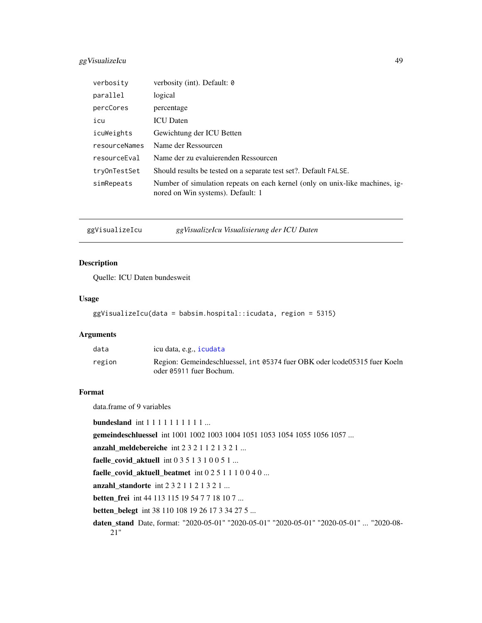# ggVisualizeIcu 49

| verbosity     | verbosity (int). Default: 0                                                                                       |
|---------------|-------------------------------------------------------------------------------------------------------------------|
| parallel      | logical                                                                                                           |
| percCores     | percentage                                                                                                        |
| icu           | <b>ICU</b> Daten                                                                                                  |
| icuWeights    | Gewichtung der ICU Betten                                                                                         |
| resourceNames | Name der Ressourcen                                                                                               |
| resourceEval  | Name der zu evaluierenden Ressourcen                                                                              |
| try0nTestSet  | Should results be tested on a separate test set?. Default FALSE.                                                  |
| simRepeats    | Number of simulation repeats on each kernel (only on unix-like machines, ig-<br>nored on Win systems). Default: 1 |

ggVisualizeIcu *ggVisualizeIcu Visualisierung der ICU Daten*

#### Description

Quelle: ICU Daten bundesweit

# Usage

```
ggVisualizeIcu(data = babsim.hospital::icudata, region = 5315)
```
# Arguments

| data   | icu data, e.g., icudata                                                                              |
|--------|------------------------------------------------------------------------------------------------------|
| region | Region: Gemeindeschluessel, int 05374 fuer OBK oder lcode05315 fuer Koeln<br>oder 05911 fuer Bochum. |

#### Format

data.frame of 9 variables

```
bundesland int 1 1 1 1 1 1 1 1 1 1 ...
```
gemeindeschluessel int 1001 1002 1003 1004 1051 1053 1054 1055 1056 1057 ...

anzahl\_meldebereiche int 2 3 2 1 1 2 1 3 2 1 ...

faelle\_covid\_aktuell int 0 3 5 1 3 1 0 0 5 1 ...

faelle\_covid\_aktuell\_beatmet int 0 2 5 1 1 1 0 0 4 0 ...

anzahl\_standorte int 2 3 2 1 1 2 1 3 2 1 ...

betten\_frei int 44 113 115 19 54 7 7 18 10 7 ...

betten\_belegt int 38 110 108 19 26 17 3 34 27 5 ...

daten\_stand Date, format: "2020-05-01" "2020-05-01" "2020-05-01" "2020-05-01" ... "2020-08- 21"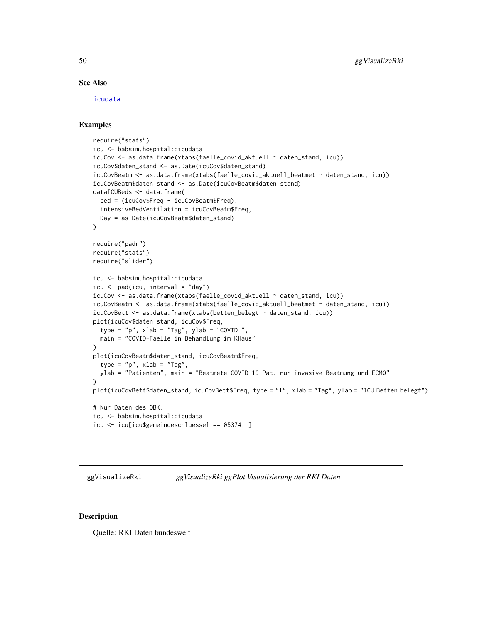#### See Also

[icudata](#page-53-0)

#### Examples

```
require("stats")
icu <- babsim.hospital::icudata
icuCov <- as.data.frame(xtabs(faelle_covid_aktuell ~ daten_stand, icu))
icuCov$daten_stand <- as.Date(icuCov$daten_stand)
icuCovBeatm <- as.data.frame(xtabs(faelle_covid_aktuell_beatmet ~ daten_stand, icu))
icuCovBeatm$daten_stand <- as.Date(icuCovBeatm$daten_stand)
dataICUBeds <- data.frame(
 bed = (icuCov$Freq - icuCovBeatm$Freq),
  intensiveBedVentilation = icuCovBeatm$Freq,
  Day = as.Date(icuCovBeatm$daten_stand)
\lambdarequire("padr")
require("stats")
require("slider")
icu <- babsim.hospital::icudata
icu \leq pad(icu, interval = "day")
icuCov <- as.data.frame(xtabs(faelle_covid_aktuell ~ daten_stand, icu))
icuCovBeatm <- as.data.frame(xtabs(faelle_covid_aktuell_beatmet ~ daten_stand, icu))
icuCovBett <- as.data.frame(xtabs(betten_belegt ~ daten_stand, icu))
plot(icuCov$daten_stand, icuCov$Freq,
  type = "p", xlab = "Tag", ylab = "COUNTD",
  main = "COVID-Faelle in Behandlung im KHaus"
\lambdaplot(icuCovBeatm$daten_stand, icuCovBeatm$Freq,
  type = "p", xlab = "Tag",ylab = "Patienten", main = "Beatmete COVID-19-Pat. nur invasive Beatmung und ECMO"
)
plot(icuCovBett$daten_stand, icuCovBett$Freq, type = "l", xlab = "Tag", ylab = "ICU Betten belegt")
# Nur Daten des OBK:
icu <- babsim.hospital::icudata
icu <- icu[icu$gemeindeschluessel == 05374, ]
```
ggVisualizeRki *ggVisualizeRki ggPlot Visualisierung der RKI Daten*

#### Description

Quelle: RKI Daten bundesweit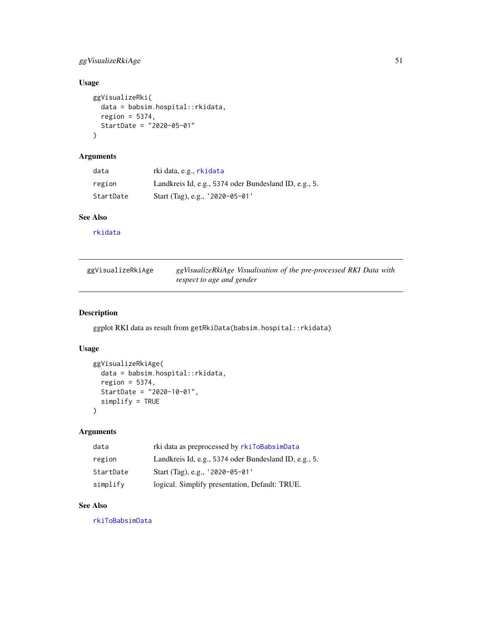# ggVisualizeRkiAge 51

# Usage

```
ggVisualizeRki(
  data = babsim.hospital::rkidata,
  region = 5374,
  StartDate = "2020-05-01"
\lambda
```
# Arguments

| data      | rki data, e.g., rkidata                               |
|-----------|-------------------------------------------------------|
| region    | Landkreis Id, e.g., 5374 oder Bundesland ID, e.g., 5. |
| StartDate | Start (Tag), e.g., $'2020-05-01'$                     |

# See Also

[rkidata](#page-68-0)

| ggVisualizeRkiAge | ggVisualizeRkiAge Visualisation of the pre-processed RKI Data with |
|-------------------|--------------------------------------------------------------------|
|                   | respect to age and gender                                          |

# Description

ggplot RKI data as result from getRkiData(babsim.hospital::rkidata)

# Usage

```
ggVisualizeRkiAge(
  data = babsim.hospital::rkidata,
  region = 5374,
  StartDate = "2020-10-01",
  simplify = TRUE
\mathcal{L}
```
#### Arguments

| data      | rki data as preprocessed by rkiToBabsimData           |
|-----------|-------------------------------------------------------|
| region    | Landkreis Id, e.g., 5374 oder Bundesland ID, e.g., 5. |
| StartDate | Start (Tag), e.g., '2020-05-01'                       |
| simplify  | logical. Simplify presentation, Default: TRUE.        |

# See Also

[rkiToBabsimData](#page-70-0)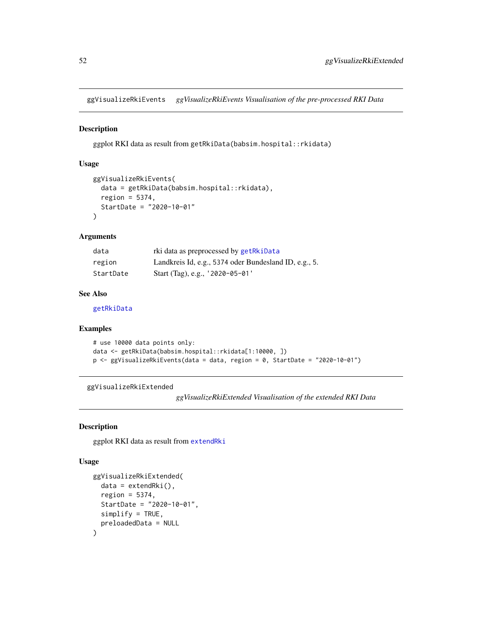ggVisualizeRkiEvents *ggVisualizeRkiEvents Visualisation of the pre-processed RKI Data*

# Description

ggplot RKI data as result from getRkiData(babsim.hospital::rkidata)

#### Usage

```
ggVisualizeRkiEvents(
  data = getRkiData(babsim.hospital::rkidata),
  region = 5374,
  StartDate = "2020-10-01"
)
```
#### Arguments

| data      | rki data as preprocessed by getRkiData                |
|-----------|-------------------------------------------------------|
| region    | Landkreis Id, e.g., 5374 oder Bundesland ID, e.g., 5. |
| StartDate | Start (Tag), e.g., $'2020-05-01'$                     |

# See Also

[getRkiData](#page-43-0)

# Examples

```
# use 10000 data points only:
data <- getRkiData(babsim.hospital::rkidata[1:10000, ])
p <- ggVisualizeRkiEvents(data = data, region = 0, StartDate = "2020-10-01")
```

```
ggVisualizeRkiExtended
```
*ggVisualizeRkiExtended Visualisation of the extended RKI Data*

#### Description

ggplot RKI data as result from [extendRki](#page-18-0)

#### Usage

```
ggVisualizeRkiExtended(
  data = extendRki(),region = 5374,
 StartDate = "2020-10-01",
 simplify = TRUE,
 preloadedData = NULL
)
```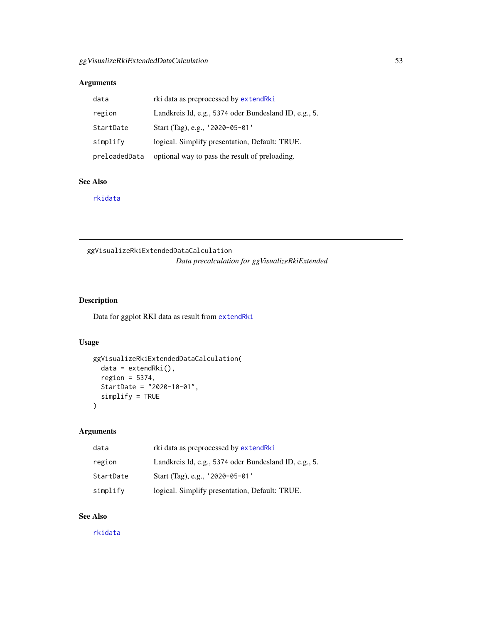# Arguments

| data          | rki data as preprocessed by extendRki                 |
|---------------|-------------------------------------------------------|
| region        | Landkreis Id, e.g., 5374 oder Bundesland ID, e.g., 5. |
| StartDate     | Start (Tag), e.g., $'2020-05-01'$                     |
| simplify      | logical. Simplify presentation, Default: TRUE.        |
| preloadedData | optional way to pass the result of preloading.        |

# See Also

[rkidata](#page-68-0)

ggVisualizeRkiExtendedDataCalculation *Data precalculation for ggVisualizeRkiExtended*

# Description

Data for ggplot RKI data as result from [extendRki](#page-18-0)

## Usage

```
ggVisualizeRkiExtendedDataCalculation(
 data = extendRki(),region = 5374,
 StartDate = "2020-10-01",
  simplify = TRUE
\mathcal{E}
```
# Arguments

| data      | rki data as preprocessed by extendRki                 |
|-----------|-------------------------------------------------------|
| region    | Landkreis Id, e.g., 5374 oder Bundesland ID, e.g., 5. |
| StartDate | Start (Tag), e.g., $'2020-05-01'$                     |
| simplify  | logical. Simplify presentation, Default: TRUE.        |

# See Also

[rkidata](#page-68-0)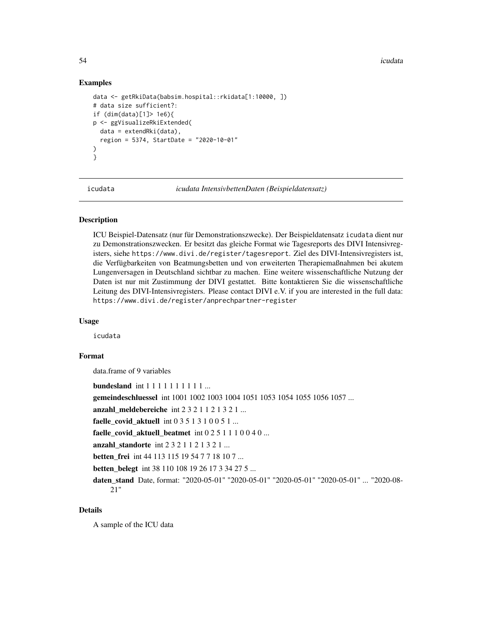54 icudata in the contract of the contract of the contract of the contract of the contract of the contract of the contract of the contract of the contract of the contract of the contract of the contract of the contract of

#### Examples

```
data <- getRkiData(babsim.hospital::rkidata[1:10000, ])
# data size sufficient?:
if (dim(data)[1]> 1e6){
p <- ggVisualizeRkiExtended(
 data = extendRki(data),
 region = 5374, StartDate = "2020-10-01"
)
}
```
<span id="page-53-0"></span>

icudata *icudata IntensivbettenDaten (Beispieldatensatz)*

#### Description

ICU Beispiel-Datensatz (nur für Demonstrationszwecke). Der Beispieldatensatz icudata dient nur zu Demonstrationszwecken. Er besitzt das gleiche Format wie Tagesreports des DIVI Intensivregisters, siehe https://www.divi.de/register/tagesreport. Ziel des DIVI-Intensivregisters ist, die Verfügbarkeiten von Beatmungsbetten und von erweiterten Therapiemaßnahmen bei akutem Lungenversagen in Deutschland sichtbar zu machen. Eine weitere wissenschaftliche Nutzung der Daten ist nur mit Zustimmung der DIVI gestattet. Bitte kontaktieren Sie die wissenschaftliche Leitung des DIVI-Intensivregisters. Please contact DIVI e.V. if you are interested in the full data: https://www.divi.de/register/anprechpartner-register

#### Usage

icudata

## Format

data.frame of 9 variables

**bundesland** int 1 1 1 1 1 1 1 1 1 1 ...

gemeindeschluessel int 1001 1002 1003 1004 1051 1053 1054 1055 1056 1057 ...

anzahl\_meldebereiche int  $2 3 2 1 1 2 1 3 2 1 ...$ 

faelle covid aktuell int  $0 3 5 1 3 1 0 0 5 1 ...$ 

faelle\_covid\_aktuell\_beatmet int  $0251110040...$ 

anzahl\_standorte int  $2 3 2 1 1 2 1 3 2 1 ...$ 

**betten frei** int 44 113 115 19 54 7 7 18 10 7 ...

betten belegt int 38 110 108 19 26 17 3 34 27 5 ...

daten\_stand Date, format: "2020-05-01" "2020-05-01" "2020-05-01" "2020-05-01" ... "2020-08- 21"

#### Details

A sample of the ICU data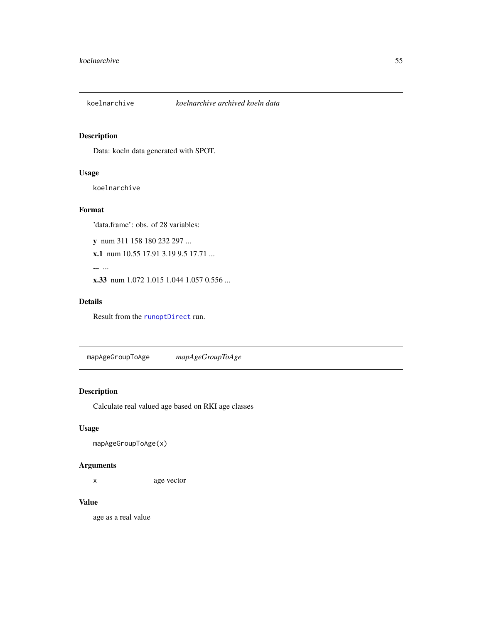# Description

Data: koeln data generated with SPOT.

# Usage

koelnarchive

#### Format

'data.frame': obs. of 28 variables:

y num 311 158 180 232 297 ...

x.1 num 10.55 17.91 3.19 9.5 17.71 ...

... ...

x.33 num 1.072 1.015 1.044 1.057 0.556 ...

#### Details

Result from the [runoptDirect](#page-71-0) run.

mapAgeGroupToAge *mapAgeGroupToAge*

# Description

Calculate real valued age based on RKI age classes

# Usage

mapAgeGroupToAge(x)

# Arguments

x age vector

# Value

age as a real value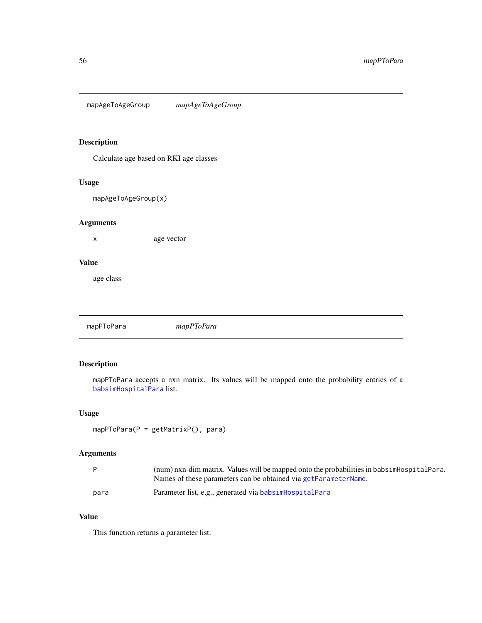mapAgeToAgeGroup *mapAgeToAgeGroup*

# Description

Calculate age based on RKI age classes

# Usage

mapAgeToAgeGroup(x)

# Arguments

x age vector

#### Value

age class

mapPToPara *mapPToPara*

# Description

mapPToPara accepts a nxn matrix. Its values will be mapped onto the probability entries of a [babsimHospitalPara](#page-6-0) list.

# Usage

```
mapPToPara(P = getMatrixP(), para)
```
# Arguments

|      | (num) nxn-dim matrix. Values will be mapped onto the probabilities in babsimHospitalPara. |
|------|-------------------------------------------------------------------------------------------|
|      | Names of these parameters can be obtained via getParameterName.                           |
| para | Parameter list, e.g., generated via babsimHospitalPara                                    |

# Value

This function returns a parameter list.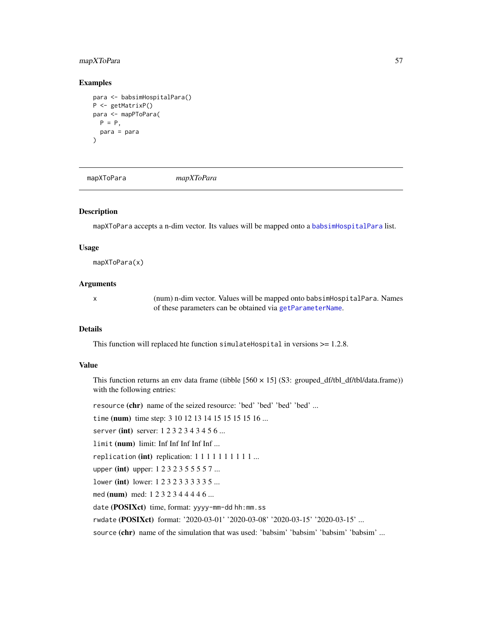# mapXToPara 57

#### Examples

```
para <- babsimHospitalPara()
P <- getMatrixP()
para <- mapPToPara(
  P = P.
  para = para
\lambda
```
mapXToPara *mapXToPara*

# Description

mapXToPara accepts a n-dim vector. Its values will be mapped onto a [babsimHospitalPara](#page-6-0) list.

#### Usage

mapXToPara(x)

## Arguments

x (num) n-dim vector. Values will be mapped onto babsimHospitalPara. Names of these parameters can be obtained via [getParameterName](#page-39-0).

# Details

This function will replaced hte function simulateHospital in versions >= 1.2.8.

#### Value

This function returns an env data frame (tibble [560 × 15] (S3: grouped\_df/tbl\_df/tbl/data.frame)) with the following entries:

resource (chr) name of the seized resource: 'bed' 'bed' 'bed' 'bed' ...

time (num) time step: 3 10 12 13 14 15 15 15 15 16 ...

server (int) server: 1232343456...

limit (num) limit: Inf Inf Inf Inf Inf ...

replication (int) replication:  $1 1 1 1 1 1 1 1 1 ...$ 

upper (int) upper: 1 2 3 2 3 5 5 5 5 7 ...

lower (int) lower: 1 2 3 2 3 3 3 3 3 5 ...

med (num) med: 1 2 3 2 3 4 4 4 4 6 ...

date (POSIXct) time, format: yyyy-mm-dd hh:mm.ss

rwdate (POSIXct) format: '2020-03-01' '2020-03-08' '2020-03-15' '2020-03-15' ...

source (chr) name of the simulation that was used: 'babsim' 'babsim' 'babsim' 'babsim' ...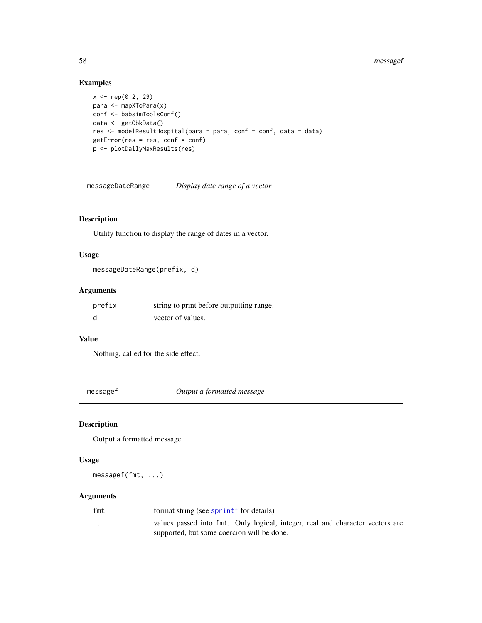#### 58 messagef

# Examples

```
x \leq -rep(0.2, 29)para <- mapXToPara(x)
conf <- babsimToolsConf()
data <- getObkData()
res <- modelResultHospital(para = para, conf = conf, data = data)
getError(res = res, conf = conf)
p <- plotDailyMaxResults(res)
```
messageDateRange *Display date range of a vector*

# Description

Utility function to display the range of dates in a vector.

# Usage

```
messageDateRange(prefix, d)
```
# Arguments

| prefix | string to print before outputting range. |
|--------|------------------------------------------|
|        | vector of values.                        |

#### Value

Nothing, called for the side effect.

messagef *Output a formatted message*

# Description

Output a formatted message

## Usage

messagef(fmt, ...)

# Arguments

| fmt      | format string (see sprintf for details)                                       |
|----------|-------------------------------------------------------------------------------|
| $\cdots$ | values passed into fmt. Only logical, integer, real and character vectors are |
|          | supported, but some coercion will be done.                                    |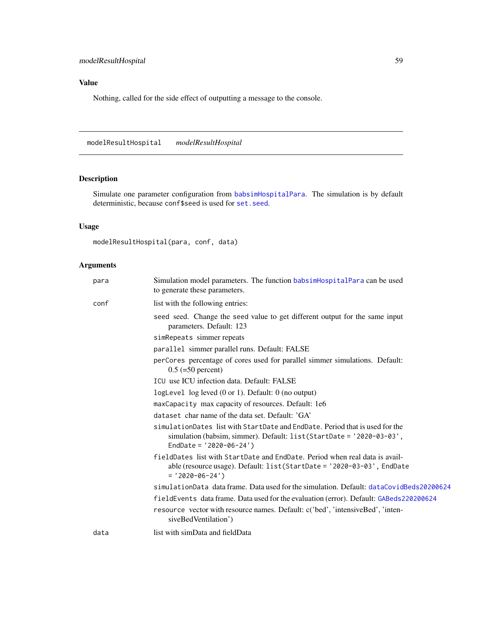# Value

Nothing, called for the side effect of outputting a message to the console.

modelResultHospital *modelResultHospital*

# Description

Simulate one parameter configuration from [babsimHospitalPara](#page-6-0). The simulation is by default deterministic, because conf\$seed is used for [set.seed](#page-0-0).

# Usage

```
modelResultHospital(para, conf, data)
```
# Arguments

| para | Simulation model parameters. The function babsimHospitalPara can be used<br>to generate these parameters.                                                                          |
|------|------------------------------------------------------------------------------------------------------------------------------------------------------------------------------------|
| conf | list with the following entries:                                                                                                                                                   |
|      | seed seed. Change the seed value to get different output for the same input<br>parameters. Default: 123                                                                            |
|      | simRepeats simmer repeats                                                                                                                                                          |
|      | parallel simmer parallel runs. Default: FALSE                                                                                                                                      |
|      | perCores percentage of cores used for parallel simmer simulations. Default:<br>$0.5$ (=50 percent)                                                                                 |
|      | ICU use ICU infection data. Default: FALSE                                                                                                                                         |
|      | logLevel $log$ leved $(0 \text{ or } 1)$ . Default: $0$ (no output)                                                                                                                |
|      | maxCapacity max capacity of resources. Default: 1e6                                                                                                                                |
|      | dataset char name of the data set. Default: 'GA'                                                                                                                                   |
|      | simulationDates list with StartDate and EndDate. Period that is used for the<br>simulation (babsim, simmer). Default: list(StartDate = '2020-03-03',<br>EndDate = $'2020-06-24'$ ) |
|      | fieldDates list with StartDate and EndDate. Period when real data is avail-<br>able (resource usage). Default: $list(StartDate = '2020-03-03', EndDate$<br>$= '2020-06-24')$       |
|      | simulationData data frame. Data used for the simulation. Default: dataCovidBeds20200624                                                                                            |
|      | fieldEvents data frame. Data used for the evaluation (error). Default: GABeds220200624                                                                                             |
|      | resource vector with resource names. Default: c('bed', 'intensiveBed', 'inten-<br>siveBedVentilation')                                                                             |
| data | list with simData and fieldData                                                                                                                                                    |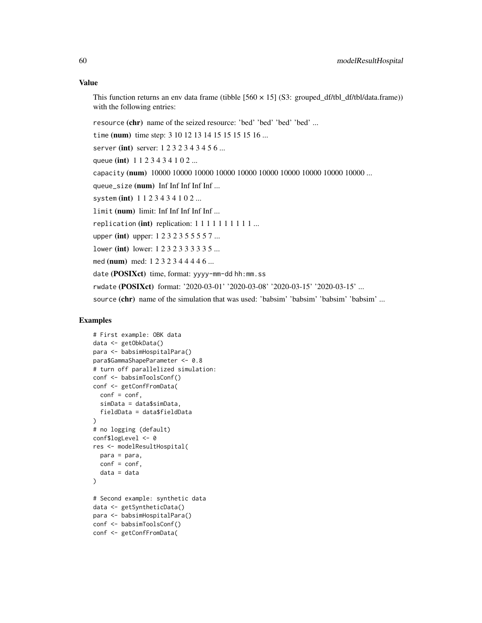# Value

This function returns an env data frame (tibble  $[560 \times 15]$  (S3: grouped df/tbl df/tbl/data.frame)) with the following entries:

resource (chr) name of the seized resource: 'bed' 'bed' 'bed' 'bed' ...

time (num) time step: 3 10 12 13 14 15 15 15 15 16 ...

server (int) server: 1232343456...

queue (int) 1123434102...

capacity (num) 10000 10000 10000 10000 10000 10000 10000 10000 10000 ...

queue\_size (num) Inf Inf Inf Inf Inf ...

system (int) 1123434102...

limit (num) limit: Inf Inf Inf Inf Inf ...

replication (int) replication:  $1 1 1 1 1 1 1 1 1 ...$ 

upper (int) upper: 1 2 3 2 3 5 5 5 5 7 ...

lower (int) lower: 1 2 3 2 3 3 3 3 3 5 ...

med (num) med: 1 2 3 2 3 4 4 4 4 6 ...

date (POSIXct) time, format: yyyy-mm-dd hh:mm.ss

rwdate (POSIXct) format: '2020-03-01' '2020-03-08' '2020-03-15' '2020-03-15' ...

source (chr) name of the simulation that was used: 'babsim' 'babsim' 'babsim' 'babsim' ...

# Examples

```
# First example: OBK data
data <- getObkData()
para <- babsimHospitalPara()
para$GammaShapeParameter <- 0.8
# turn off parallelized simulation:
conf <- babsimToolsConf()
conf <- getConfFromData(
  conf = conf,simData = data$simData,
  fieldData = data$fieldData
)
# no logging (default)
conf$logLevel <- 0
res <- modelResultHospital(
  para = para,
  conf = conf,data = data
)
# Second example: synthetic data
data <- getSyntheticData()
para <- babsimHospitalPara()
conf <- babsimToolsConf()
conf <- getConfFromData(
```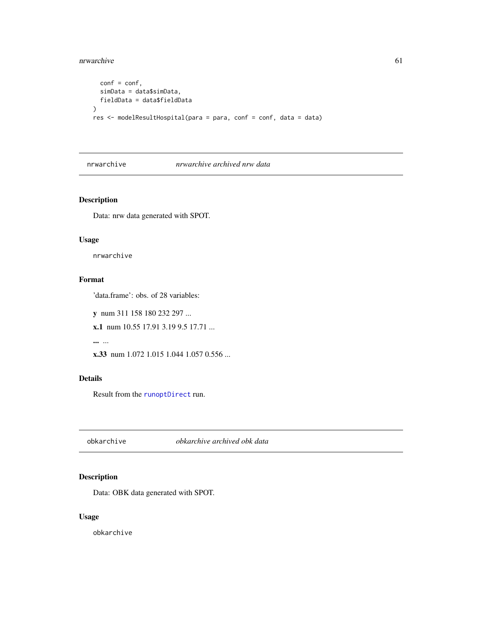#### nrwarchive 61

```
conf = conf,simData = data$simData,
  fieldData = data$fieldData
\mathcal{L}res <- modelResultHospital(para = para, conf = conf, data = data)
```
## nrwarchive *nrwarchive archived nrw data*

# Description

Data: nrw data generated with SPOT.

#### Usage

nrwarchive

# Format

'data.frame': obs. of 28 variables:

y num 311 158 180 232 297 ...

x.1 num 10.55 17.91 3.19 9.5 17.71 ...

... ...

x.33 num 1.072 1.015 1.044 1.057 0.556 ...

# Details

Result from the [runoptDirect](#page-71-0) run.

obkarchive *obkarchive archived obk data*

# Description

Data: OBK data generated with SPOT.

# Usage

obkarchive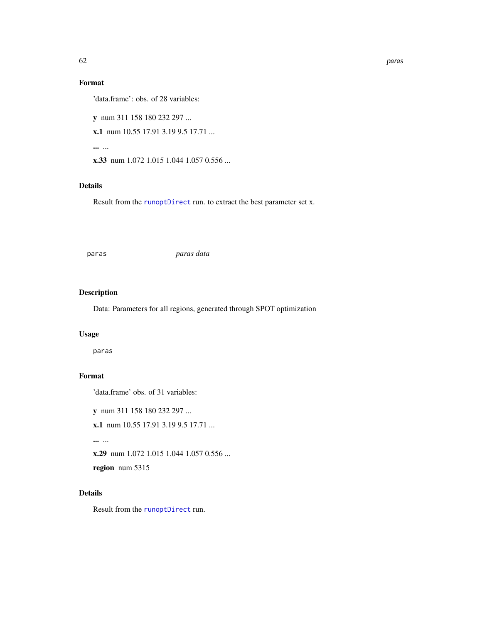# Format

'data.frame': obs. of 28 variables:

y num 311 158 180 232 297 ...

x.1 num 10.55 17.91 3.19 9.5 17.71 ...

... ...

x.33 num 1.072 1.015 1.044 1.057 0.556 ...

## Details

Result from the [runoptDirect](#page-71-0) run. to extract the best parameter set x.

paras *paras data*

# Description

Data: Parameters for all regions, generated through SPOT optimization

# Usage

paras

# Format

'data.frame' obs. of 31 variables:

y num 311 158 180 232 297 ...

x.1 num 10.55 17.91 3.19 9.5 17.71 ...

... ...

x.29 num 1.072 1.015 1.044 1.057 0.556 ...

region num 5315

# Details

Result from the [runoptDirect](#page-71-0) run.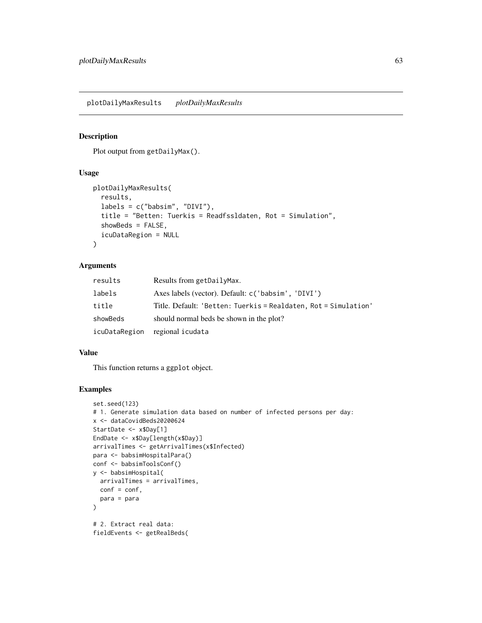plotDailyMaxResults *plotDailyMaxResults*

#### Description

Plot output from getDailyMax().

# Usage

```
plotDailyMaxResults(
  results,
  labels = c("babsim", "DIVI"),
  title = "Betten: Tuerkis = Readfssldaten, Rot = Simulation",
  showBeds = FALSE,
  icuDataRegion = NULL
\lambda
```
#### Arguments

| results       | Results from getDailyMax.                                       |
|---------------|-----------------------------------------------------------------|
| labels        | Axes labels (vector). Default: c('babsim', 'DIVI')              |
| title         | Title. Default: 'Betten: Tuerkis = Realdaten, Rot = Simulation' |
| showBeds      | should normal beds be shown in the plot?                        |
| icuDataRegion | regional icudata                                                |

# Value

This function returns a ggplot object.

# Examples

```
set.seed(123)
# 1. Generate simulation data based on number of infected persons per day:
x <- dataCovidBeds20200624
StartDate <- x$Day[1]
EndDate <- x$Day[length(x$Day)]
arrivalTimes <- getArrivalTimes(x$Infected)
para <- babsimHospitalPara()
conf <- babsimToolsConf()
y <- babsimHospital(
  arrivalTimes = arrivalTimes,
  conf = conf,
  para = para
\lambda# 2. Extract real data:
fieldEvents <- getRealBeds(
```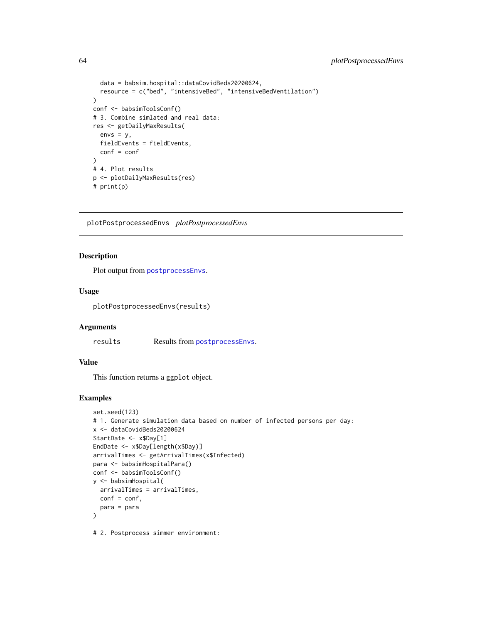```
data = babsim.hospital::dataCovidBeds20200624,
  resource = c("bed", "intensiveBed", "intensiveBedVentilation")
)
conf <- babsimToolsConf()
# 3. Combine simlated and real data:
res <- getDailyMaxResults(
 envs = y,
 fieldEvents = fieldEvents,
  conf = conf
\lambda# 4. Plot results
p <- plotDailyMaxResults(res)
# print(p)
```
<span id="page-63-0"></span>plotPostprocessedEnvs *plotPostprocessedEnvs*

# Description

Plot output from [postprocessEnvs](#page-64-0).

# Usage

plotPostprocessedEnvs(results)

#### Arguments

results Results from [postprocessEnvs](#page-64-0).

## Value

This function returns a ggplot object.

# Examples

```
set.seed(123)
# 1. Generate simulation data based on number of infected persons per day:
x <- dataCovidBeds20200624
StartDate <- x$Day[1]
EndDate <- x$Day[length(x$Day)]
arrivalTimes <- getArrivalTimes(x$Infected)
para <- babsimHospitalPara()
conf <- babsimToolsConf()
y <- babsimHospital(
  arrivalTimes = arrivalTimes,
  conf = conf,
  para = para
)
# 2. Postprocess simmer environment:
```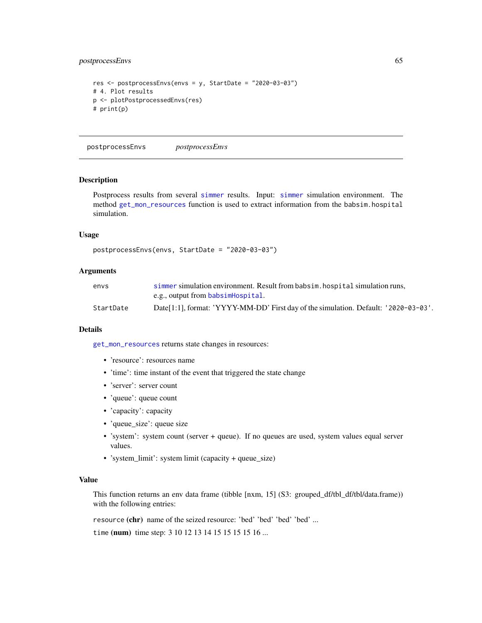# postprocessEnvs 65

```
res <- postprocessEnvs(envs = y, StartDate = "2020-03-03")
# 4. Plot results
p <- plotPostprocessedEnvs(res)
# print(p)
```
<span id="page-64-0"></span>postprocessEnvs *postprocessEnvs*

#### Description

Postprocess results from several [simmer](#page-0-0) results. Input: [simmer](#page-0-0) simulation environment. The method [get\\_mon\\_resources](#page-0-0) function is used to extract information from the babsim.hospital simulation.

#### Usage

```
postprocessEnvs(envs, StartDate = "2020-03-03")
```
#### Arguments

| envs      | simmer simulation environment. Result from babsim, hospital simulation runs.        |
|-----------|-------------------------------------------------------------------------------------|
|           | e.g., output from babsimHospital.                                                   |
| StartDate | Date[1:1], format: 'YYYY-MM-DD' First day of the simulation. Default: '2020-03-03'. |

#### Details

[get\\_mon\\_resources](#page-0-0) returns state changes in resources:

- 'resource': resources name
- 'time': time instant of the event that triggered the state change
- 'server': server count
- 'queue': queue count
- 'capacity': capacity
- 'queue\_size': queue size
- 'system': system count (server + queue). If no queues are used, system values equal server values.
- 'system\_limit': system limit (capacity + queue\_size)

# Value

This function returns an env data frame (tibble [nxm, 15] (S3: grouped\_df/tbl\_df/tbl/data.frame)) with the following entries:

resource (chr) name of the seized resource: 'bed' 'bed' 'bed' 'bed' ...

time (num) time step: 3 10 12 13 14 15 15 15 15 16 ...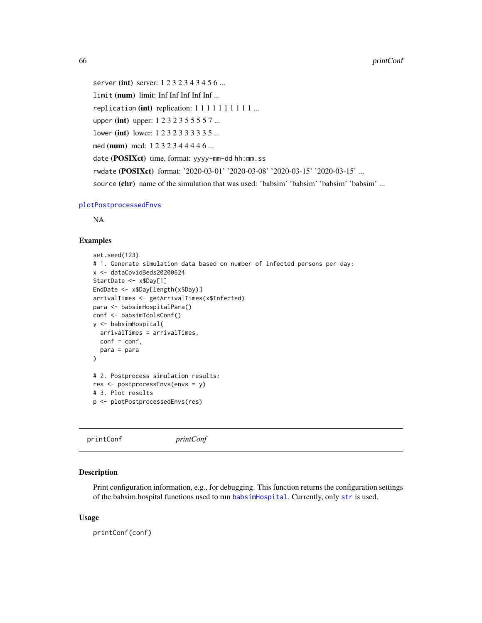server (int) server: 1232343456... limit (num) limit: Inf Inf Inf Inf Inf ... replication (int) replication:  $1 1 1 1 1 1 1 1 1 ...$ upper (int) upper: 1 2 3 2 3 5 5 5 5 7 ... lower (int) lower: 1 2 3 2 3 3 3 3 3 5 ... med (num) med: 1 2 3 2 3 4 4 4 4 6 ... date (POSIXct) time, format: yyyy-mm-dd hh:mm.ss rwdate (POSIXct) format: '2020-03-01' '2020-03-08' '2020-03-15' '2020-03-15' ... source (chr) name of the simulation that was used: 'babsim' 'babsim' 'babsim' 'babsim' ...

#### [plotPostprocessedEnvs](#page-63-0)

NA

#### Examples

```
set.seed(123)
# 1. Generate simulation data based on number of infected persons per day:
x <- dataCovidBeds20200624
StartDate <- x$Day[1]
EndDate <- x$Day[length(x$Day)]
arrivalTimes <- getArrivalTimes(x$Infected)
para <- babsimHospitalPara()
conf <- babsimToolsConf()
y <- babsimHospital(
  arrivalTimes = arrivalTimes,
  conf = conf,para = para
)
# 2. Postprocess simulation results:
res <- postprocessEnvs(envs = y)
# 3. Plot results
p <- plotPostprocessedEnvs(res)
```
printConf *printConf*

## Description

Print configuration information, e.g., for debugging. This function returns the configuration settings of the babsim.hospital functions used to run [babsimHospital](#page-5-0). Currently, only [str](#page-0-0) is used.

#### Usage

printConf(conf)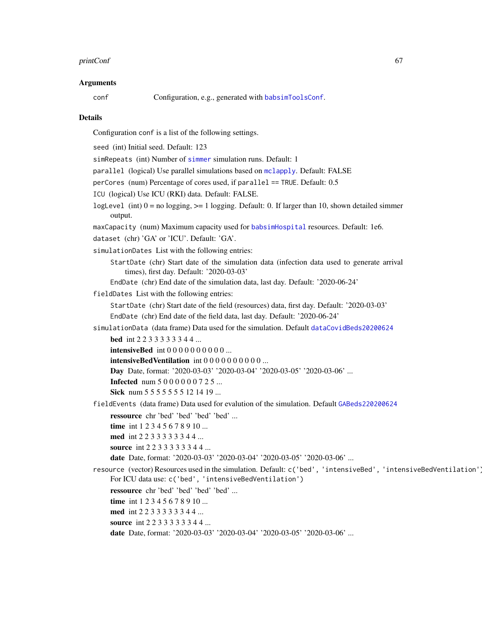#### printConf 67

#### Arguments

conf Configuration, e.g., generated with [babsimToolsConf](#page-9-0).

#### Details

Configuration conf is a list of the following settings.

seed (int) Initial seed. Default: 123

simRepeats (int) Number of [simmer](#page-0-0) simulation runs. Default: 1

parallel (logical) Use parallel simulations based on [mclapply](#page-0-0). Default: FALSE

perCores (num) Percentage of cores used, if parallel == TRUE. Default: 0.5

ICU (logical) Use ICU (RKI) data. Default: FALSE.

logLevel (int)  $0 =$  no logging,  $>= 1$  logging. Default: 0. If larger than 10, shown detailed simmer output.

maxCapacity (num) Maximum capacity used for [babsimHospital](#page-5-0) resources. Default: 1e6.

dataset (chr) 'GA' or 'ICU'. Default: 'GA'.

simulationDates List with the following entries:

StartDate (chr) Start date of the simulation data (infection data used to generate arrival times), first day. Default: '2020-03-03'

EndDate (chr) End date of the simulation data, last day. Default: '2020-06-24'

fieldDates List with the following entries:

StartDate (chr) Start date of the field (resources) data, first day. Default: '2020-03-03' EndDate (chr) End date of the field data, last day. Default: '2020-06-24'

simulationData (data frame) Data used for the simulation. Default [dataCovidBeds20200624](#page-13-0)

bed int 2 2 3 3 3 3 3 3 4 4 ...

intensiveBed int 0 0 0 0 0 0 0 0 0 0 ...

intensiveBedVentilation int 0 0 0 0 0 0 0 0 0 0 ...

Day Date, format: '2020-03-03' '2020-03-04' '2020-03-05' '2020-03-06' ...

**Infected** num 5 0 0 0 0 0 0 7 2 5 ...

Sick num 5 5 5 5 5 5 5 5 1 2 1 4 1 9 ...

fieldEvents (data frame) Data used for evalution of the simulation. Default [GABeds220200624](#page-25-0)

ressource chr 'bed' 'bed' 'bed' 'bed' ...

time int 1 2 3 4 5 6 7 8 9 10 ...

med int 2 2 3 3 3 3 3 3 4 4 ...

source int 2 2 3 3 3 3 3 3 4 4 ...

date Date, format: '2020-03-03' '2020-03-04' '2020-03-05' '2020-03-06' ...

resource (vector) Resources used in the simulation. Default: c('bed', 'intensiveBed', 'intensiveBedVentilation'). For ICU data use: c('bed', 'intensiveBedVentilation')

ressource chr 'bed' 'bed' 'bed' 'bed' ...

time int 1 2 3 4 5 6 7 8 9 10 ...

med int 2 2 3 3 3 3 3 3 4 4 ...

source int 2 2 3 3 3 3 3 3 4 4 ...

date Date, format: '2020-03-03' '2020-03-04' '2020-03-05' '2020-03-06' ...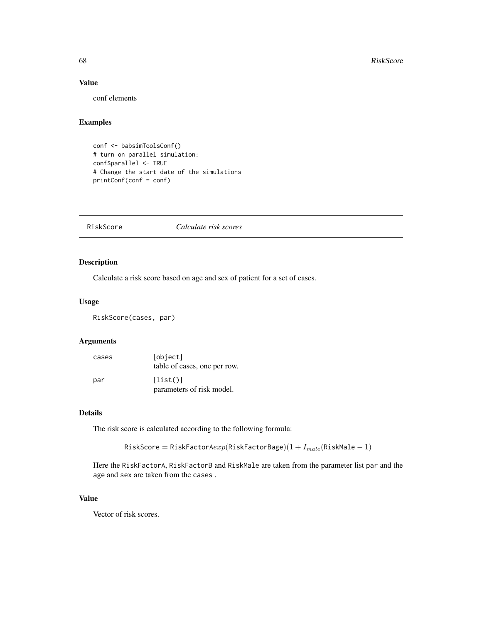# Value

conf elements

# Examples

```
conf <- babsimToolsConf()
# turn on parallel simulation:
conf$parallel <- TRUE
# Change the start date of the simulations
printConf(conf = conf)
```
RiskScore *Calculate risk scores*

## Description

Calculate a risk score based on age and sex of patient for a set of cases.

#### Usage

RiskScore(cases, par)

# Arguments

| cases | [object]<br>table of cases, one per row. |
|-------|------------------------------------------|
| par   | [list()]<br>parameters of risk model.    |

# Details

The risk score is calculated according to the following formula:

```
RiskScore = RiskFactorAexp(RiskFactorBage)(1 + I_{male}(Ri)skMale - 1)
```
Here the RiskFactorA, RiskFactorB and RiskMale are taken from the parameter list par and the age and sex are taken from the cases .

## Value

Vector of risk scores.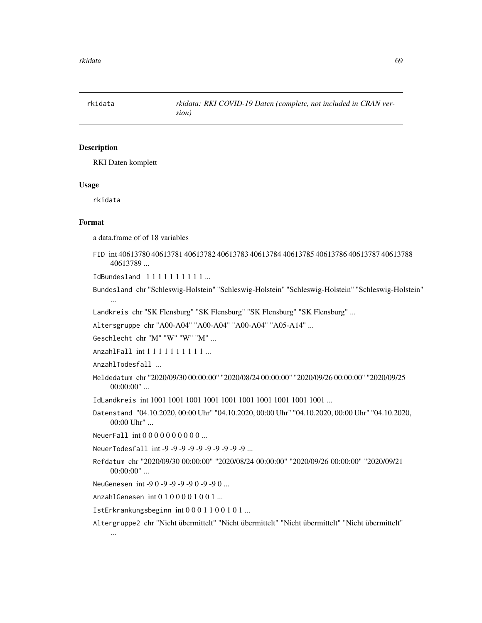<span id="page-68-0"></span>rkidata *rkidata: RKI COVID-19 Daten (complete, not included in CRAN version)*

#### Description

RKI Daten komplett

#### Usage

rkidata

#### Format

a data.frame of of 18 variables

FID int 40613780 40613781 40613782 40613783 40613784 40613785 40613786 40613787 40613788 40613789 ...

IdBundesland 1 1 1 1 1 1 1 1 1 1 ...

Bundesland chr "Schleswig-Holstein" "Schleswig-Holstein" "Schleswig-Holstein" "Schleswig-Holstein" ...

Landkreis chr "SK Flensburg" "SK Flensburg" "SK Flensburg" "SK Flensburg" ...

Altersgruppe chr "A00-A04" "A00-A04" "A00-A04" "A05-A14" ...

Geschlecht chr "M" "W" "W" "M" ...

AnzahlFall int 1 1 1 1 1 1 1 1 1 1 ...

AnzahlTodesfall ...

Meldedatum chr "2020/09/30 00:00:00" "2020/08/24 00:00:00" "2020/09/26 00:00:00" "2020/09/25 00:00:00" ...

IdLandkreis int 1001 1001 1001 1001 1001 1001 1001 1001 1001 1001 ...

Datenstand "04.10.2020, 00:00 Uhr" "04.10.2020, 00:00 Uhr" "04.10.2020, 00:00 Uhr" "04.10.2020, 00:00 Uhr" ...

NeuerFall int 0 0 0 0 0 0 0 0 0 0 ...

NeuerTodesfall int -9 -9 -9 -9 -9 -9 -9 -9 -9 -9 ...

Refdatum chr "2020/09/30 00:00:00" "2020/08/24 00:00:00" "2020/09/26 00:00:00" "2020/09/21 00:00:00" ...

NeuGenesen int -9 0 -9 -9 -9 -9 0 -9 -9 0 ...

AnzahlGenesen int 0 1 0 0 0 0 1 0 0 1 ...

IstErkrankungsbeginn int 0 0 0 1 1 0 0 1 0 1 ...

Altergruppe2 chr "Nicht übermittelt" "Nicht übermittelt" "Nicht übermittelt" "Nicht übermittelt"

...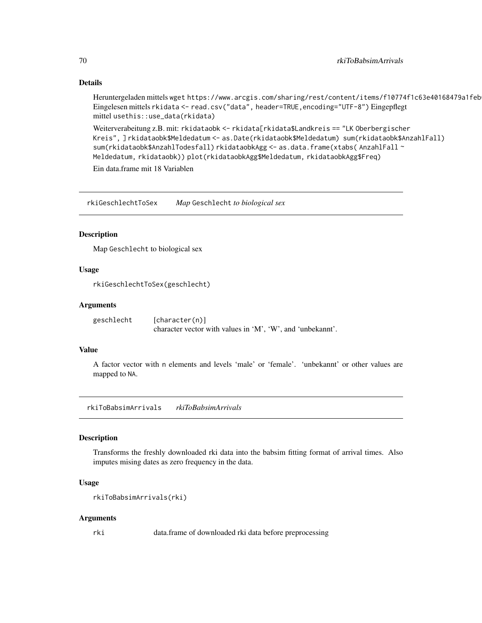#### Details

Heruntergeladen mittels wget https://www.arcgis.com/sharing/rest/content/items/f10774f1c63e40168479a1feb Eingelesen mittels rkidata <- read.csv("data", header=TRUE, encoding="UTF-8") Eingepflegt mittel usethis::use\_data(rkidata)

```
Weiterverabeitung z.B. mit: rkidataobk <- rkidata[rkidata$Landkreis == "LK Oberbergischer
Kreis", ] rkidataobk$Meldedatum <- as.Date(rkidataobk$Meldedatum) sum(rkidataobk$AnzahlFall)
sum(rkidataobk$AnzahlTodesfall) rkidataobkAgg <- as.data.frame(xtabs(AnzahlFall~
Meldedatum, rkidataobk)) plot(rkidataobkAgg$Meldedatum, rkidataobkAgg$Freq)
```
Ein data.frame mit 18 Variablen

rkiGeschlechtToSex *Map* Geschlecht *to biological sex*

### Description

Map Geschlecht to biological sex

## Usage

rkiGeschlechtToSex(geschlecht)

#### Arguments

```
geschlecht [character(n)]
                 character vector with values in 'M', 'W', and 'unbekannt'.
```
# Value

A factor vector with n elements and levels 'male' or 'female'. 'unbekannt' or other values are mapped to NA.

rkiToBabsimArrivals *rkiToBabsimArrivals*

#### Description

Transforms the freshly downloaded rki data into the babsim fitting format of arrival times. Also imputes mising dates as zero frequency in the data.

#### Usage

```
rkiToBabsimArrivals(rki)
```
#### Arguments

rki data.frame of downloaded rki data before preprocessing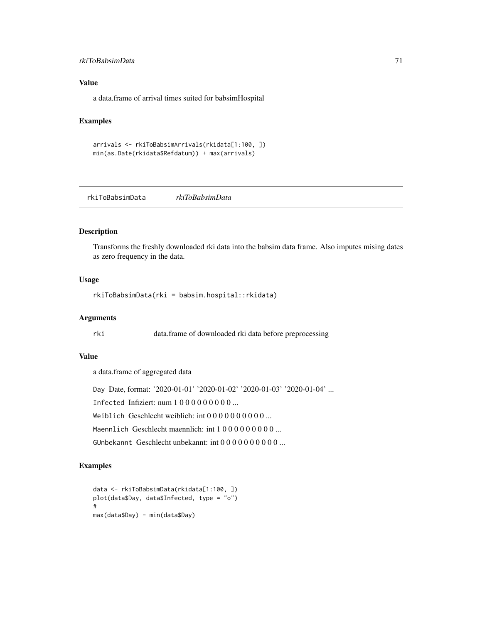# rkiToBabsimData 71

#### Value

a data.frame of arrival times suited for babsimHospital

# Examples

```
arrivals <- rkiToBabsimArrivals(rkidata[1:100, ])
min(as.Date(rkidata$Refdatum)) + max(arrivals)
```
<span id="page-70-0"></span>rkiToBabsimData *rkiToBabsimData*

#### Description

Transforms the freshly downloaded rki data into the babsim data frame. Also imputes mising dates as zero frequency in the data.

#### Usage

rkiToBabsimData(rki = babsim.hospital::rkidata)

#### Arguments

rki data.frame of downloaded rki data before preprocessing

#### Value

a data.frame of aggregated data

Day Date, format: '2020-01-01' '2020-01-02' '2020-01-03' '2020-01-04' ...

Infected Infiziert: num 1 0 0 0 0 0 0 0 0 0 ...

Weiblich Geschlecht weiblich: int 0 0 0 0 0 0 0 0 0 0 ...

Maennlich Geschlecht maennlich: int 1000000000...

GUnbekannt Geschlecht unbekannt: int 0 0 0 0 0 0 0 0 0 0 ...

# Examples

```
data <- rkiToBabsimData(rkidata[1:100, ])
plot(data$Day, data$Infected, type = "o")
#
max(data$Day) - min(data$Day)
```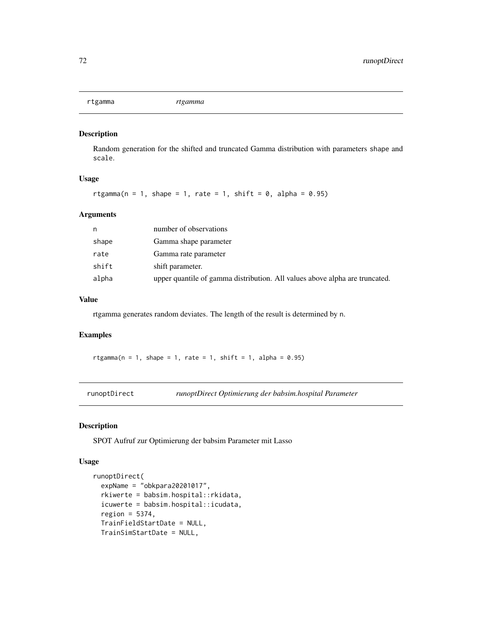# Description

Random generation for the shifted and truncated Gamma distribution with parameters shape and scale.

#### Usage

rtgamma(n = 1, shape = 1, rate = 1, shift = 0, alpha =  $0.95$ )

## Arguments

| n     | number of observations                                                      |
|-------|-----------------------------------------------------------------------------|
| shape | Gamma shape parameter                                                       |
| rate  | Gamma rate parameter                                                        |
| shift | shift parameter.                                                            |
| alpha | upper quantile of gamma distribution. All values above alpha are truncated. |

# Value

rtgamma generates random deviates. The length of the result is determined by n.

# Examples

rtgamma( $n = 1$ , shape = 1, rate = 1, shift = 1, alpha = 0.95)

<span id="page-71-0"></span>runoptDirect *runoptDirect Optimierung der babsim.hospital Parameter*

#### Description

SPOT Aufruf zur Optimierung der babsim Parameter mit Lasso

#### Usage

```
runoptDirect(
 expName = "obkpara20201017".rkiwerte = babsim.hospital::rkidata,
  icuwerte = babsim.hospital::icudata,
  region = 5374,
 TrainFieldStartDate = NULL,
 TrainSimStartDate = NULL,
```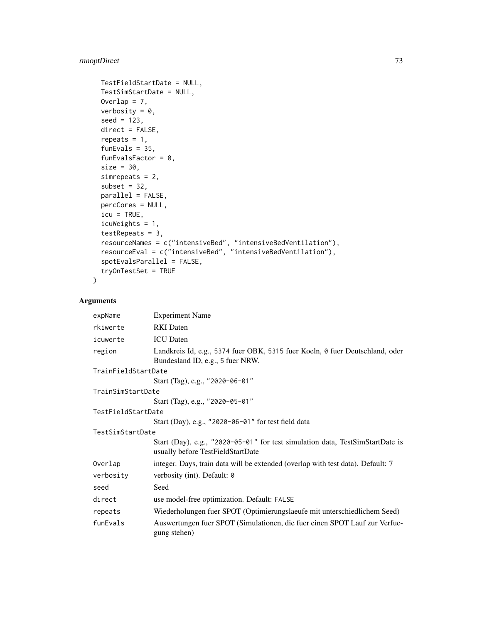# runoptDirect 73

```
TestFieldStartDate = NULL,
 TestSimStartDate = NULL,
 Overlap = 7,
 verbosity = 0,
  seed = 123,
 direct = FALSE,
 repeats = 1,
  funEvals = 35,funEvalsFactor = 0,
 size = 30,simrepeats = 2,
  subset = 32,
 parallel = FALSE,
 percCores = NULL,
 icu = TRUE,icuWeights = 1,
  testRepeats = 3,
 resourceNames = c("intensiveBed", "intensiveBedVentilation"),
 resourceEval = c("intensiveBed", "intensiveBedVentilation"),
  spotEvalsParallel = FALSE,
 tryOnTestSet = TRUE
\mathcal{L}
```
# Arguments

| expName             | <b>Experiment Name</b>                                                                                             |  |
|---------------------|--------------------------------------------------------------------------------------------------------------------|--|
| rkiwerte            | <b>RKI</b> Daten                                                                                                   |  |
| icuwerte            | <b>ICU</b> Daten                                                                                                   |  |
| region              | Landkreis Id, e.g., 5374 fuer OBK, 5315 fuer Koeln, 0 fuer Deutschland, oder<br>Bundesland ID, e.g., 5 fuer NRW.   |  |
| TrainFieldStartDate |                                                                                                                    |  |
|                     | Start (Tag), e.g., "2020-06-01"                                                                                    |  |
| TrainSimStartDate   |                                                                                                                    |  |
|                     | Start (Tag), e.g., "2020-05-01"                                                                                    |  |
| TestFieldStartDate  |                                                                                                                    |  |
|                     | Start (Day), e.g., "2020-06-01" for test field data                                                                |  |
| TestSimStartDate    |                                                                                                                    |  |
|                     | Start (Day), e.g., "2020-05-01" for test simulation data, TestSimStartDate is<br>usually before TestFieldStartDate |  |
| Overlap             | integer. Days, train data will be extended (overlap with test data). Default: 7                                    |  |
| verbosity           | verbosity (int). Default: 0                                                                                        |  |
| seed                | Seed                                                                                                               |  |
| direct              | use model-free optimization. Default: FALSE                                                                        |  |
| repeats             | Wiederholungen fuer SPOT (Optimierungslaeufe mit unterschiedlichem Seed)                                           |  |
| funEvals            | Auswertungen fuer SPOT (Simulationen, die fuer einen SPOT Lauf zur Verfue-<br>gung stehen)                         |  |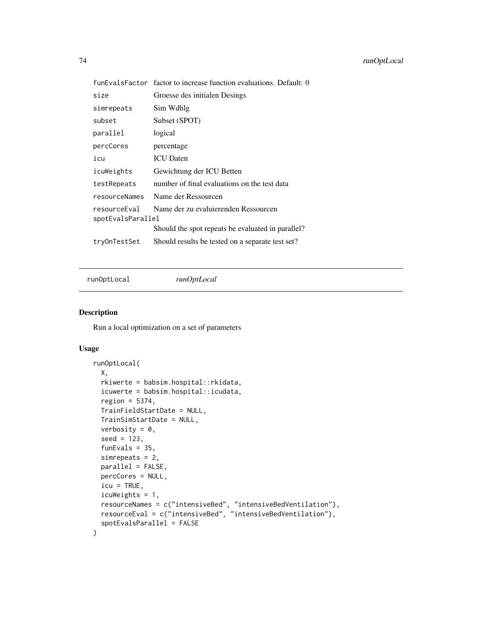<span id="page-73-0"></span>

|                                   | funEvalsFactor factor to increase function evaluations. Default: 0 |
|-----------------------------------|--------------------------------------------------------------------|
| size                              | Groesse des initialen Desings                                      |
| simrepeats                        | Sim Wdhlg                                                          |
| subset                            | Subset (SPOT)                                                      |
| parallel                          | logical                                                            |
| percCores                         | percentage                                                         |
| icu                               | <b>ICU</b> Daten                                                   |
| icuWeights                        | Gewichtung der ICU Betten                                          |
| testRepeats                       | number of final evaluations on the test data                       |
| resourceNames                     | Name der Ressourcen                                                |
| resourceEval<br>spotEvalsParallel | Name der zu evaluierenden Ressourcen                               |
|                                   | Should the spot repeats be evaluated in parallel?                  |
| tryOnTestSet                      | Should results be tested on a separate test set?                   |

runOptLocal *runOptLocal*

#### Description

Run a local optimization on a set of parameters

#### Usage

```
runOptLocal(
 X,
 rkiwerte = babsim.hospital::rkidata,
 icuwerte = babsim.hospital::icudata,
 region = 5374,
 TrainFieldStartDate = NULL,
 TrainSimStartDate = NULL,
 verbosity = 0,
 seed = 123,
 funEvals = 35,
 simrepeats = 2,
 parallel = FALSE,
 percCores = NULL,
 icu = TRUE,icuWeights = 1,
 resourceNames = c("intensiveBed", "intensiveBedVentilation"),
 resourceEval = c("intensiveBed", "intensiveBedVentilation"),
 spotEvalsParallel = FALSE
)
```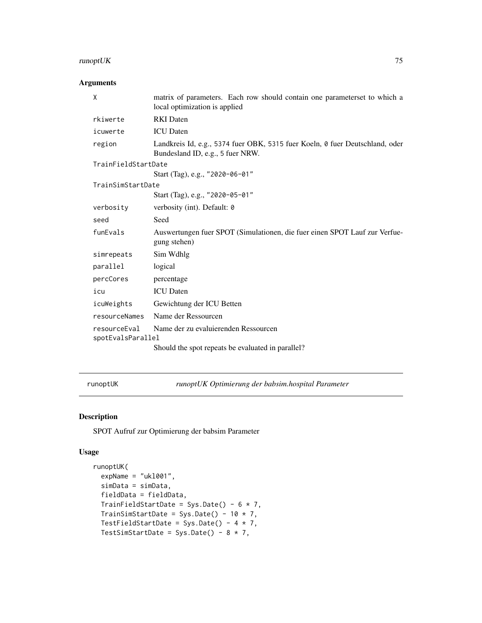# <span id="page-74-0"></span>runoptUK 75

# Arguments

| X                                 | matrix of parameters. Each row should contain one parameterset to which a<br>local optimization is applied       |  |
|-----------------------------------|------------------------------------------------------------------------------------------------------------------|--|
| rkiwerte                          | <b>RKI</b> Daten                                                                                                 |  |
| icuwerte                          | <b>ICU</b> Daten                                                                                                 |  |
| region                            | Landkreis Id, e.g., 5374 fuer OBK, 5315 fuer Koeln, 0 fuer Deutschland, oder<br>Bundesland ID, e.g., 5 fuer NRW. |  |
| TrainFieldStartDate               |                                                                                                                  |  |
|                                   | Start (Tag), e.g., "2020-06-01"                                                                                  |  |
| TrainSimStartDate                 |                                                                                                                  |  |
|                                   | Start (Tag), e.g., "2020-05-01"                                                                                  |  |
| verbosity                         | verbosity (int). Default: 0                                                                                      |  |
| seed                              | Seed                                                                                                             |  |
| funEvals                          | Auswertungen fuer SPOT (Simulationen, die fuer einen SPOT Lauf zur Verfue-<br>gung stehen)                       |  |
| simrepeats                        | Sim Wdhlg                                                                                                        |  |
| parallel                          | logical                                                                                                          |  |
| percCores                         | percentage                                                                                                       |  |
| icu                               | <b>ICU</b> Daten                                                                                                 |  |
| icuWeights                        | Gewichtung der ICU Betten                                                                                        |  |
| resourceNames                     | Name der Ressourcen                                                                                              |  |
| resourceEval<br>spotEvalsParallel | Name der zu evaluierenden Ressourcen                                                                             |  |
|                                   | Should the spot repeats be evaluated in parallel?                                                                |  |

runoptUK *runoptUK Optimierung der babsim.hospital Parameter*

# Description

SPOT Aufruf zur Optimierung der babsim Parameter

# Usage

```
runoptUK(
 expName = "uk1001",
 simData = simData,
 fieldData = fieldData,
 TrainFieldStartDate = Sys.Date() - 6 * 7,
 TrainSimStartDate = Sys.Date() - 10 * 7,
 TestFieldStartDate = Sys.Date() - 4 * 7,
 TestSimStartDate = Sys.Date() - 8 * 7,
```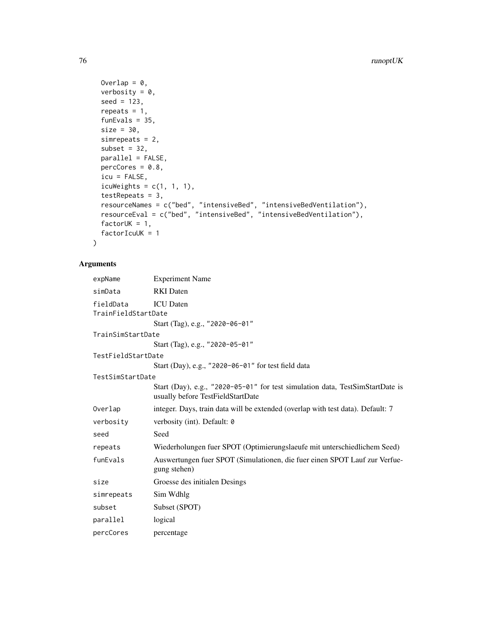```
Overlap = 0,
  verbosity = 0,
  seed = 123,
  repeats = 1,
  funEvals = 35,
  size = 30,simrepeats = 2,
  subset = 32,
  parallel = FALSE,
  percCores = 0.8,
  icu = FALSE,icuWeights = c(1, 1, 1),
  testRepeats = 3,
  resourceNames = c("bed", "intensiveBed", "intensiveBedVentilation"),
  resourceEval = c("bed", "intensiveBed", "intensiveBedVentilation"),
  factorUK = 1,
  factorIcuUK = 1
\mathcal{L}
```
#### Arguments

```
expName Experiment Name
simData RKI Daten
fieldData ICU Daten
TrainFieldStartDate
               Start (Tag), e.g., "2020-06-01"
TrainSimStartDate
               Start (Tag), e.g., "2020-05-01"
TestFieldStartDate
               Start (Day), e.g., "2020-06-01" for test field data
TestSimStartDate
               Start (Day), e.g., "2020-05-01" for test simulation data, TestSimStartDate is
               usually before TestFieldStartDate
Overlap integer. Days, train data will be extended (overlap with test data). Default: 7
verbosity verbosity (int). Default: 0
seed Seed
repeats Wiederholungen fuer SPOT (Optimierungslaeufe mit unterschiedlichem Seed)
funEvals Auswertungen fuer SPOT (Simulationen, die fuer einen SPOT Lauf zur Verfue-
               gung stehen)
size Groesse des initialen Desings
simrepeats Sim Wdhlg
subset Subset (SPOT)
parallel logical
percCores percentage
```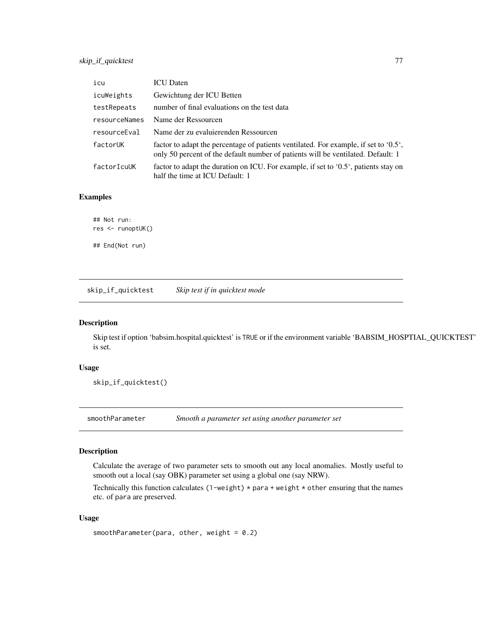<span id="page-76-0"></span>

| icu           | <b>ICU</b> Daten                                                                                                                                                         |
|---------------|--------------------------------------------------------------------------------------------------------------------------------------------------------------------------|
| icuWeights    | Gewichtung der ICU Betten                                                                                                                                                |
| testRepeats   | number of final evaluations on the test data                                                                                                                             |
| resourceNames | Name der Ressourcen                                                                                                                                                      |
| resourceEval  | Name der zu evaluierenden Ressourcen                                                                                                                                     |
| factorUK      | factor to adapt the percentage of patients ventilated. For example, if set to '0.5',<br>only 50 percent of the default number of patients will be ventilated. Default: 1 |
| factorIcuUK   | factor to adapt the duration on ICU. For example, if set to '0.5', patients stay on<br>half the time at ICU Default: 1                                                   |

#### Examples

## Not run: res <- runoptUK() ## End(Not run)

skip\_if\_quicktest *Skip test if in quicktest mode*

# Description

Skip test if option 'babsim.hospital.quicktest' is TRUE or if the environment variable 'BABSIM\_HOSPTIAL\_QUICKTEST' is set.

# Usage

skip\_if\_quicktest()

smoothParameter *Smooth a parameter set using another parameter set*

# Description

Calculate the average of two parameter sets to smooth out any local anomalies. Mostly useful to smooth out a local (say OBK) parameter set using a global one (say NRW).

Technically this function calculates (1-weight)  $*$  para + weight  $*$  other ensuring that the names etc. of para are preserved.

#### Usage

smoothParameter(para, other, weight =  $0.2$ )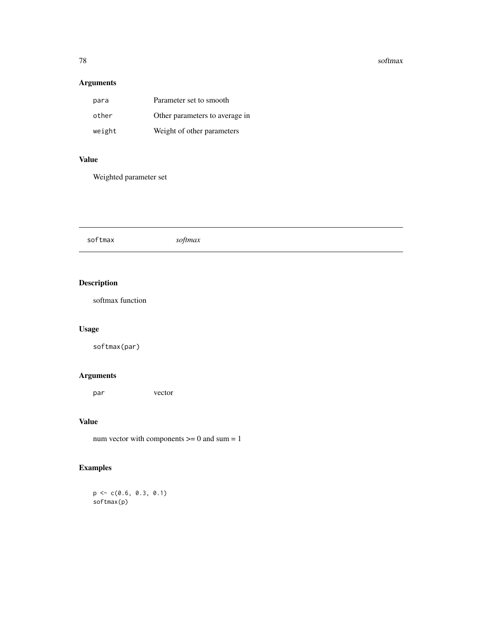#### 78 softmax and the set of the set of the set of the set of the set of the set of the set of the set of the set of the set of the set of the set of the set of the set of the set of the set of the set of the set of the set o

# Arguments

| para   | Parameter set to smooth        |
|--------|--------------------------------|
| other  | Other parameters to average in |
| weight | Weight of other parameters     |

#### Value

Weighted parameter set

softmax *softmax*

# Description

softmax function

# Usage

softmax(par)

# Arguments

par vector

# Value

num vector with components  $\geq 0$  and sum = 1

# Examples

 $p \leftarrow c(0.6, 0.3, 0.1)$ softmax(p)

<span id="page-77-0"></span>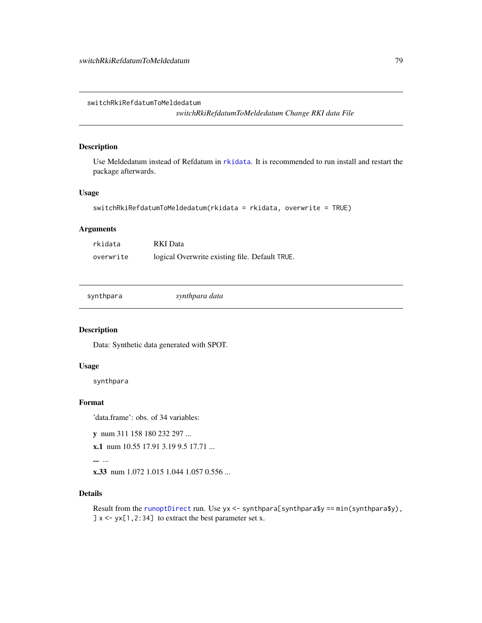<span id="page-78-0"></span>switchRkiRefdatumToMeldedatum

*switchRkiRefdatumToMeldedatum Change RKI data File*

#### Description

Use Meldedatum instead of Refdatum in [rkidata](#page-68-0). It is recommended to run install and restart the package afterwards.

#### Usage

```
switchRkiRefdatumToMeldedatum(rkidata = rkidata, overwrite = TRUE)
```
# Arguments

| rkidata   | RKI Data                                       |
|-----------|------------------------------------------------|
| overwrite | logical Overwrite existing file. Default TRUE. |

synthpara *synthpara data*

# Description

Data: Synthetic data generated with SPOT.

#### Usage

synthpara

### Format

'data.frame': obs. of 34 variables:

y num 311 158 180 232 297 ...

x.1 num 10.55 17.91 3.19 9.5 17.71 ...

... ...

x.33 num 1.072 1.015 1.044 1.057 0.556 ...

#### Details

Result from the [runoptDirect](#page-71-0) run. Use yx <- synthpara[synthpara\$y ==  $min(synthpara\$ y),  $] x \leftarrow yx[1,2:34]$  to extract the best parameter set x.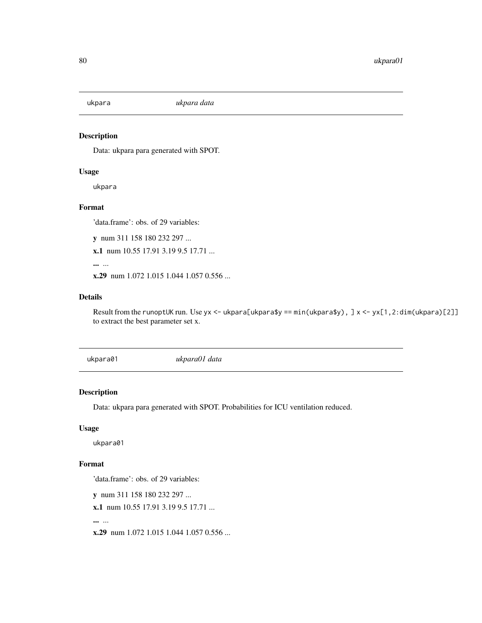<span id="page-79-0"></span>

# Description

Data: ukpara para generated with SPOT.

#### Usage

ukpara

#### Format

'data.frame': obs. of 29 variables:

y num 311 158 180 232 297 ...

x.1 num 10.55 17.91 3.19 9.5 17.71 ...

... ...

x.29 num 1.072 1.015 1.044 1.057 0.556 ...

# Details

Result from the runoptUK run. Use yx <- ukpara[ukpara\$y ==  $min(lappaa\frac{s}{y})$ , ] x <- yx[1,2:dim(ukpara)[2]] to extract the best parameter set x.

ukpara01 *ukpara01 data*

#### Description

Data: ukpara para generated with SPOT. Probabilities for ICU ventilation reduced.

# Usage

ukpara01

# Format

'data.frame': obs. of 29 variables:

y num 311 158 180 232 297 ...

x.1 num 10.55 17.91 3.19 9.5 17.71 ...

... ...

x.29 num 1.072 1.015 1.044 1.057 0.556 ...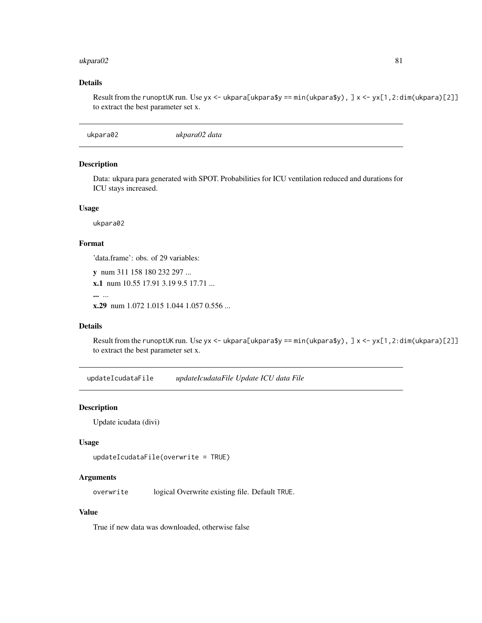#### <span id="page-80-0"></span>ukpara02 81

#### Details

Result from the runoptUK run. Use yx <- ukpara[ukpara\$y ==  $min(lappaa\frac{s}{y})$ , ] x <- yx[1,2:dim(ukpara)[2]] to extract the best parameter set x.

ukpara02 *ukpara02 data*

# Description

Data: ukpara para generated with SPOT. Probabilities for ICU ventilation reduced and durations for ICU stays increased.

# Usage

ukpara02

# Format

'data.frame': obs. of 29 variables:

```
y num 311 158 180 232 297 ...
x.1 num 10.55 17.91 3.19 9.5 17.71 ...
```
... ...

x.29 num 1.072 1.015 1.044 1.057 0.556 ...

#### Details

Result from the runoptUK run. Use yx <- ukpara[ukpara\$y == min(ukpara\$y), ] x <- yx[1,2:dim(ukpara)[2]] to extract the best parameter set x.

updateIcudataFile *updateIcudataFile Update ICU data File*

#### Description

Update icudata (divi)

#### Usage

```
updateIcudataFile(overwrite = TRUE)
```
#### Arguments

overwrite logical Overwrite existing file. Default TRUE.

#### Value

True if new data was downloaded, otherwise false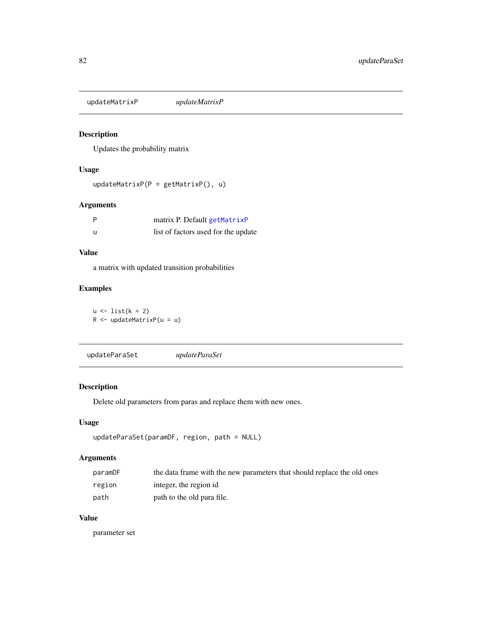<span id="page-81-0"></span>updateMatrixP *updateMatrixP*

# Description

Updates the probability matrix

### Usage

```
updateMatrixP(P = getMatrixP(), u)
```
# Arguments

| P | matrix P. Default getMatrixP        |
|---|-------------------------------------|
| u | list of factors used for the update |

# Value

a matrix with updated transition probabilities

# Examples

 $u \leftarrow list(k = 2)$ R <- updateMatrixP(u = u)

updateParaSet *updateParaSet*

# Description

Delete old parameters from paras and replace them with new ones.

### Usage

```
updateParaSet(paramDF, region, path = NULL)
```
# Arguments

| paramDF | the data frame with the new parameters that should replace the old ones |
|---------|-------------------------------------------------------------------------|
| region  | integer, the region id                                                  |
| path    | path to the old para file.                                              |

# Value

parameter set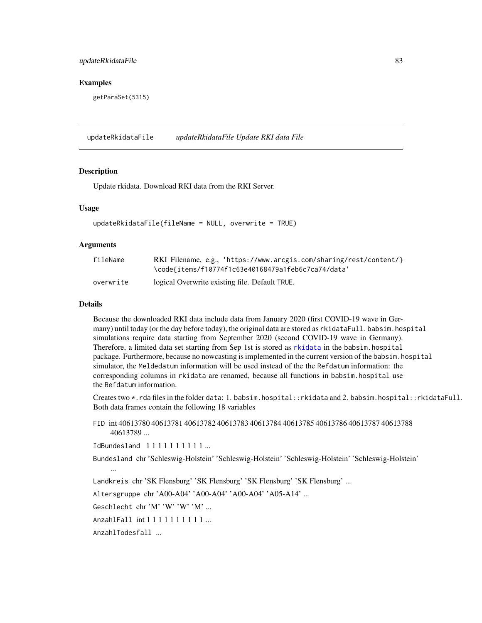#### <span id="page-82-0"></span>updateRkidataFile 83

#### Examples

getParaSet(5315)

updateRkidataFile *updateRkidataFile Update RKI data File*

#### Description

Update rkidata. Download RKI data from the RKI Server.

#### Usage

updateRkidataFile(fileName = NULL, overwrite = TRUE)

#### Arguments

| fileName  | RKI Filename, e.g., 'https://www.arcgis.com/sharing/rest/content/} |
|-----------|--------------------------------------------------------------------|
|           | \code{items/f10774f1c63e40168479a1feb6c7ca74/data'                 |
| overwrite | logical Overwrite existing file. Default TRUE.                     |

#### Details

Because the downloaded RKI data include data from January 2020 (first COVID-19 wave in Germany) until today (or the day before today), the original data are stored as rkidataFull. babsim.hospital simulations require data starting from September 2020 (second COVID-19 wave in Germany). Therefore, a limited data set starting from Sep 1st is stored as [rkidata](#page-68-0) in the babsim.hospital package. Furthermore, because no nowcasting is implemented in the current version of the babsim.hospital simulator, the Meldedatum information will be used instead of the the Refdatum information: the corresponding columns in rkidata are renamed, because all functions in babsim.hospital use the Refdatum information.

Creates two \*.rda files in the folder data: 1. babsim.hospital::rkidata and 2. babsim.hospital::rkidataFull. Both data frames contain the following 18 variables

FID int 40613780 40613781 40613782 40613783 40613784 40613785 40613786 40613787 40613788 40613789 ...

IdBundesland 1 1 1 1 1 1 1 1 1 1 ...

Bundesland chr 'Schleswig-Holstein' 'Schleswig-Holstein' 'Schleswig-Holstein' 'Schleswig-Holstein' ...

Landkreis chr 'SK Flensburg' 'SK Flensburg' 'SK Flensburg' 'SK Flensburg' ...

Altersgruppe chr 'A00-A04' 'A00-A04' 'A00-A04' 'A05-A14' ...

Geschlecht chr 'M' 'W' 'W' 'M' ...

AnzahlFall int 1 1 1 1 1 1 1 1 1 1 ...

AnzahlTodesfall ...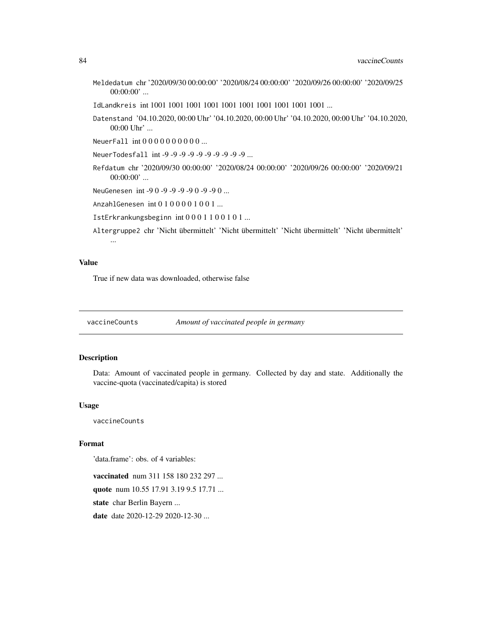- <span id="page-83-0"></span>Meldedatum chr '2020/09/30 00:00:00' '2020/08/24 00:00:00' '2020/09/26 00:00:00' '2020/09/25  $00:00:00'$  ...
- IdLandkreis int 1001 1001 1001 1001 1001 1001 1001 1001 1001 1001 ...
- Datenstand '04.10.2020, 00:00 Uhr' '04.10.2020, 00:00 Uhr' '04.10.2020, 00:00 Uhr' '04.10.2020, 00:00 Uhr' ...
- NeuerFall int 0 0 0 0 0 0 0 0 0 0 ...
- NeuerTodesfall int -9 -9 -9 -9 -9 -9 -9 -9 -9 -9 ...
- Refdatum chr '2020/09/30 00:00:00' '2020/08/24 00:00:00' '2020/09/26 00:00:00' '2020/09/21  $00:00:00'$  ...
- NeuGenesen int -9 0 -9 -9 -9 -9 0 -9 -9 0 ...
- AnzahlGenesen int 0 1 0 0 0 0 1 0 0 1 ...
- IstErkrankungsbeginn int 0 0 0 1 1 0 0 1 0 1 ...
- Altergruppe2 chr 'Nicht übermittelt' 'Nicht übermittelt' 'Nicht übermittelt' 'Nicht übermittelt' ...

#### Value

True if new data was downloaded, otherwise false

vaccineCounts *Amount of vaccinated people in germany*

#### Description

Data: Amount of vaccinated people in germany. Collected by day and state. Additionally the vaccine-quota (vaccinated/capita) is stored

#### Usage

vaccineCounts

#### Format

'data.frame': obs. of 4 variables:

vaccinated num 311 158 180 232 297 ... quote num 10.55 17.91 3.19 9.5 17.71 ... state char Berlin Bayern ...

date date 2020-12-29 2020-12-30 ...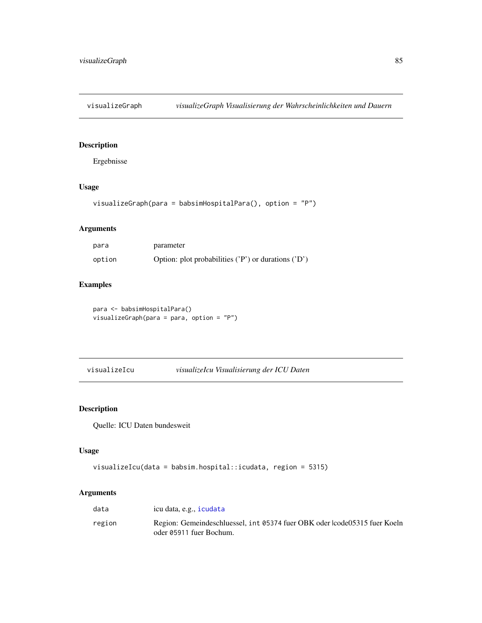<span id="page-84-0"></span>

# Description

Ergebnisse

#### Usage

visualizeGraph(para = babsimHospitalPara(), option = "P")

# Arguments

| para   | parameter                                               |
|--------|---------------------------------------------------------|
| option | Option: plot probabilities $('P')$ or durations $('D')$ |

# Examples

para <- babsimHospitalPara() visualizeGraph(para = para, option = "P")

visualizeIcu *visualizeIcu Visualisierung der ICU Daten*

# Description

Quelle: ICU Daten bundesweit

# Usage

```
visualizeIcu(data = babsim.hospital::icudata, region = 5315)
```
# Arguments

| data   | icu data, e.g., icudata                                                                              |
|--------|------------------------------------------------------------------------------------------------------|
| region | Region: Gemeindeschluessel, int 05374 fuer OBK oder lcode05315 fuer Koeln<br>oder 05911 fuer Bochum. |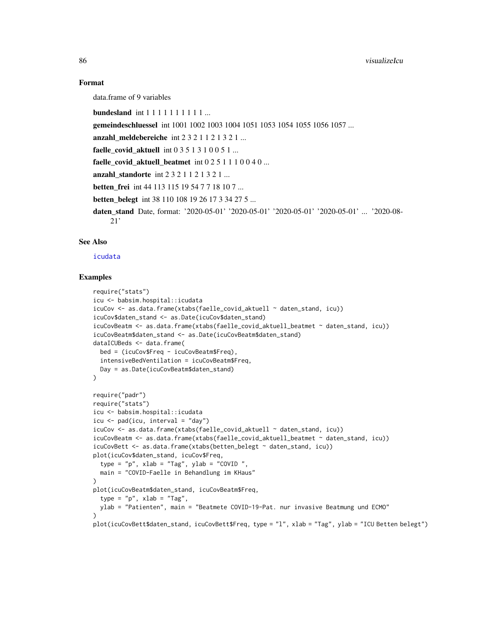#### Format

data.frame of 9 variables

bundesland int 1 1 1 1 1 1 1 1 1 1 ...

gemeindeschluessel int 1001 1002 1003 1004 1051 1053 1054 1055 1056 1057 ...

anzahl\_meldebereiche int 2 3 2 1 1 2 1 3 2 1 ...

faelle covid aktuell int  $0 3 5 1 3 1 0 0 5 1 ...$ 

faelle covid aktuell beatmet int  $0 2 5 1 1 1 0 0 4 0 ...$ 

anzahl\_standorte int  $2 3 2 1 1 2 1 3 2 1 ...$ 

**betten frei** int 44 113 115 19 54 7 7 18 10 7 ...

betten\_belegt int 38 110 108 19 26 17 3 34 27 5 ...

daten\_stand Date, format: '2020-05-01' '2020-05-01' '2020-05-01' '2020-05-01' ... '2020-08- 21'

# See Also

[icudata](#page-53-0)

#### Examples

```
require("stats")
icu <- babsim.hospital::icudata
icuCov <- as.data.frame(xtabs(faelle_covid_aktuell ~ daten_stand, icu))
icuCov$daten_stand <- as.Date(icuCov$daten_stand)
icuCovBeatm <- as.data.frame(xtabs(faelle_covid_aktuell_beatmet ~ daten_stand, icu))
icuCovBeatm$daten_stand <- as.Date(icuCovBeatm$daten_stand)
dataICUBeds <- data.frame(
 bed = (icuCov$Freq - icuCovBeatm$Freq),
 intensiveBedVentilation = icuCovBeatm$Freq,
 Day = as.Date(icuCovBeatm$daten_stand)
)
require("padr")
require("stats")
icu <- babsim.hospital::icudata
icu \leq pad(icu, interval = "day")
icuCov <- as.data.frame(xtabs(faelle_covid_aktuell ~ daten_stand, icu))
icuCovBeatm <- as.data.frame(xtabs(faelle_covid_aktuell_beatmet ~ daten_stand, icu))
icuCovBett <- as.data.frame(xtabs(betten_belegt ~ daten_stand, icu))
plot(icuCov$daten_stand, icuCov$Freq,
 type = "p", xlab = "Tag", ylab = "COVID",main = "COVID-Faelle in Behandlung im KHaus"
\lambdaplot(icuCovBeatm$daten_stand, icuCovBeatm$Freq,
 type = "p", xlab = "Tag",ylab = "Patienten", main = "Beatmete COVID-19-Pat. nur invasive Beatmung und ECMO"
)
plot(icuCovBett$daten_stand, icuCovBett$Freq, type = "l", xlab = "Tag", ylab = "ICU Betten belegt")
```
<span id="page-85-0"></span>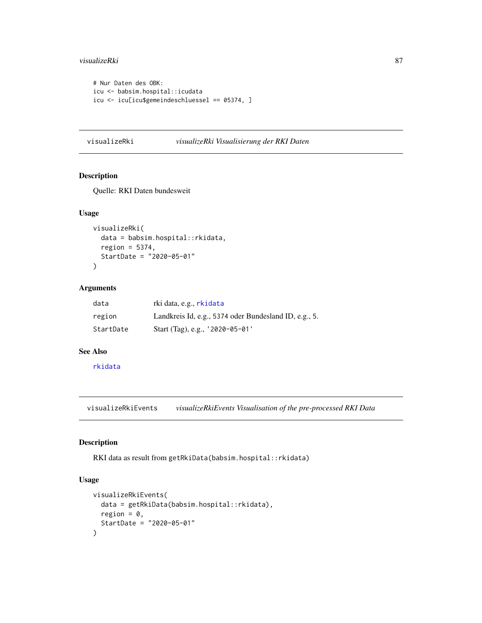#### <span id="page-86-0"></span>visualizeRki 87

```
# Nur Daten des OBK:
icu <- babsim.hospital::icudata
icu <- icu[icu$gemeindeschluessel == 05374, ]
```
#### visualizeRki *visualizeRki Visualisierung der RKI Daten*

# Description

Quelle: RKI Daten bundesweit

#### Usage

```
visualizeRki(
  data = babsim.hospital::rkidata,
  region = 5374,
  StartDate = "2020-05-01"
\mathcal{L}
```
#### Arguments

| data      | rki data, e.g., rkidata                               |
|-----------|-------------------------------------------------------|
| region    | Landkreis Id, e.g., 5374 oder Bundesland ID, e.g., 5. |
| StartDate | Start (Tag), e.g., '2020-05-01'                       |

#### See Also

[rkidata](#page-68-0)

visualizeRkiEvents *visualizeRkiEvents Visualisation of the pre-processed RKI Data*

#### Description

RKI data as result from getRkiData(babsim.hospital::rkidata)

# Usage

```
visualizeRkiEvents(
  data = getRkiData(babsim.hospital::rkidata),
  region = 0,
  StartDate = "2020-05-01"
)
```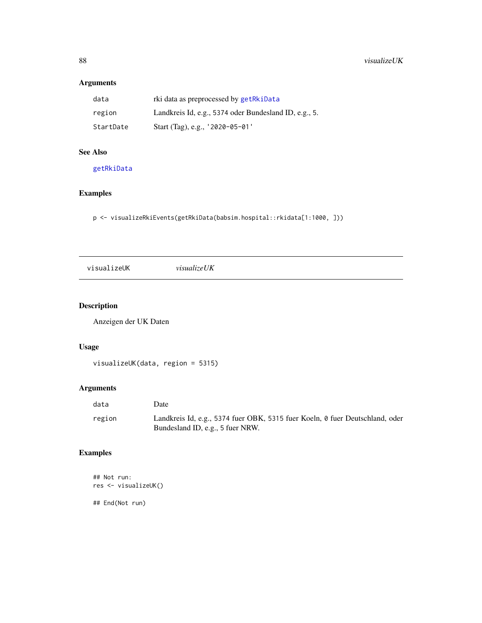# Arguments

| data      | rki data as preprocessed by getRkiData                |
|-----------|-------------------------------------------------------|
| region    | Landkreis Id, e.g., 5374 oder Bundesland ID, e.g., 5. |
| StartDate | Start (Tag), e.g., '2020-05-01'                       |

# See Also

[getRkiData](#page-43-0)

# Examples

p <- visualizeRkiEvents(getRkiData(babsim.hospital::rkidata[1:1000, ]))

visualizeUK *visualizeUK*

# Description

Anzeigen der UK Daten

# Usage

visualizeUK(data, region = 5315)

# Arguments

| data   | Date                                                                                                             |
|--------|------------------------------------------------------------------------------------------------------------------|
| region | Landkreis Id, e.g., 5374 fuer OBK, 5315 fuer Koeln, 0 fuer Deutschland, oder<br>Bundesland ID, e.g., 5 fuer NRW. |

# Examples

```
## Not run:
res <- visualizeUK()
```
## End(Not run)

<span id="page-87-0"></span>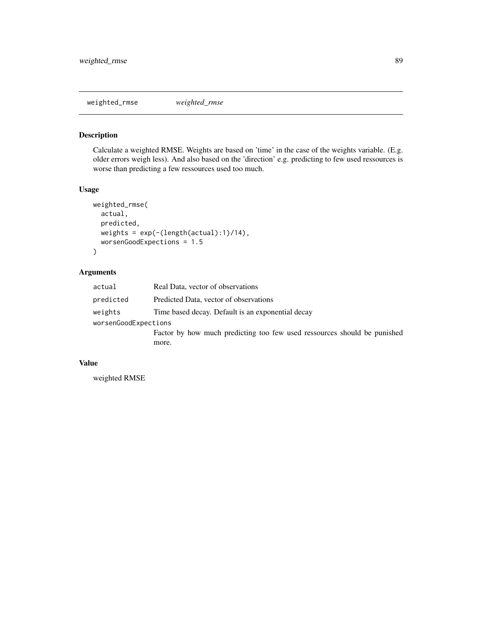<span id="page-88-0"></span>weighted\_rmse *weighted\_rmse*

# Description

Calculate a weighted RMSE. Weights are based on 'time' in the case of the weights variable. (E.g. older errors weigh less). And also based on the 'direction' e.g. predicting to few used ressources is worse than predicting a few ressources used too much.

# Usage

```
weighted_rmse(
  actual,
 predicted,
 weights = exp(-(length(actual):1)/14),
 worsenGoodExpections = 1.5
)
```
# Arguments

| actual               | Real Data, vector of observations                                        |  |
|----------------------|--------------------------------------------------------------------------|--|
| predicted            | Predicted Data, vector of observations                                   |  |
| weights              | Time based decay. Default is an exponential decay                        |  |
| worsenGoodExpections |                                                                          |  |
|                      | Factor by how much predicting too few used ressources should be punished |  |
|                      | more.                                                                    |  |
|                      |                                                                          |  |

### Value

weighted RMSE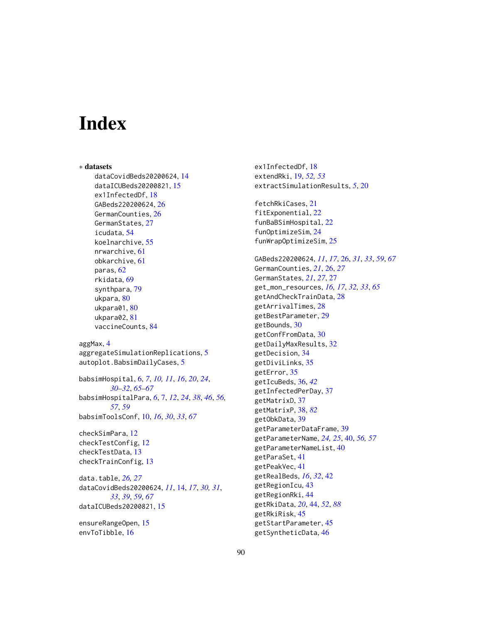# **Index**

∗ datasets dataCovidBeds20200624, [14](#page-13-0) dataICUBeds20200821, [15](#page-14-0) ex1InfectedDf, [18](#page-17-0) GABeds220200624, [26](#page-25-0) GermanCounties, [26](#page-25-0) GermanStates, [27](#page-26-0) icudata, [54](#page-53-1) koelnarchive, [55](#page-54-0) nrwarchive, [61](#page-60-0) obkarchive, [61](#page-60-0) paras, [62](#page-61-0) rkidata, [69](#page-68-1) synthpara, [79](#page-78-0) ukpara, [80](#page-79-0) ukpara01, [80](#page-79-0) ukpara02, [81](#page-80-0) vaccineCounts, [84](#page-83-0) aggMax, [4](#page-3-0) aggregateSimulationReplications, [5](#page-4-0) autoplot.BabsimDailyCases, [5](#page-4-0)

babsimHospital, [6,](#page-5-0) *[7](#page-6-0)*, *[10,](#page-9-0) [11](#page-10-0)*, *[16](#page-15-0)*, *[20](#page-19-0)*, *[24](#page-23-0)*, *[30](#page-29-0)[–32](#page-31-0)*, *[65](#page-64-0)[–67](#page-66-0)* babsimHospitalPara, *[6](#page-5-0)*, [7,](#page-6-0) *[12](#page-11-0)*, *[24](#page-23-0)*, *[38](#page-37-1)*, *[46](#page-45-0)*, *[56,](#page-55-0) [57](#page-56-0)*, *[59](#page-58-0)* babsimToolsConf, [10,](#page-9-0) *[16](#page-15-0)*, *[30](#page-29-0)*, *[33](#page-32-0)*, *[67](#page-66-0)*

checkSimPara, [12](#page-11-0) checkTestConfig, [12](#page-11-0) checkTestData, [13](#page-12-0) checkTrainConfig, [13](#page-12-0)

data.table, *[26,](#page-25-0) [27](#page-26-0)* dataCovidBeds20200624, *[11](#page-10-0)*, [14,](#page-13-0) *[17](#page-16-0)*, *[30,](#page-29-0) [31](#page-30-0)*, *[33](#page-32-0)*, *[39](#page-38-0)*, *[59](#page-58-0)*, *[67](#page-66-0)* dataICUBeds20200821, [15](#page-14-0)

ensureRangeOpen, [15](#page-14-0) envToTibble, [16](#page-15-0)

ex1InfectedDf, [18](#page-17-0) extendRki, [19,](#page-18-0) *[52,](#page-51-0) [53](#page-52-0)* extractSimulationResults, *[5](#page-4-0)*, [20](#page-19-0) fetchRkiCases, [21](#page-20-0) fitExponential, [22](#page-21-0) funBaBSimHospital, [22](#page-21-0) funOptimizeSim, [24](#page-23-0) funWrapOptimizeSim, [25](#page-24-0) GABeds220200624, *[11](#page-10-0)*, *[17](#page-16-0)*, [26,](#page-25-0) *[31](#page-30-0)*, *[33](#page-32-0)*, *[59](#page-58-0)*, *[67](#page-66-0)* GermanCounties, *[21](#page-20-0)*, [26,](#page-25-0) *[27](#page-26-0)* GermanStates, *[21](#page-20-0)*, *[27](#page-26-0)*, [27](#page-26-0) get\_mon\_resources, *[16,](#page-15-0) [17](#page-16-0)*, *[32,](#page-31-0) [33](#page-32-0)*, *[65](#page-64-0)* getAndCheckTrainData, [28](#page-27-0) getArrivalTimes, [28](#page-27-0) getBestParameter, [29](#page-28-0) getBounds, [30](#page-29-0) getConfFromData, [30](#page-29-0) getDailyMaxResults, [32](#page-31-0) getDecision, [34](#page-33-0) getDiviLinks, [35](#page-34-0) getError, [35](#page-34-0) getIcuBeds, [36,](#page-35-0) *[42](#page-41-0)* getInfectedPerDay, [37](#page-36-0) getMatrixD, [37](#page-36-0) getMatrixP, [38,](#page-37-1) *[82](#page-81-0)* getObkData, [39](#page-38-0) getParameterDataFrame, [39](#page-38-0) getParameterName, *[24,](#page-23-0) [25](#page-24-0)*, [40,](#page-39-0) *[56,](#page-55-0) [57](#page-56-0)* getParameterNameList, [40](#page-39-0) getParaSet, [41](#page-40-0) getPeakVec, [41](#page-40-0) getRealBeds, *[16](#page-15-0)*, *[32](#page-31-0)*, [42](#page-41-0) getRegionIcu, [43](#page-42-0) getRegionRki, [44](#page-43-1) getRkiData, *[20](#page-19-0)*, [44,](#page-43-1) *[52](#page-51-0)*, *[88](#page-87-0)* getRkiRisk, [45](#page-44-0) getStartParameter, [45](#page-44-0) getSyntheticData, [46](#page-45-0)